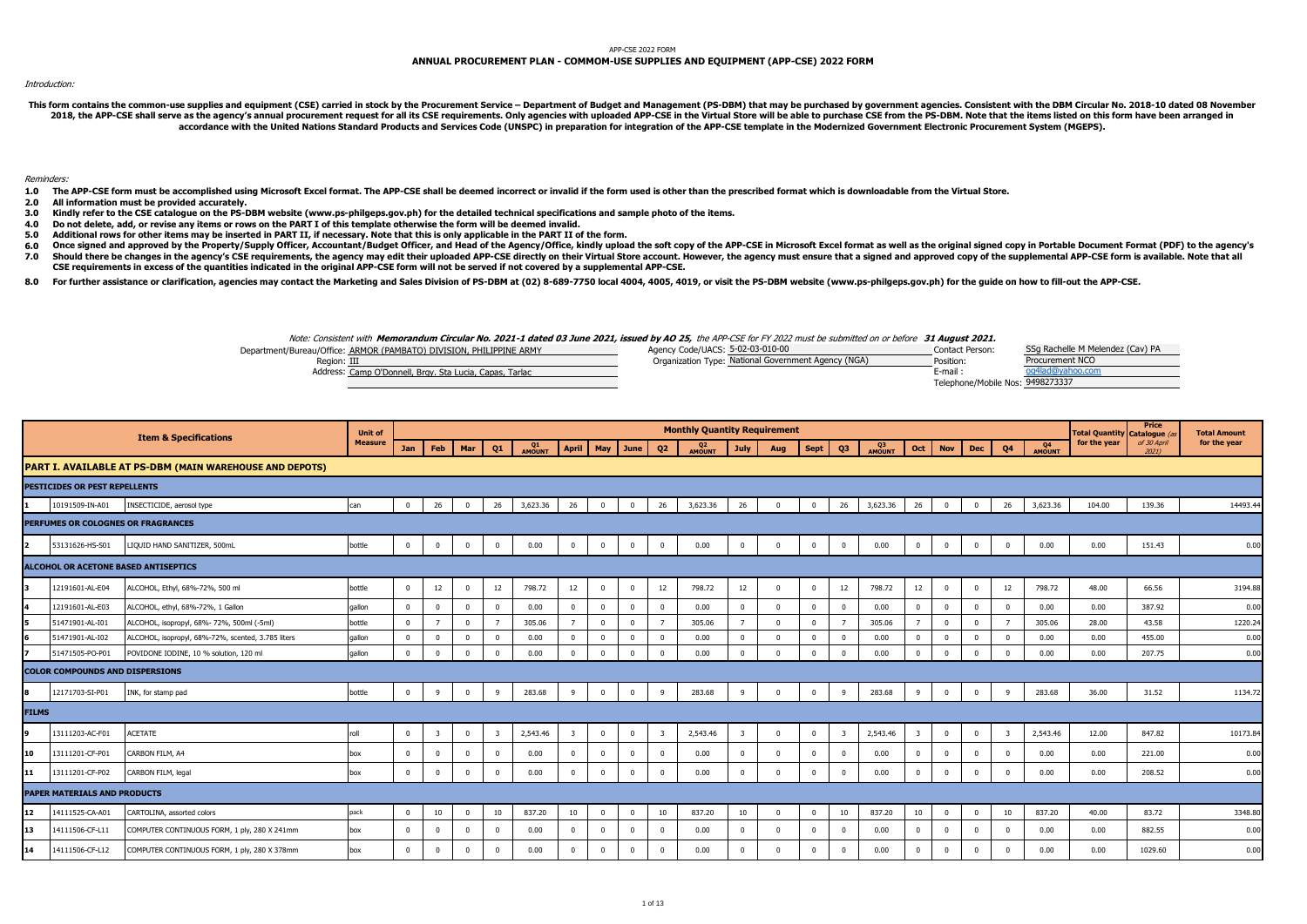## APP-CSE 2022 FORM

## **ANNUAL PROCUREMENT PLAN - COMMOM-USE SUPPLIES AND EQUIPMENT (APP-CSE) 2022 FORM**

## Introduction:

This form contains the common-use supplies and equipment (CSE) carried in stock by the Procurement Service - Department of Budget and Management (PS-DBM) that may be purchased by government agencies. Consistent with the DB 2018, the APP-CSE shall serve as the agency's annual procurement request for all its CSE requirements. Only agencies with uploaded APP-CSE in the Virtual Store will be able to purchase CSE from the PS-DBM. Note that the it **accordance with the United Nations Standard Products and Services Code (UNSPC) in preparation for integration of the APP-CSE template in the Modernized Government Electronic Procurement System (MGEPS).** 

## Reminders:

**1.0 The APP-CSE form must be accomplished using Microsoft Excel format. The APP-CSE shall be deemed incorrect or invalid if the form used is other than the prescribed format which is downloadable from the Virtual Store.**

**2.0 All information must be provided accurately.**

- **3.0 Kindly refer to the CSE catalogue on the PS-DBM website (www.ps-philgeps.gov.ph) for the detailed technical specifications and sample photo of the items.**
- **4.0 Do not delete, add, or revise any items or rows on the PART I of this template otherwise the form will be deemed invalid.**
- **5.0 Additional rows for other items may be inserted in PART II, if necessary. Note that this is only applicable in the PART II of the form.**
- **6.0 7.0** Once signed and approved by the Property/Supply Officer, Accountant/Budget Officer, and Head of the Agency/Office, kindly upload the soft copy of the APP-CSE in Microsoft Excel format as well as the original signed copy in Should there be changes in the agency's CSE requirements, the agency may edit their uploaded APP-CSE directly on their Virtual Store account. However, the agency must ensure that a signed and approved copy of the supplemen **CSE requirements in excess of the quantities indicated in the original APP-CSE form will not be served if not covered by a supplemental APP-CSE.**
- 
- **8.0** For further assistance or clarification, agencies may contact the Marketing and Sales Division of PS-DBM at (02) 8-689-7750 local 4004, 4005, 4019, or visit the PS-DBM website (www.ps-philgeps.gov.ph) for the quide on how

Note: Consistent with **Memorandum Circular No. 2021-1 dated 03 June 2021, issued by AO 25,** the APP-CSE for FY 2022 must be submitted on or before **31 August 2021.**

| Department/Bureau/Office: ARMOR (PAMBATO) DIVISION, PHILIPPINE ARMY | Agency Code/UACS: 5-02-03-010-00                    | Contact Person:                  | SSg Rachelle M Melendez (Cav) PA |
|---------------------------------------------------------------------|-----------------------------------------------------|----------------------------------|----------------------------------|
| Reaion: III                                                         | Organization Type: National Government Agency (NGA) | Position:                        | Procurement NCO                  |
| Address: Camp O'Donnell, Brgy, Sta Lucia, Capas, Tarlac             |                                                     | E-mail                           |                                  |
|                                                                     |                                                     | Telephone/Mobile Nos: 9498273337 |                                  |

|              |                                        | <b>Item &amp; Specifications</b>                        | <b>Unit of</b> |                |                         |              |                         |              |                         |                    |                         |                         | <b>Monthly Quantity Requirement</b> |                         |                         |                |                         |              |                         |                |                         |                         |                     | <b>Total Quantity Catalogue (a</b> | Price                | <b>Total Amount</b> |
|--------------|----------------------------------------|---------------------------------------------------------|----------------|----------------|-------------------------|--------------|-------------------------|--------------|-------------------------|--------------------|-------------------------|-------------------------|-------------------------------------|-------------------------|-------------------------|----------------|-------------------------|--------------|-------------------------|----------------|-------------------------|-------------------------|---------------------|------------------------------------|----------------------|---------------------|
|              |                                        |                                                         | <b>Measure</b> | Jan            | Feb                     | Mar          | Q1                      | Q1<br>AMOUNT |                         | April   May   June |                         | Q <sub>2</sub>          | Q <sub>2</sub><br>AMOUNT            | July                    | Aug                     | <b>Sept</b>    | Q3                      | Q3<br>AMOUNT | Oct                     | <b>Nov</b>     | <b>Dec</b>              | Q4                      | Q4<br><b>AMOUNT</b> | for the year                       | of 30 April<br>2021) | for the year        |
|              |                                        | PART I. AVAILABLE AT PS-DBM (MAIN WAREHOUSE AND DEPOTS) |                |                |                         |              |                         |              |                         |                    |                         |                         |                                     |                         |                         |                |                         |              |                         |                |                         |                         |                     |                                    |                      |                     |
|              | PESTICIDES OR PEST REPELLENTS          |                                                         |                |                |                         |              |                         |              |                         |                    |                         |                         |                                     |                         |                         |                |                         |              |                         |                |                         |                         |                     |                                    |                      |                     |
|              | 10191509-IN-A01                        | INSECTICIDE, aerosol type                               | can            | $\Omega$       | 26                      | $\mathbf 0$  | 26                      | 3,623.36     | 26                      | $\mathbf 0$        | $\mathbf{0}$            | 26                      | 3,623.36                            | 26                      | $\Omega$                | $\mathbf 0$    | 26                      | 3,623.36     | 26                      | $\mathbf 0$    | $\overline{\mathbf{0}}$ | 26                      | 3,623.36            | 104.00                             | 139.36               | 14493.4             |
|              |                                        | PERFUMES OR COLOGNES OR FRAGRANCES                      |                |                |                         |              |                         |              |                         |                    |                         |                         |                                     |                         |                         |                |                         |              |                         |                |                         |                         |                     |                                    |                      |                     |
|              | 53131626-HS-S01                        | LIQUID HAND SANITIZER, 500mL                            | bottle         | $\overline{0}$ | $\mathbf{0}$            | $\mathbf{0}$ | $^{\circ}$              | 0.00         | $\mathbf{0}$            | $\mathbf 0$        | $\overline{0}$          | $\mathbf{0}$            | 0.00                                | $\overline{0}$          | $\overline{0}$          | $\mathbf{0}$   | $\bf{0}$                | 0.00         | $\overline{0}$          | $\overline{0}$ | $\overline{0}$          | $\mathbf{0}$            | 0.00                | 0.00                               | 151.43               | 0.00                |
|              |                                        | ALCOHOL OR ACETONE BASED ANTISEPTICS                    |                |                |                         |              |                         |              |                         |                    |                         |                         |                                     |                         |                         |                |                         |              |                         |                |                         |                         |                     |                                    |                      |                     |
|              | 12191601-AL-E04                        | ALCOHOL, Ethyl, 68%-72%, 500 ml                         | bottle         | $\bf{0}$       | 12                      | $\mathbf 0$  | 12                      | 798.72       | 12                      | $\mathbf 0$        | $\mathbf 0$             | 12                      | 798.72                              | 12                      | $\overline{0}$          | $\mathbf 0$    | 12                      | 798.72       | 12                      | $\mathbf 0$    | $\overline{0}$          | 12                      | 798.72              | 48.00                              | 66.56                | 3194.88             |
|              | 12191601-AL-E03                        | ALCOHOL, ethyl, 68%-72%, 1 Gallon                       | qallon         | $\Omega$       | $\bf{0}$                | $\mathbf 0$  | $\Omega$                | 0.00         | $\mathbf{0}$            | $\mathbf 0$        | $\Omega$                | $\mathbf 0$             | 0.00                                | $\mathbf{0}$            | $\overline{\mathbf{0}}$ | $\overline{0}$ | $\mathbf 0$             | 0.00         | $\mathbf 0$             | $\overline{0}$ | $\overline{0}$          | $^{\circ}$              | 0.00                | 0.00                               | 387.92               | 0.00                |
| 5            | 51471901-AL-I01                        | ALCOHOL, isopropyl, 68%- 72%, 500ml (-5ml)              | bottle         | $\Omega$       | $\overline{7}$          | $\Omega$     |                         | 305.06       | $\overline{7}$          | $\mathbf 0$        | $\Omega$                | $\overline{7}$          | 305.06                              | $\overline{7}$          | $\overline{0}$          | $\overline{0}$ |                         | 305.06       |                         | $\overline{0}$ | $\overline{0}$          | $\overline{7}$          | 305.06              | 28.00                              | 43.58                | 1220.24             |
|              | 51471901-AL-I02                        | ALCOHOL, isopropyl, 68%-72%, scented, 3.785 liters      | gallon         | $\mathbf 0$    | $\mathbf 0$             | $\Omega$     |                         | 0.00         | $\mathbf{0}$            | $\mathbf 0$        | $\Omega$                | $\mathbf{0}$            | 0.00                                | $\mathbf{0}$            | $\Omega$                | $\overline{0}$ | $\Omega$                | 0.00         | $\mathbf 0$             | $\overline{0}$ | $\mathbf 0$             | $\Omega$                | 0.00                | 0.00                               | 455.00               | 0.00                |
|              | 51471505-PO-P01                        | POVIDONE IODINE, 10 % solution, 120 ml                  | qallon         | $\mathbf{0}$   | $\mathbf{0}$            | $\mathbf{0}$ | $\Omega$                | 0.00         | $\mathbf{0}$            | $\mathbf 0$        | $\overline{0}$          | $\mathbf{0}$            | 0.00                                | $\Omega$                | $\Omega$                | $\overline{0}$ | $\Omega$                | 0.00         | $\mathbf 0$             | $\overline{0}$ | $\Omega$                | $\Omega$                | 0.00                | 0.00                               | 207.75               | 0.00                |
|              | <b>COLOR COMPOUNDS AND DISPERSIONS</b> |                                                         |                |                |                         |              |                         |              |                         |                    |                         |                         |                                     |                         |                         |                |                         |              |                         |                |                         |                         |                     |                                    |                      |                     |
|              | 12171703-SI-P01                        | INK, for stamp pad                                      | bottle         | $\bf{0}$       | 9                       | $\mathbf 0$  | 9                       | 283.68       | 9                       | 0                  | $\bf{0}$                | 9                       | 283.68                              | 9                       | $\Omega$                | $\mathbf{0}$   | 9                       | 283.68       | 9                       | $\mathbf{0}$   | $\mathbf 0$             | 9                       | 283.68              | 36.00                              | 31.52                | 1134.72             |
| <b>FILMS</b> |                                        |                                                         |                |                |                         |              |                         |              |                         |                    |                         |                         |                                     |                         |                         |                |                         |              |                         |                |                         |                         |                     |                                    |                      |                     |
|              | 13111203-AC-F01                        | <b>ACETATE</b>                                          | roll           | $\bf{0}$       | $\overline{\mathbf{3}}$ | $\mathbf{0}$ | $\overline{\mathbf{3}}$ | 2,543.46     | $\overline{\mathbf{3}}$ | $\mathbf 0$        | $\overline{0}$          | $\overline{\mathbf{3}}$ | 2,543.46                            | $\overline{\mathbf{3}}$ | $\Omega$                | $\mathbf 0$    | $\overline{\mathbf{3}}$ | 2,543.46     | $\overline{\mathbf{3}}$ | $\mathbf{0}$   | $\overline{0}$          | $\overline{\mathbf{3}}$ | 2,543.46            | 12.00                              | 847.82               | 10173.84            |
| 10           | 13111201-CF-P01                        | CARBON FILM, A4                                         | box            | $\mathbf{0}$   | $\mathbf{0}$            | $\mathbf 0$  |                         | 0.00         | $\bf{0}$                | 0                  | $\mathbf{0}$            | $\mathbf 0$             | 0.00                                | $\mathbf 0$             | $\Omega$                | $\mathbf{0}$   | $\mathbf 0$             | 0.00         | $\overline{\mathbf{0}}$ | $\mathbf 0$    | $\mathbf 0$             | $\Omega$                | 0.00                | 0.00                               | 221.00               | 0.00                |
| 11           | 13111201-CF-P02                        | CARBON FILM, legal                                      | box            | $\mathbf 0$    | $\mathbf{0}$            | $\mathbf 0$  |                         | 0.00         | $\mathbf 0$             | 0                  | $\overline{\mathbf{0}}$ | $\mathbf 0$             | 0.00                                | $\mathbf{0}$            | $\Omega$                | $\mathbf 0$    | $\mathbf 0$             | 0.00         | $\mathbf 0$             | $\mathbf 0$    | $\mathbf 0$             | $\Omega$                | 0.00                | 0.00                               | 208.52               | 0.00                |
|              | <b>PAPER MATERIALS AND PRODUCTS</b>    |                                                         |                |                |                         |              |                         |              |                         |                    |                         |                         |                                     |                         |                         |                |                         |              |                         |                |                         |                         |                     |                                    |                      |                     |
| 12           | 14111525-CA-A01                        | CARTOLINA, assorted colors                              | pack           | $\bf{0}$       | 10                      | $\mathbf{0}$ | 10                      | 837.20       | 10                      | $\mathbf{0}$       | $\overline{0}$          | 10                      | 837.20                              | 10                      | $\overline{\mathbf{0}}$ | $\mathbf 0$    | 10                      | 837.20       | 10                      | $\mathbf{0}$   | $\mathbf 0$             | 10                      | 837.20              | 40.00                              | 83.72                | 3348.80             |
| 13           | 14111506-CF-L11                        | COMPUTER CONTINUOUS FORM, 1 ply, 280 X 241mm            | box            | $\Omega$       | $\mathbf{0}$            | $\Omega$     |                         | 0.00         | $\mathbf 0$             | $\Omega$           | $\Omega$                | $\mathbf{0}$            | 0.00                                | $\mathbf 0$             | $\Omega$                | $\mathbf 0$    | $\Omega$                | 0.00         | $\mathbf 0$             | $\overline{0}$ | $\Omega$                | $\Omega$                | 0.00                | 0.00                               | 882.55               | 0.00                |
| 14           | 14111506-CF-L12                        | COMPUTER CONTINUOUS FORM, 1 ply, 280 X 378mm            | box            | $\Omega$       | $\mathbf{0}$            | $\Omega$     |                         | 0.00         | $\mathbf{0}$            | $\Omega$           | $\Omega$                | $\mathbf{0}$            | 0.00                                | $\Omega$                | $\Omega$                | $\Omega$       | $\Omega$                | 0.00         | $\Omega$                | $\Omega$       | $\theta$                | $\Omega$                | 0.00                | 0.00                               | 1029.60              | 0.00                |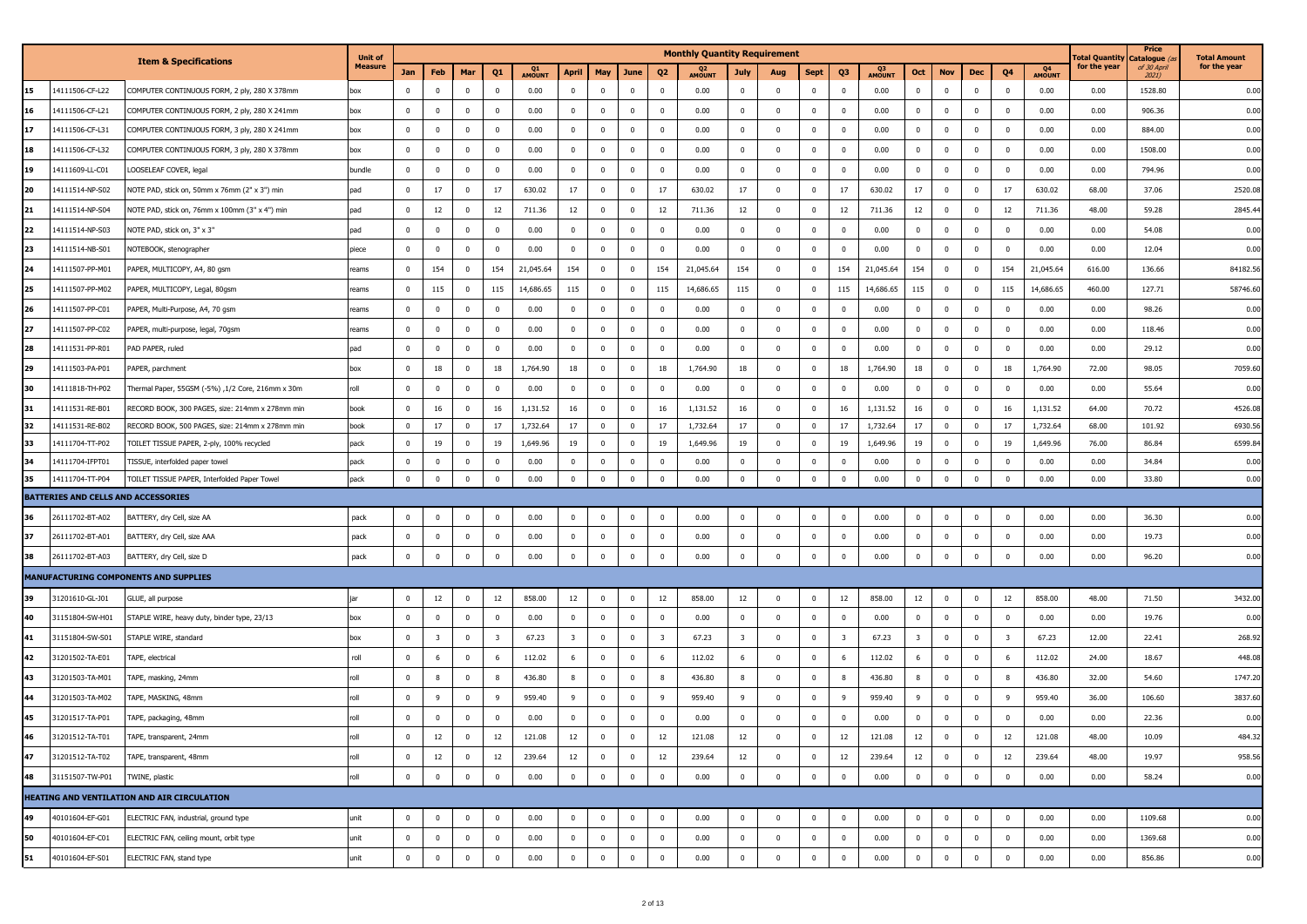|    |                                     |                                                   | <b>Unit of</b> |             |                         |                |                         |              |                         |                |                |                          | <b>Monthly Quantity Requirement</b> |                         |                         |             |                         |              |                         |              |                |                         |              | <b>Total Quantity</b> | Price<br>Catalogue (    | <b>Total Amount</b> |
|----|-------------------------------------|---------------------------------------------------|----------------|-------------|-------------------------|----------------|-------------------------|--------------|-------------------------|----------------|----------------|--------------------------|-------------------------------------|-------------------------|-------------------------|-------------|-------------------------|--------------|-------------------------|--------------|----------------|-------------------------|--------------|-----------------------|-------------------------|---------------------|
|    |                                     | <b>Item &amp; Specifications</b>                  | Measure        | Jan         | Feb                     | Mar            | Q1                      | Q1<br>AMOUNT | <b>April</b>            | May            | June           | Q <sub>2</sub>           | Q <sub>2</sub><br>AMOUNT            | <b>July</b>             | Aug                     | <b>Sept</b> | Q <sub>3</sub>          | Q3<br>AMOUNT | Oct                     | <b>Nov</b>   | Dec            | Q <sub>4</sub>          | Q4<br>AMOUNT | for the year          | of 30 April<br>$2021$ ) | for the year        |
| 15 | 14111506-CF-L22                     | COMPUTER CONTINUOUS FORM, 2 ply, 280 X 378mm      | box            | $\mathbf 0$ | $^{\circ}$              | $\mathbf 0$    | $\bf{0}$                | 0.00         | $\mathbf 0$             | $\mathbf{0}$   | $\mathbf 0$    | $\overline{\mathbf{0}}$  | 0.00                                | $\mathbf 0$             | $\mathbf 0$             | $\mathbf 0$ | $\mathbf 0$             | 0.00         | $\mathbf{0}$            | $\mathbf 0$  | $\mathbf 0$    | $\overline{\mathbf{0}}$ | 0.00         | 0.00                  | 1528.80                 | 0.00                |
| 16 | 14111506-CF-L21                     | COMPUTER CONTINUOUS FORM, 2 ply, 280 X 241mm      | box            | $\mathbf 0$ | $\mathbf 0$             | $\mathbf 0$    | $^{\circ}$              | 0.00         | $\mathbf{0}$            | $\overline{0}$ | $\mathbf 0$    | $\overline{\mathbf{0}}$  | 0.00                                | $\mathbf{0}$            | $\overline{\mathbf{0}}$ | $\mathbf 0$ | $\mathbf 0$             | 0.00         | $\mathbf 0$             | $\mathbf 0$  | $\mathbf 0$    | $\overline{\mathbf{0}}$ | 0.00         | 0.00                  | 906.36                  | 0.00                |
| 17 | 14111506-CF-L31                     | COMPUTER CONTINUOUS FORM, 3 ply, 280 X 241mm      | box            | $\mathbf 0$ | $\mathbf 0$             | $\mathbf 0$    | $^{\circ}$              | 0.00         | $\mathbf 0$             | $\mathbf{0}$   | $\mathbf{0}$   | $\overline{\mathbf{0}}$  | 0.00                                | $\mathbf 0$             | $\mathbf 0$             | $\mathbf 0$ | $\overline{0}$          | 0.00         | $\mathbf 0$             | $\mathbf 0$  | $\Omega$       | $\overline{0}$          | 0.00         | 0.00                  | 884.00                  | 0.00                |
| 18 | 14111506-CF-L32                     | COMPUTER CONTINUOUS FORM, 3 ply, 280 X 378mm      | box            | $\mathbf 0$ | $\overline{\mathbf{0}}$ | $\mathbf 0$    | 0                       | 0.00         | $\mathbf{0}$            | $\overline{0}$ | $\mathbf{0}$   | $\overline{\mathbf{0}}$  | 0.00                                | $\mathbf{0}$            | $\mathbf 0$             | $\bf{0}$    | $\mathbf 0$             | 0.00         | $\mathbf 0$             | $\mathbf 0$  | $\Omega$       | $^{\circ}$              | 0.00         | 0.00                  | 1508.00                 | 0.00                |
| 19 | 14111609-LL-C01                     | LOOSELEAF COVER, legal                            | bundle         | $\mathbf 0$ | $\bf{0}$                | $\mathbf 0$    | $^{\circ}$              | 0.00         | $\bf{0}$                | $\mathbf 0$    | $\mathbf 0$    | $\overline{\mathbf{0}}$  | 0.00                                | $\mathbf 0$             | $\mathbf 0$             | $\mathbf 0$ | $\mathbf 0$             | 0.00         | $\mathbf 0$             | $\mathbf 0$  | $\overline{0}$ | $\overline{0}$          | 0.00         | 0.00                  | 794.96                  | 0.00                |
| 20 | 14111514-NP-S02                     | NOTE PAD, stick on, 50mm x 76mm (2" x 3") min     | pad            | $\mathbf 0$ | 17                      | $\mathbf{0}$   | 17                      | 630.02       | 17                      | $\mathbf{0}$   | 0              | 17                       | 630.02                              | 17                      | $\mathbf 0$             | $\mathbf 0$ | 17                      | 630.02       | 17                      | $^{\circ}$   | $\Omega$       | 17                      | 630.02       | 68.00                 | 37.06                   | 2520.08             |
| 21 | 14111514-NP-S04                     | NOTE PAD, stick on, 76mm x 100mm (3" x 4") min    | pad            | $\mathbf 0$ | 12                      | $\mathbf 0$    | 12                      | 711.36       | 12                      | $\bf{0}$       | 0              | 12                       | 711.36                              | 12                      | $\mathbf 0$             | $\mathbf 0$ | 12                      | 711.36       | 12                      | $\mathbf 0$  | $\Omega$       | 12                      | 711.36       | 48.00                 | 59.28                   | 2845.44             |
| 22 | 14111514-NP-S03                     | NOTE PAD, stick on, 3" x 3"                       | pad            | $\mathbf 0$ | $\overline{0}$          | $\mathbf 0$    | $^{\circ}$              | 0.00         | $\mathbf 0$             | $\overline{0}$ | $^{\circ}$     | $\overline{\phantom{0}}$ | 0.00                                | $\mathbf{0}$            | $\mathbf 0$             | $\mathbf 0$ | $\mathbf 0$             | 0.00         | $\mathbf 0$             | $\mathbf 0$  | $\overline{0}$ | $\overline{\mathbf{0}}$ | 0.00         | 0.00                  | 54.08                   | 0.00                |
| 23 | 14111514-NB-S01                     | NOTEBOOK, stenographer                            | piece          | $\Omega$    | $\mathbf 0$             | $\mathbf 0$    | $\Omega$                | 0.00         | $\mathbf 0$             | $\mathbf{0}$   | $\mathbf{0}$   | $\overline{\mathbf{0}}$  | 0.00                                | $\mathbf 0$             | $\Omega$                | $\mathbf 0$ | $\mathbf 0$             | 0.00         | $\mathbf{0}$            | $\Omega$     | $\Omega$       | $\overline{0}$          | 0.00         | 0.00                  | 12.04                   | 0.00                |
| 24 | 14111507-PP-M01                     | PAPER, MULTICOPY, A4, 80 gsm                      | eams           | $\mathbf 0$ | 154                     | $\mathbf 0$    | 154                     | 21,045.64    | 154                     | $\mathbf{0}$   | 0              | 154                      | 21,045.64                           | 154                     | $\overline{0}$          | $\mathbf 0$ | 154                     | 21,045.64    | 154                     | $\mathbf 0$  | $\overline{0}$ | 154                     | 21,045.64    | 616.00                | 136.66                  | 84182.56            |
| 25 | 14111507-PP-M02                     | PAPER, MULTICOPY, Legal, 80gsm                    | eams           | $\Omega$    | 115                     | $\mathbf 0$    | 115                     | 14,686.65    | 115                     | $\overline{0}$ | $\mathbf 0$    | 115                      | 14,686.65                           | 115                     | $\overline{\mathbf{0}}$ | $\bf{0}$    | 115                     | 14,686.65    | 115                     | $\Omega$     | $\Omega$       | 115                     | 14,686.65    | 460.00                | 127.71                  | 58746.60            |
| 26 | 14111507-PP-C01                     | PAPER, Multi-Purpose, A4, 70 gsm                  | eams           | $\mathbf 0$ | $\overline{0}$          | $\mathbf 0$    | $^{\circ}$              | 0.00         | $\overline{0}$          | $\overline{0}$ | 0              | $\overline{\mathbf{0}}$  | 0.00                                | $\mathbf 0$             | $\overline{\mathbf{0}}$ | $\bf{0}$    | $\mathbf 0$             | 0.00         | $\mathbf 0$             | $\mathbf 0$  | $\overline{0}$ | $\overline{\mathbf{0}}$ | 0.00         | 0.00                  | 98.26                   | 0.00                |
| 27 | 14111507-PP-C02                     | PAPER, multi-purpose, legal, 70gsm                | reams          | 0           | $\mathbf 0$             | $\mathbf 0$    | 0                       | 0.00         | $\overline{0}$          | $\bf{0}$       | $^{\circ}$     | $\overline{\mathbf{0}}$  | 0.00                                | $\mathbf{0}$            | $\mathbf 0$             | $\pmb{0}$   | $\mathbf 0$             | 0.00         | $\mathbf 0$             | $\mathbf 0$  | $^{\circ}$     | $\overline{\mathbf{0}}$ | 0.00         | 0.00                  | 118.46                  | 0.00                |
| 28 | 14111531-PP-R01                     | PAD PAPER, ruled                                  | pad            | $\mathbf 0$ | $\overline{0}$          | $\mathbf 0$    | $^{\circ}$              | 0.00         | $\bf{0}$                | $\mathbf{0}$   | $\mathbf 0$    | $\overline{\mathbf{0}}$  | 0.00                                | $\mathbf 0$             | $\overline{0}$          | $\mathbf 0$ | $\overline{0}$          | 0.00         | $\mathbf 0$             | $\mathbf 0$  | $\overline{0}$ | $\overline{0}$          | 0.00         | 0.00                  | 29.12                   | 0.00                |
| 29 | 14111503-PA-P01                     | PAPER, parchment                                  | box            | 0           | 18                      | $\mathbf 0$    | 18                      | 1,764.90     | 18                      | $\bf{0}$       | $\overline{0}$ | 18                       | 1,764.90                            | 18                      | $\overline{\mathbf{0}}$ | $\mathbf 0$ | 18                      | 1,764.90     | 18                      | $\mathbf 0$  | $\overline{0}$ | 18                      | 1,764.90     | 72.00                 | 98.05                   | 7059.60             |
| 30 | 14111818-TH-P02                     | fhermal Paper, 55GSM (-5%) ,1/2 Core, 216mm x 30m | roll           | $\mathbf 0$ | $^{\circ}$              | $\mathbf 0$    | $^{\circ}$              | 0.00         | $\mathbf 0$             | $\mathbf 0$    | $\mathbf 0$    | $\overline{\mathbf{0}}$  | 0.00                                | $\mathbf 0$             | $\overline{0}$          | $\mathbf 0$ | $^{\circ}$              | 0.00         | $\mathbf 0$             | $\mathbf 0$  | $\mathbf 0$    | $\overline{0}$          | 0.00         | 0.00                  | 55.64                   | 0.00                |
| 31 | 14111531-RE-B01                     | RECORD BOOK, 300 PAGES, size: 214mm x 278mm min   | book           | $\mathbf 0$ | 16                      | $\mathbf 0$    | 16                      | 1,131.52     | 16                      | $\mathbf{0}$   | $\mathbf 0$    | 16                       | 1,131.52                            | 16                      | $\mathbf 0$             | $\mathbf 0$ | 16                      | 1,131.52     | 16                      | $\Omega$     | $\overline{0}$ | 16                      | 1,131.52     | 64.00                 | 70.72                   | 4526.08             |
| 32 | 14111531-RE-B02                     | RECORD BOOK, 500 PAGES, size: 214mm x 278mm min   | book           | $\Omega$    | 17                      | $\mathbf 0$    | 17                      | 1,732.64     | 17                      | $\mathbf{0}$   | $\mathbf{0}$   | 17                       | 1,732.64                            | 17                      | $\overline{0}$          | $\mathbf 0$ | 17                      | 1,732.64     | 17                      | $\Omega$     | $\Omega$       | 17                      | 1,732.64     | 68.00                 | 101.92                  | 6930.56             |
| 33 | 14111704-TT-P02                     | TOILET TISSUE PAPER, 2-ply, 100% recycled         | pack           | $\mathbf 0$ | 19                      | $\mathbf 0$    | 19                      | 1,649.96     | 19                      | $\mathbf{0}$   | $^{\circ}$     | 19                       | 1,649.96                            | 19                      | $\mathbf 0$             | $\mathbf 0$ | 19                      | 1,649.96     | 19                      | $\mathbf 0$  | $\overline{0}$ | 19                      | 1,649.96     | 76.00                 | 86.84                   | 6599.84             |
| 34 | 14111704-IFPT01                     | TISSUE, interfolded paper towel                   | pack           | 0           | $\overline{\mathbf{0}}$ | $\mathbf 0$    | $^{\circ}$              | 0.00         | $\mathbf{0}$            | $\bf{0}$       | 0              | $\overline{\mathbf{0}}$  | 0.00                                | $\mathbf{0}$            | $\mathbf 0$             | $\pmb{0}$   | $\mathbf 0$             | 0.00         | $\mathbf 0$             | $\mathbf 0$  | $\overline{0}$ | $\overline{\mathbf{0}}$ | 0.00         | 0.00                  | 34.84                   | 0.00                |
| 35 | 14111704-TT-P04                     | TOILET TISSUE PAPER, Interfolded Paper Towel      | pack           | $\mathbf 0$ | $\bf{0}$                | $\pmb{0}$      | $^{\circ}$              | 0.00         | $\mathbf 0$             | $\mathbf 0$    | $\pmb{0}$      | $\mathbf 0$              | 0.00                                | $\mathbf 0$             | $\overline{0}$          | $\mathbf 0$ | $\mathbf 0$             | 0.00         | $\mathbf 0$             | $\mathbf 0$  | $\overline{0}$ | $\overline{0}$          | 0.00         | 0.00                  | 33.80                   | 0.00                |
|    | BATTERIES AND CELLS AND ACCESSORIES |                                                   |                |             |                         |                |                         |              |                         |                |                |                          |                                     |                         |                         |             |                         |              |                         |              |                |                         |              |                       |                         |                     |
| 36 | 26111702-BT-A02                     | BATTERY, dry Cell, size AA                        | pack           | $\mathbf 0$ | $\overline{\mathbf{0}}$ | $\pmb{0}$      | $^{\circ}$              | 0.00         | $\overline{0}$          | $\bf{0}$       | $\pmb{0}$      | $\overline{\mathbf{0}}$  | 0.00                                | $\mathbf 0$             | $\overline{0}$          | $\bf{0}$    | $\mathbf 0$             | 0.00         | $\mathbf 0$             | $\mathbf 0$  | $\Omega$       | $\overline{\mathbf{0}}$ | 0.00         | 0.00                  | 36.30                   | 0.00                |
| 37 | 26111702-BT-A01                     | BATTERY, dry Cell, size AAA                       | pack           | $\mathbf 0$ | $\overline{0}$          | $\mathbf 0$    | $^{\circ}$              | 0.00         | $\mathbf 0$             | $\bf{0}$       | 0              | $\overline{\mathbf{0}}$  | 0.00                                | $\mathbf{0}$            | $\overline{0}$          | $\mathbf 0$ | $\mathbf 0$             | 0.00         | $\mathbf 0$             | $\mathbf 0$  | $\overline{0}$ | $\overline{\mathbf{0}}$ | 0.00         | 0.00                  | 19.73                   | 0.00                |
| 38 | 26111702-BT-A03                     | BATTERY, dry Cell, size D                         | pack           | $\mathbf 0$ | $\pmb{0}$               | $\overline{0}$ | $^{\circ}$              | 0.00         | $\mathbf 0$             | $\bf{0}$       | $\mathbf 0$    | $\mathbf 0$              | 0.00                                | $\pmb{0}$               | $\overline{0}$          | $\pmb{0}$   | $\mathbf 0$             | 0.00         | $\mathbf 0$             | $\Omega$     | $\mathbf 0$    | $\overline{\mathbf{0}}$ | 0.00         | 0.00                  | 96.20                   | 0.00                |
|    |                                     | <b>MANUFACTURING COMPONENTS AND SUPPLIES</b>      |                |             |                         |                |                         |              |                         |                |                |                          |                                     |                         |                         |             |                         |              |                         |              |                |                         |              |                       |                         |                     |
| 39 | 31201610-GL-J01                     | GLUE, all purpose                                 | iar            | $\mathbf 0$ | 12                      | $\mathbf 0$    | 12                      | 858.00       | 12                      | $\bf{0}$       | $^{\circ}$     | 12                       | 858.00                              | 12                      | $\overline{0}$          | $\mathbf 0$ | 12                      | 858.00       | 12                      | $\mathbf 0$  | $\overline{0}$ | 12                      | 858.00       | 48.00                 | 71.50                   | 3432.00             |
| 40 | 31151804-SW-H01                     | STAPLE WIRE, heavy duty, binder type, 23/13       | box            | $\mathbf 0$ | $\overline{0}$          | $\mathbf{0}$   | $^{\circ}$              | 0.00         | $\overline{0}$          | $\mathbf{0}$   | $^{\circ}$     | $\overline{0}$           | 0.00                                | $^{\circ}$              | $\overline{0}$          | $\mathbf 0$ | $\overline{0}$          | 0.00         | $\mathbf 0$             | $\mathbf 0$  | $\overline{0}$ | $^{\circ}$              | 0.00         | 0.00                  | 19.76                   | 0.00                |
| 41 | 31151804-SW-S01                     | STAPLE WIRE, standard                             | box            | $\mathbf 0$ | $\overline{\mathbf{3}}$ | $\mathbf 0$    | $\overline{\mathbf{3}}$ | 67.23        | $\overline{\mathbf{3}}$ | $\bf{0}$       | 0              | - 3                      | 67.23                               | $\overline{\mathbf{3}}$ | $\overline{0}$          | $\mathbf 0$ | $\overline{\mathbf{3}}$ | 67.23        | $\overline{\mathbf{3}}$ | $^{\circ}$   | $\Omega$       | $\overline{\mathbf{3}}$ | 67.23        | 12.00                 | 22.41                   | 268.92              |
| 42 | 31201502-TA-E01                     | TAPE, electrical                                  | roll           | $\mathbf 0$ | 6                       | $\mathbf 0$    |                         | 112.02       | 6                       | $\overline{0}$ | $^{\circ}$     | 6                        | 112.02                              | 6                       | $\overline{0}$          | $\mathbf 0$ | 6                       | 112.02       | 6                       | $\mathbf 0$  | $\overline{0}$ | 6                       | 112.02       | 24.00                 | 18.67                   | 448.08              |
| 43 | 31201503-TA-M01                     | TAPE, masking, 24mm                               | roll           | $\mathbf 0$ | 8                       | $\mathbf 0$    | 8                       | 436.80       | 8                       | $\mathbf{0}$   | $\mathbf{0}$   | 8                        | 436.80                              | 8                       | $\overline{0}$          | $\mathbf 0$ | 8                       | 436.80       | 8                       | $\Omega$     | $\mathbf 0$    | 8                       | 436.80       | 32.00                 | 54.60                   | 1747.20             |
| 44 | 31201503-TA-M02                     | TAPE, MASKING, 48mm                               | roll           | $\mathbf 0$ | $\overline{9}$          | $\mathbf 0$    | 9                       | 959.40       | 9                       | $\mathbf{0}$   | $\mathbf 0$    | 9                        | 959.40                              | 9                       | $\overline{0}$          | $\mathbf 0$ | 9                       | 959.40       | 9                       | $\mathbf 0$  | $\Omega$       | - 9                     | 959.40       | 36.00                 | 106.60                  | 3837.60             |
| 45 | 31201517-TA-P01                     | TAPE, packaging, 48mm                             | roll           | $\mathbf 0$ | $\overline{0}$          | $\mathbf 0$    | 0                       | 0.00         | $\mathbf 0$             | $\mathbf 0$    | $\mathbf{0}$   | $\overline{\mathbf{0}}$  | 0.00                                | $\mathbf 0$             | 0                       | $\pmb{0}$   | $\mathbf 0$             | 0.00         | $\mathbf 0$             | $\mathbf{0}$ | $\mathbf 0$    | $\overline{\mathbf{0}}$ | 0.00         | 0.00                  | 22.36                   | 0.00                |
|    | 31201512-TA-T01                     | TAPE, transparent, 24mm                           | roll           | $\bf{0}$    | 12                      | $\overline{0}$ | 12                      | 121.08       | 12                      | $\overline{0}$ | $\mathbf{0}$   | 12                       | 121.08                              | 12                      | $\overline{0}$          | $\mathbf 0$ | $12\,$                  | 121.08       | 12                      | $\mathbf{0}$ | $\mathbf{0}$   | 12                      | 121.08       | 48.00                 | 10.09                   | 484.32              |
| 47 | 31201512-TA-T02                     | TAPE, transparent, 48mm                           | roll           | $\bf{0}$    | 12                      | $\bf{0}$       | 12                      | 239.64       | 12                      | $\bf{0}$       | $\overline{0}$ | 12                       | 239.64                              | 12                      | $\mathbf{0}$            | $\bf{0}$    | 12                      | 239.64       | 12                      | $\bf{0}$     | $\bf{0}$       | 12                      | 239.64       | 48.00                 | 19.97                   | 958.56              |
| 48 | 31151507-TW-P01                     | TWINE, plastic                                    | roll           | $\mathbf 0$ | $\overline{0}$          | $\mathbf 0$    | $\bf{0}$                | 0.00         | $\mathbf{0}$            | $\bf{0}$       | $\bf{0}$       | $\mathbf{0}$             | 0.00                                | $\mathbf{0}$            | $\mathbf 0$             | $\bf{0}$    | $\,0\,$                 | 0.00         | $\mathbf 0$             | $\mathbf 0$  | $\bf{0}$       | $\overline{0}$          | 0.00         | 0.00                  | 58.24                   | 0.00                |
|    |                                     | HEATING AND VENTILATION AND AIR CIRCULATION       |                |             |                         |                |                         |              |                         |                |                |                          |                                     |                         |                         |             |                         |              |                         |              |                |                         |              |                       |                         |                     |
| 49 | 40101604-EF-G01                     | ELECTRIC FAN, industrial, ground type             | unit           | $\mathbf 0$ | $\overline{\mathbf{0}}$ | $\bf{0}$       | $\mathbf 0$             | 0.00         | $\bf{0}$                | $\bf{0}$       | $\bf{0}$       | $\overline{\mathbf{0}}$  | 0.00                                | $\mathbf 0$             | $\overline{0}$          | $\bf{0}$    | $\mathbf 0$             | 0.00         | $\mathbf 0$             | $\mathbf 0$  | $\overline{0}$ | $\bf{0}$                | 0.00         | 0.00                  | 1109.68                 | 0.00                |
| 50 | 40101604-EF-C01                     | ELECTRIC FAN, ceiling mount, orbit type           | unit           | $\mathbf 0$ | $\bf{0}$                | $\bf{0}$       | $^{\circ}$              | 0.00         | $\overline{0}$          | $\bf{0}$       | $\overline{0}$ | $\overline{0}$           | 0.00                                | $\mathbf 0$             | $\mathbf 0$             | $\bf{0}$    | $\mathbf 0$             | 0.00         | $\mathbf 0$             | $\mathbf 0$  | $\mathbf{0}$   | $\overline{0}$          | 0.00         | 0.00                  | 1369.68                 | 0.00                |
| 51 | 40101604-EF-S01                     | ELECTRIC FAN, stand type                          | unit           | $\mathbf 0$ | $\overline{0}$          | $\bf{0}$       | $\mathbf 0$             | 0.00         | $\bf{0}$                | $\mathbf 0$    | $\mathbf{0}$   | $\overline{\mathbf{0}}$  | 0.00                                | $\mathbf 0$             | $\mathbf 0$             | $\mathbf 0$ | $\,0\,$                 | 0.00         | $\mathbf 0$             | $\pmb{0}$    | $\mathbf{0}$   | $\overline{\mathbf{0}}$ | 0.00         | 0.00                  | 856.86                  | 0.00                |
|    |                                     |                                                   |                |             |                         |                |                         |              |                         |                |                |                          |                                     |                         |                         |             |                         |              |                         |              |                |                         |              |                       |                         |                     |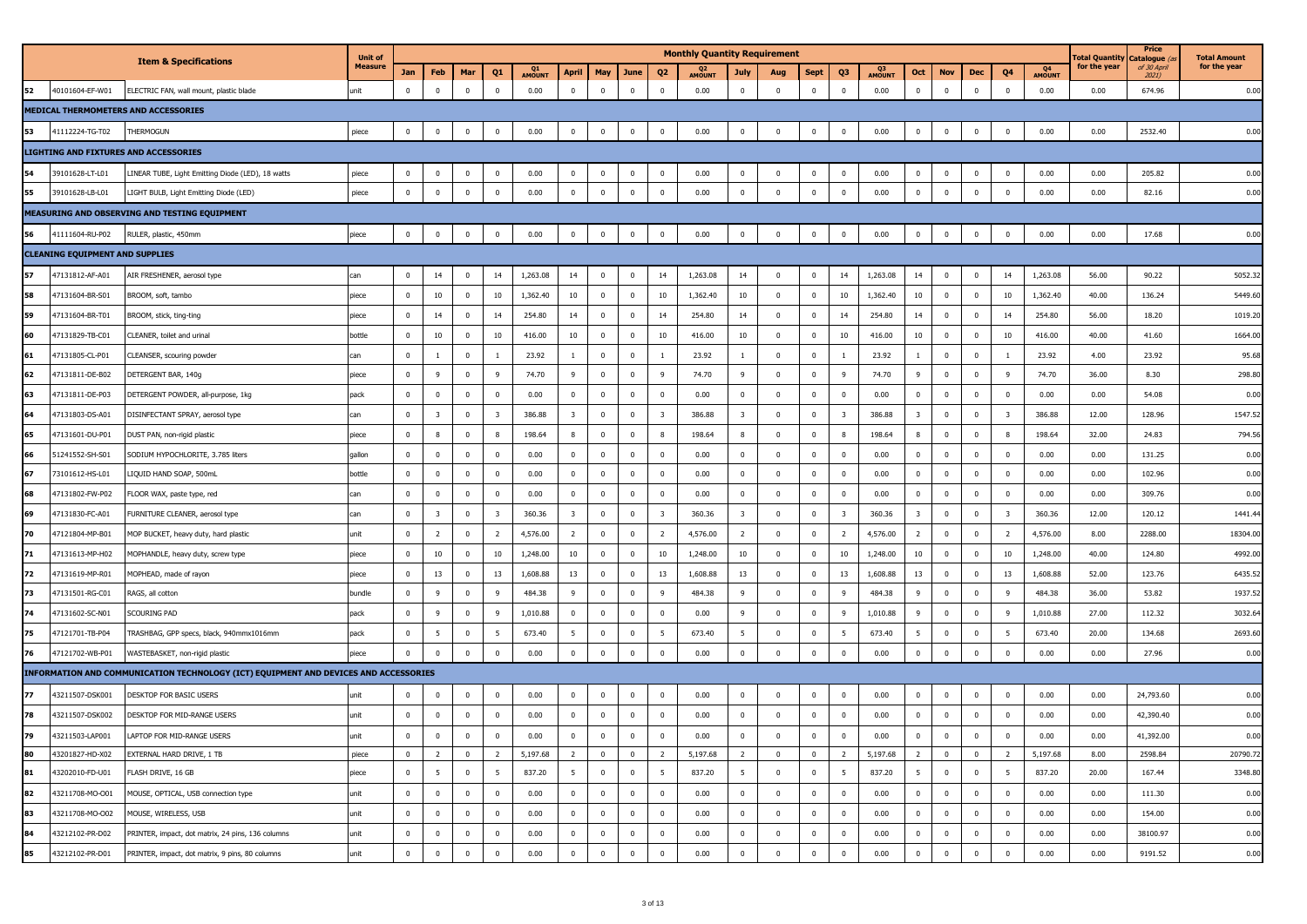|    |                                        |                                                                                      | <b>Unit of</b> |                |                         |              |                 |                     |                         |                |                         |                         | <b>Monthly Quantity Requirement</b> |                         |                         |                         |                         |              |                         |                         |                         |                |                     | <b>Total Quantity</b> | Price<br>Catalogue   | <b>Total Amount</b> |
|----|----------------------------------------|--------------------------------------------------------------------------------------|----------------|----------------|-------------------------|--------------|-----------------|---------------------|-------------------------|----------------|-------------------------|-------------------------|-------------------------------------|-------------------------|-------------------------|-------------------------|-------------------------|--------------|-------------------------|-------------------------|-------------------------|----------------|---------------------|-----------------------|----------------------|---------------------|
|    |                                        | <b>Item &amp; Specifications</b>                                                     | <b>Measure</b> | Jan            | Feb                     | Mar          | Q1              | Q1<br><b>AMOUNT</b> | April                   | May            | June                    | Q <sub>2</sub>          | Q <sub>2</sub><br><b>AMOUNT</b>     | July                    | Aug                     | Sept                    | Q3                      | Q3<br>AMOUNT | Oct                     | <b>Nov</b>              | Dec                     | Q4             | Q4<br><b>AMOUNT</b> | for the year          | of 30 April<br>2021) | for the year        |
| 52 | 40101604-EF-W01                        | ELECTRIC FAN, wall mount, plastic blade                                              | unit           | $\overline{0}$ | $\mathbf{0}$            | $^{\circ}$   | $\mathbf 0$     | 0.00                | $\overline{\mathbf{0}}$ | $\mathbf 0$    | $\overline{0}$          | $\mathbf{0}$            | 0.00                                | $\mathbf 0$             | $\overline{0}$          | $\bf{0}$                | $\mathbf 0$             | 0.00         | $\mathbf{0}$            | $\mathbf 0$             | $\mathbf 0$             | $\bf{0}$       | 0.00                | 0.00                  | 674.96               | 0.00                |
|    |                                        | MEDICAL THERMOMETERS AND ACCESSORIES                                                 |                |                |                         |              |                 |                     |                         |                |                         |                         |                                     |                         |                         |                         |                         |              |                         |                         |                         |                |                     |                       |                      |                     |
|    | 41112224-TG-T02                        | THERMOGUN                                                                            | piece          | $\mathbf 0$    | $\mathbf 0$             | $^{\circ}$   | $\mathbf{0}$    | 0.00                | $\overline{\mathbf{0}}$ | $\mathbf 0$    | $\overline{\mathbf{0}}$ | $\pmb{0}$               | 0.00                                | $\mathbf 0$             | $\overline{0}$          | $\mathbf 0$             | $\mathbf 0$             | 0.00         | $\mathbf{0}$            | $\overline{0}$          | $\overline{\mathbf{0}}$ | $\mathbf 0$    | 0.00                | 0.00                  | 2532.40              | 0.00                |
|    |                                        | <b>LIGHTING AND FIXTURES AND ACCESSORIES</b>                                         |                |                |                         |              |                 |                     |                         |                |                         |                         |                                     |                         |                         |                         |                         |              |                         |                         |                         |                |                     |                       |                      |                     |
| 54 | 39101628-LT-L01                        | LINEAR TUBE, Light Emitting Diode (LED), 18 watts                                    | piece          | $\mathbf 0$    | $\mathbf 0$             | $^{\circ}$   | $\mathbf{0}$    | 0.00                | $\overline{0}$          | $\mathbf 0$    | $\mathbf 0$             | $\bf{0}$                | 0.00                                | $\mathbf 0$             | $\overline{0}$          | $\mathbf 0$             | $\overline{0}$          | 0.00         | $\bf{0}$                | $\overline{0}$          | $\overline{\mathbf{0}}$ | $\mathbf{0}$   | 0.00                | 0.00                  | 205.82               | 0.00                |
| 55 | 39101628-LB-L01                        | LIGHT BULB, Light Emitting Diode (LED)                                               | piece          | $\mathbf 0$    | $\mathbf{0}$            | $\mathbf 0$  | $\pmb{0}$       | 0.00                | $\,0\,$                 | $\mathbf 0$    | $\bf{0}$                | $\bf{0}$                | 0.00                                | $\mathbf 0$             | $\mathbf 0$             | $\overline{0}$          | $\mathbf 0$             | 0.00         | $\bf{0}$                | $\mathbf 0$             | $\mathbf 0$             | $\bf{0}$       | 0.00                | 0.00                  | 82.16                | 0.00                |
|    |                                        | <b>MEASURING AND OBSERVING AND TESTING EQUIPMENT</b>                                 |                |                |                         |              |                 |                     |                         |                |                         |                         |                                     |                         |                         |                         |                         |              |                         |                         |                         |                |                     |                       |                      |                     |
| 56 | 41111604-RU-P02                        | RULER, plastic, 450mm                                                                | piece          | $\mathbf 0$    | $\mathbf 0$             | $\mathbf 0$  | $\mathbf 0$     | 0.00                | $\overline{\mathbf{0}}$ | $\mathbf 0$    | $\overline{0}$          | $\mathbf 0$             | 0.00                                | $\mathbf 0$             | $\overline{0}$          | $\mathbf 0$             | $\mathbf 0$             | 0.00         | $\mathbf 0$             | $\overline{0}$          | $\mathbf 0$             | $\bf{0}$       | 0.00                | 0.00                  | 17.68                | 0.00                |
|    | <b>CLEANING EQUIPMENT AND SUPPLIES</b> |                                                                                      |                |                |                         |              |                 |                     |                         |                |                         |                         |                                     |                         |                         |                         |                         |              |                         |                         |                         |                |                     |                       |                      |                     |
| 57 | 47131812-AF-A01                        | AIR FRESHENER, aerosol type                                                          | can            | $\overline{0}$ | 14                      | $^{\circ}$   | 14              | 1,263.08            | 14                      | $\mathbf 0$    | $\mathbf 0$             | 14                      | 1,263.08                            | 14                      | $\overline{0}$          | $\mathbf 0$             | 14                      | 1,263.08     | 14                      | $\overline{0}$          | $\overline{0}$          | 14             | 1,263.08            | 56.00                 | 90.22                | 5052.32             |
| 58 | 47131604-BR-S01                        | BROOM, soft, tambo                                                                   | piece          | $\mathbf 0$    | 10                      | $\mathbf 0$  | 10              | 1,362.40            | 10                      | $\mathbf 0$    | $\bf{0}$                | 10                      | 1,362.40                            | 10                      | $\overline{\mathbf{0}}$ | $\mathbf 0$             | 10                      | 1,362.40     | 10                      | $\Omega$                | $\overline{0}$          | 10             | 1,362.40            | 40.00                 | 136.24               | 5449.60             |
| 59 | 47131604-BR-T01                        | BROOM, stick, ting-ting                                                              | piece          | $\overline{0}$ | 14                      | $^{\circ}$   | 14              | 254.80              | 14                      | $\mathbf 0$    | $^{\circ}$              | 14                      | 254.80                              | 14                      | $\overline{0}$          | $\mathbf 0$             | 14                      | 254.80       | 14                      | $\overline{0}$          | $\mathbf 0$             | 14             | 254.80              | 56.00                 | 18.20                | 1019.20             |
| 60 | 47131829-TB-C01                        | CLEANER, toilet and urinal                                                           | bottle         | $\mathbf 0$    | 10                      | $^{\circ}$   | 10              | 416.00              | 10                      | $\mathbf 0$    | $\mathbf{0}$            | 10                      | 416.00                              | 10                      | $\overline{\mathbf{0}}$ | $\bf{0}$                | 10                      | 416.00       | 10                      | $\overline{\mathbf{0}}$ | $\overline{\mathbf{0}}$ | 10             | 416.00              | 40.00                 | 41.60                | 1664.00             |
| 61 | 47131805-CL-P01                        | CLEANSER, scouring powder                                                            | can            | $\mathbf 0$    | $\mathbf{1}$            | $^{\circ}$   | $\mathbf{1}$    | 23.92               | $\mathbf{1}$            | $\mathbf 0$    | $\mathbf 0$             | $\mathbf{1}$            | 23.92                               | $\mathbf{1}$            | $\overline{\mathbf{0}}$ | $\bf{0}$                |                         | 23.92        | $\mathbf{1}$            | $\overline{0}$          | $\overline{\mathbf{0}}$ |                | 23.92               | 4.00                  | 23.92                | 95.68               |
| 62 | 47131811-DE-B02                        | DETERGENT BAR, 140g                                                                  | piece          | 0              | 9                       | $^{\circ}$   | -9              | 74.70               | 9                       | $\pmb{0}$      | 0                       | 9                       | 74.70                               | -9                      | $\overline{0}$          | $\bf{0}$                | -9                      | 74.70        | 9                       | $^{\circ}$              | $\overline{\mathbf{0}}$ | -9             | 74.70               | 36.00                 | 8.30                 | 298.80              |
| 63 | 47131811-DE-P03                        | DETERGENT POWDER, all-purpose, 1kg                                                   | pack           | $\mathbf 0$    | $\mathbf{0}$            | $^{\circ}$   | $\mathbf{0}$    | 0.00                | $\bf{0}$                | $\mathbf 0$    | $\pmb{0}$               | $\mathbf 0$             | 0.00                                | $\mathbf 0$             | $\overline{0}$          | $\mathbf 0$             | $\mathbf{0}$            | 0.00         | $\mathbf{0}$            | $\overline{0}$          | $\mathbf 0$             | $\mathbf 0$    | 0.00                | 0.00                  | 54.08                | 0.00                |
| 64 | 47131803-DS-A01                        | DISINFECTANT SPRAY, aerosol type                                                     | can            | 0              | 3                       | $\mathbf 0$  | 3               | 386.88              | $\overline{\mathbf{3}}$ | $\mathbf 0$    | $\mathbf 0$             | $\overline{\mathbf{3}}$ | 386.88                              | $\overline{\mathbf{3}}$ | $\overline{\mathbf{0}}$ | $\bf{0}$                | $\overline{\mathbf{3}}$ | 386.88       | $\overline{\mathbf{3}}$ | $\overline{0}$          | $\overline{\mathbf{0}}$ | 3              | 386.88              | 12.00                 | 128.96               | 1547.52             |
| 65 | 47131601-DU-P01                        | DUST PAN, non-rigid plastic                                                          | piece          | $\mathbf 0$    | 8                       | $^{\circ}$   | 8               | 198.64              | 8                       | $\mathbf 0$    | $\mathbf 0$             | 8                       | 198.64                              | 8                       | $\overline{0}$          | $\mathbf{0}$            | 8                       | 198.64       | 8                       | $\mathbf 0$             | $\overline{0}$          | 8              | 198.64              | 32.00                 | 24.83                | 794.56              |
| 66 | 51241552-SH-S01                        | SODIUM HYPOCHLORITE, 3.785 liters                                                    | gallon         | $\overline{0}$ | $\mathbf 0$             | $^{\circ}$   | $^{\circ}$      | 0.00                | $\overline{\mathbf{0}}$ | $\pmb{0}$      | 0                       | $\bf{0}$                | 0.00                                | $\mathbf 0$             | $\overline{\mathbf{0}}$ | $\bf{0}$                | $\overline{0}$          | 0.00         | $\mathbf{0}$            | $^{\circ}$              | $\overline{\mathbf{0}}$ | $\mathbf 0$    | 0.00                | 0.00                  | 131.25               | 0.00                |
| 67 | 73101612-HS-L01                        | LIQUID HAND SOAP, 500mL                                                              | bottle         | $\Omega$       | $\mathbf{0}$            | $^{\circ}$   | $\mathbf{0}$    | 0.00                | $\overline{0}$          | $\mathbf 0$    | $\mathbf 0$             | $\mathbf{0}$            | 0.00                                | $\mathbf{0}$            | $\overline{0}$          | $\mathbf 0$             | $\overline{0}$          | 0.00         | $\mathbf{0}$            | $\overline{0}$          | $\mathbf 0$             | $\mathbf 0$    | 0.00                | 0.00                  | 102.96               | 0.00                |
| 68 | 47131802-FW-P02                        | FLOOR WAX, paste type, red                                                           | can            | $\mathbf 0$    | $\mathbf 0$             | $^{\circ}$   | $\mathbf{0}$    | 0.00                | $\overline{\mathbf{0}}$ | $\mathbf 0$    | $\mathbf 0$             | $\bf{0}$                | 0.00                                | $\mathbf{0}$            | $\overline{\mathbf{0}}$ | $\overline{0}$          | $\overline{0}$          | 0.00         | $\mathbf{0}$            | $\overline{0}$          | $\overline{0}$          | $\mathbf 0$    | 0.00                | 0.00                  | 309.76               | 0.00                |
| 69 | 47131830-FC-A01                        | FURNITURE CLEANER, aerosol type                                                      | can            | $\mathbf 0$    | $\overline{\mathbf{3}}$ | $\Omega$     | 3               | 360.36              | $\overline{\mathbf{3}}$ | $\mathbf 0$    | $\mathbf 0$             | $\overline{\mathbf{3}}$ | 360.36                              | 3                       | $\mathbf 0$             | $\overline{\mathbf{0}}$ | $\overline{\mathbf{3}}$ | 360.36       | $\overline{\mathbf{3}}$ | $\overline{0}$          | $\overline{\mathbf{0}}$ | - 3            | 360.36              | 12.00                 | 120.12               | 1441.44             |
| 70 | 47121804-MP-B01                        | MOP BUCKET, heavy duty, hard plastic                                                 | unit           | $\overline{0}$ | $\overline{2}$          | $^{\circ}$   | 2               | 4,576.00            | $\overline{2}$          | $\mathbf 0$    | $\mathbf 0$             | $\overline{2}$          | 4,576.00                            | $\overline{2}$          | $\overline{0}$          | $\bf{0}$                | $\overline{2}$          | 4,576.00     | $\overline{2}$          | $\overline{0}$          | $\overline{0}$          | $\overline{2}$ | 4,576.00            | 8.00                  | 2288.00              | 18304.00            |
| 71 | 47131613-MP-H02                        | MOPHANDLE, heavy duty, screw type                                                    | piece          | $\mathbf 0$    | 10                      | $^{\circ}$   | 10              | 1,248.00            | 10                      | $\mathbf 0$    | $\mathbf 0$             | 10                      | 1,248.00                            | 10                      | $\overline{0}$          | $\mathbf 0$             | 10                      | 1,248.00     | 10                      | $\Omega$                | $\overline{\mathbf{0}}$ | 10             | 1,248.00            | 40.00                 | 124.80               | 4992.00             |
| 72 | 47131619-MP-R01                        | MOPHEAD, made of rayon                                                               | piece          | $\overline{0}$ | 13                      | $^{\circ}$   | 13              | 1,608.88            | 13                      | $\mathbf 0$    | $\mathbf 0$             | 13                      | 1,608.88                            | 13                      | $\overline{0}$          | $\overline{\mathbf{0}}$ | 13                      | 1,608.88     | 13                      | $\overline{0}$          | $\overline{0}$          | 13             | 1,608.88            | 52.00                 | 123.76               | 6435.52             |
| 73 | 47131501-RG-C01                        | RAGS, all cotton                                                                     | bundle         | $\mathbf 0$    | 9                       | $\Omega$     | -9              | 484.38              | 9                       | $\mathbf 0$    | $\mathbf 0$             | 9                       | 484.38                              | 9                       | $\overline{0}$          | $\mathbf 0$             | $\mathbf{q}$            | 484.38       | 9                       | $\Omega$                | $\overline{0}$          | 9              | 484.38              | 36.00                 | 53.82                | 1937.52             |
| 74 | 47131602-SC-N01                        | <b>SCOURING PAD</b>                                                                  | pack           | $\Omega$       | 9                       | $\Omega$     | -9              | 1,010.88            | $\overline{0}$          | $\mathbf 0$    | $\mathbf 0$             | $\mathbf{0}$            | 0.00                                | -9                      | $\overline{0}$          | $\mathbf 0$             | 9                       | 1,010.88     | 9                       | $\overline{0}$          | $\overline{0}$          | -9             | 1,010.88            | 27.00                 | 112.32               | 3032.64             |
| 75 | 47121701-TB-P04                        | TRASHBAG, GPP specs, black, 940mmx1016mm                                             | pack           | $\mathbf 0$    | 5                       | $^{\circ}$   | - 5             | 673.40              | 5                       | 0              | 0                       | 5                       | 673.40                              | -5                      | $\overline{\mathbf{0}}$ | $\overline{0}$          | - 5                     | 673.40       | 5 <sup>5</sup>          | $^{\circ}$              | $\overline{\mathbf{0}}$ | -5             | 673.40              | 20.00                 | 134.68               | 2693.60             |
| 76 | 47121702-WB-P01                        | WASTEBASKET, non-rigid plastic                                                       | piece          | $\mathbf 0$    | $\mathbf{0}$            | $\mathbf 0$  | $\mathbf 0$     | 0.00                | $\mathbf 0$             | $\mathbf 0$    | $\mathbf 0$             | $\mathbf 0$             | 0.00                                | $\mathbf 0$             | $\overline{0}$          | $\mathbf 0$             | $\mathbf 0$             | 0.00         | $\mathbf 0$             | $\overline{0}$          | $\mathbf{0}$            | $\mathbf 0$    | 0.00                | 0.00                  | 27.96                | 0.00                |
|    |                                        | INFORMATION AND COMMUNICATION TECHNOLOGY (ICT) EQUIPMENT AND DEVICES AND ACCESSORIES |                |                |                         |              |                 |                     |                         |                |                         |                         |                                     |                         |                         |                         |                         |              |                         |                         |                         |                |                     |                       |                      |                     |
| 77 | 43211507-DSK001                        | DESKTOP FOR BASIC USERS                                                              | unit           | 0              | 0                       | $^{\circ}$   | $\mathbf{0}$    | 0.00                | $\overline{0}$          | $\mathbf 0$    | $\mathbf 0$             | $\bf{0}$                | 0.00                                | $\mathbf 0$             | $\overline{0}$          | $\bf{0}$                | $\mathbf 0$             | 0.00         | $\bf{0}$                | $\overline{0}$          | $\overline{\mathbf{0}}$ | $\mathbf{0}$   | 0.00                | 0.00                  | 24,793.60            | 0.00                |
| 78 | 43211507-DSK002                        | DESKTOP FOR MID-RANGE USERS                                                          | unit           | $\mathbf 0$    | $\mathbf{0}$            | $^{\circ}$   | $\mathbf 0$     | 0.00                | $\,0\,$                 | $\mathbf 0$    | $\mathbf 0$             | $\mathbf 0$             | 0.00                                | $\mathbf 0$             | $\overline{0}$          | $\mathbf 0$             | $\overline{0}$          | 0.00         | $\bf{0}$                | $\overline{0}$          | $\,0\,$                 | $\mathbf 0$    | 0.00                | 0.00                  | 42,390.40            | 0.00                |
| 79 | 43211503-LAP001                        | LAPTOP FOR MID-RANGE USERS                                                           | unit           | 0              | $\mathbf{0}$            | U            | $\mathbf{0}$    | 0.00                | $\mathbf 0$             | $\bf{0}$       | $\pmb{0}$               | $\bf{0}$                | 0.00                                | 0                       | 0                       | 0                       | 0                       | 0.00         | $\bf{0}$                | $^{\circ}$              | $\overline{\mathbf{0}}$ | $^{\circ}$     | 0.00                | 0.00                  | 41,392.00            | 0.00                |
| 80 | 43201827-HD-X02                        | EXTERNAL HARD DRIVE, 1 TB                                                            | piece          | $\mathbf{0}$   | $\overline{2}$          | $\mathbf{0}$ | $\overline{2}$  | 5,197.68            | $\overline{2}$          | $\overline{0}$ | $\overline{0}$          | $\overline{2}$          | 5,197.68                            | $\overline{2}$          | $\overline{0}$          | $\bf{0}$                | $\overline{2}$          | 5,197.68     | $\overline{2}$          | $\overline{\mathbf{0}}$ | $\mathbf{0}$            | $\overline{2}$ | 5,197.68            | 8.00                  | 2598.84              | 20790.72            |
| 81 | 43202010-FD-U01                        | FLASH DRIVE, 16 GB                                                                   | piece          | $\mathbf{0}$   | $5\overline{)}$         | $\bf{0}$     | $5\overline{5}$ | 837.20              | $5\overline{5}$         | $\mathbf{0}$   | $\mathbf{0}$            | $5\overline{5}$         | 837.20                              | 5                       | $\overline{\mathbf{0}}$ | $\bf{0}$                | $5\overline{5}$         | 837.20       | 5 <sub>5</sub>          | $\mathbf{0}$            | $\mathbf 0$             | 5              | 837.20              | 20.00                 | 167.44               | 3348.80             |
| 82 | 43211708-MO-O01                        | MOUSE, OPTICAL, USB connection type                                                  | unit           | $\overline{0}$ | $\mathbf 0$             | $\bf{0}$     | $\bf{0}$        | 0.00                | $\bf{0}$                | $\bf{0}$       | $\overline{0}$          | $\bf{0}$                | 0.00                                | $\mathbf 0$             | $\mathbf 0$             | $\bf{0}$                | $\overline{\mathbf{0}}$ | 0.00         | $\overline{0}$          | $\mathbf{0}$            | $\mathbf 0$             | $\mathbf{0}$   | 0.00                | 0.00                  | 111.30               | 0.00                |
| 83 | 43211708-MO-O02                        | MOUSE, WIRELESS, USB                                                                 | unit           | $\bf{0}$       | $\mathbf 0$             | $\mathbf{0}$ | $\overline{0}$  | 0.00                | $\bf{0}$                | $\mathbf 0$    | $\overline{0}$          | $\mathbf{0}$            | 0.00                                | $\mathbf 0$             | $\mathbf 0$             | $\bf{0}$                | $\overline{0}$          | 0.00         | $\mathbf{0}$            | $\bf{0}$                | $\mathbf 0$             | $\bf{0}$       | 0.00                | 0.00                  | 154.00               | 0.00                |
| 84 | 43212102-PR-D02                        | PRINTER, impact, dot matrix, 24 pins, 136 columns                                    | unit           | $\mathbf 0$    | $\mathbf 0$             | $\mathbf{0}$ | $\overline{0}$  | 0.00                | $\bf{0}$                | $\mathbf 0$    | $\bf{0}$                | $\overline{0}$          | 0.00                                | $\mathbf{0}$            | $\overline{\mathbf{0}}$ | $\bf{0}$                | $\mathbf 0$             | 0.00         | $\mathbf{0}$            | $\mathbf 0$             | $\overline{\mathbf{0}}$ | $\mathbf{0}$   | 0.00                | 0.00                  | 38100.97             | 0.00                |
| 85 | 43212102-PR-D01                        | PRINTER, impact, dot matrix, 9 pins, 80 columns                                      | unit           | $\bf{0}$       | $\mathbf 0$             | $\bf{0}$     | $\pmb{0}$       | 0.00                | $\bf{0}$                | $\mathbf 0$    | $\mathbf 0$             | $\mathbf 0$             | 0.00                                | $\mathbf 0$             | $\mathbf 0$             | $\mathbf{0}$            | $\mathbf 0$             | 0.00         | $\overline{0}$          | $\mathbf 0$             | $\mathbf 0$             | $\mathbf{0}$   | 0.00                | 0.00                  | 9191.52              | 0.00                |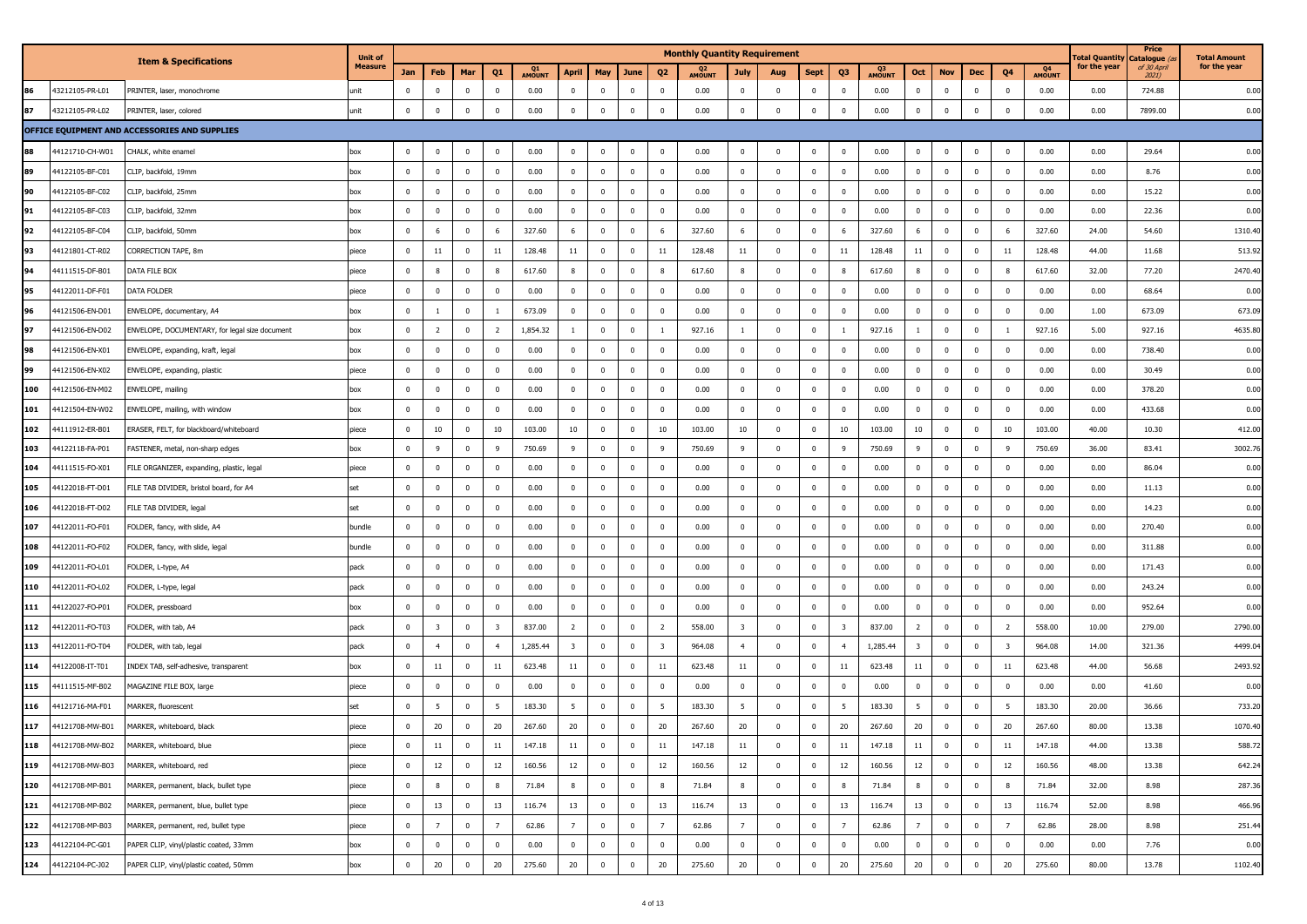|     |                 | <b>Item &amp; Specifications</b>               | <b>Unit of</b> |              |                         |                |                         |              |                         |                         |                |                         | <b>Monthly Quantity Requirement</b> |                         |                         |              |                         |              |                         |                         |                         |                         |              | <b>Fotal Quantity</b> | Price<br>Catalogue ( | <b>Total Amount</b> |
|-----|-----------------|------------------------------------------------|----------------|--------------|-------------------------|----------------|-------------------------|--------------|-------------------------|-------------------------|----------------|-------------------------|-------------------------------------|-------------------------|-------------------------|--------------|-------------------------|--------------|-------------------------|-------------------------|-------------------------|-------------------------|--------------|-----------------------|----------------------|---------------------|
|     |                 |                                                | <b>Measure</b> | Jan          | Feb                     | Mar            | Q <sub>1</sub>          | Q1<br>AMOUNT | April                   | May                     | June           | Q <sub>2</sub>          | Q <sub>2</sub><br>AMOUNT            | July                    | Aug                     | Sept         | Q3                      | Q3<br>AMOUNT | Oct                     | <b>Nov</b>              | Dec                     | Q4                      | Q4<br>AMOUNT | for the year          | of 30 April<br>2021) | for the year        |
|     | 43212105-PR-L01 | PRINTER, laser, monochrome                     | unit           | $\mathbf 0$  | $\mathbf 0$             | $\mathbf 0$    | $^{\circ}$              | 0.00         | $\mathbf{0}$            | $\pmb{0}$               | $\mathbf 0$    | $\mathbf 0$             | 0.00                                | $^{\circ}$              | $\overline{\mathbf{0}}$ | $\mathbf{0}$ | $\overline{\mathbf{0}}$ | 0.00         | $\mathbf 0$             | $\overline{\mathbf{0}}$ | $\mathbf 0$             | $\mathbf{0}$            | 0.00         | 0.00                  | 724.88               | 0.00                |
| 87  | 43212105-PR-L02 | PRINTER, laser, colored                        | unit           | $\mathbf 0$  | $\overline{\mathbf{0}}$ | $\mathbf 0$    | $\mathbf{0}$            | 0.00         | $\mathbf{0}$            | $\pmb{0}$               | $\pmb{0}$      | $\overline{\mathbf{0}}$ | 0.00                                | $\mathbf{0}$            | $\overline{\mathbf{0}}$ | $\pmb{0}$    | $\mathbf 0$             | 0.00         | $\bf{0}$                | $\overline{0}$          | $\,0\,$                 | $\mathbf 0$             | 0.00         | 0.00                  | 7899.00              | 0.00                |
|     |                 | OFFICE EQUIPMENT AND ACCESSORIES AND SUPPLIES  |                |              |                         |                |                         |              |                         |                         |                |                         |                                     |                         |                         |              |                         |              |                         |                         |                         |                         |              |                       |                      |                     |
| 88  | 44121710-CH-W01 | CHALK, white enamel                            | box            | $\mathbf 0$  | $\overline{\mathbf{0}}$ | $\mathbf 0$    | $\mathbf{0}$            | 0.00         | $\mathbf 0$             | $\mathbf 0$             | $\pmb{0}$      | $\overline{\mathbf{0}}$ | 0.00                                | $\mathbf 0$             | $\overline{\mathbf{0}}$ | $\mathbf{0}$ | $\mathbf 0$             | 0.00         | $\bf{0}$                | $\overline{\mathbf{0}}$ | $\mathbf 0$             | $\mathbf{0}$            | 0.00         | 0.00                  | 29.64                | 0.00                |
|     | 44122105-BF-C01 | CLIP, backfold, 19mm                           | box            | $\mathbf 0$  | $\mathbf 0$             | $\mathbf 0$    | $\mathbf 0$             | 0.00         | $\mathbf 0$             | $\mathbf 0$             | $\mathbf 0$    | $\mathbf 0$             | 0.00                                | $\mathbf 0$             | $\overline{\mathbf{0}}$ | $\pmb{0}$    | $\overline{\mathbf{0}}$ | 0.00         | $\bf{0}$                | $\bf{0}$                | $\overline{0}$          | $\mathbf 0$             | 0.00         | 0.00                  | 8.76                 | 0.00                |
| 90  | 44122105-BF-C02 | CLIP, backfold, 25mm                           | box            | 0            | $\overline{0}$          | $\mathbf 0$    | $\mathbf 0$             | 0.00         | $\bf{0}$                | $\mathbf 0$             | $\mathbf{0}$   | $\mathbf 0$             | 0.00                                | $\mathbf{0}$            | $\overline{\mathbf{0}}$ | $\mathbf{0}$ | $\overline{\mathbf{0}}$ | 0.00         | $\bf{0}$                | $\overline{\mathbf{0}}$ | $\overline{\mathbf{0}}$ | $\bf{0}$                | 0.00         | 0.00                  | 15.22                | 0.00                |
| 91  | 44122105-BF-C03 | CLIP, backfold, 32mm                           | box            | $\mathbf 0$  | $\overline{0}$          | $\mathbf 0$    | $\mathbf{0}$            | 0.00         | $\mathbf 0$             | $\overline{0}$          | $\mathbf 0$    | $\overline{0}$          | 0.00                                | $\mathbf{0}$            | $\overline{0}$          | $\mathbf{0}$ | $\mathbf{0}$            | 0.00         | $\mathbf 0$             | $\overline{0}$          | $\overline{0}$          | $\mathbf 0$             | 0.00         | 0.00                  | 22.36                | 0.00                |
| 92  | 44122105-BF-C04 | CLIP, backfold, 50mm                           | box            | $\pmb{0}$    | 6                       | $\pmb{0}$      | - 6                     | 327.60       | 6                       | $\mathbf 0$             | $\mathbf 0$    | 6                       | 327.60                              | 6                       | $\overline{\mathbf{0}}$ | $\pmb{0}$    | 6                       | 327.60       | 6                       | $\overline{\mathbf{0}}$ | $\overline{\mathbf{0}}$ | 6                       | 327.60       | 24.00                 | 54.60                | 1310.40             |
| 93  | 44121801-CT-R02 | CORRECTION TAPE, 8m                            | piece          | $\mathbf 0$  | 11                      | $\mathbf{0}$   | 11                      | 128.48       | 11                      | $\overline{\mathbf{0}}$ | $\mathbf 0$    | 11                      | 128.48                              | 11                      | $\overline{0}$          | $\mathbf 0$  | 11                      | 128.48       | 11                      | $\overline{\mathbf{0}}$ | $\overline{0}$          | 11                      | 128.48       | 44.00                 | 11.68                | 513.92              |
| 94  | 44111515-DF-B01 | DATA FILE BOX                                  | piece          | $\mathbf 0$  | 8                       | $\mathbf 0$    |                         | 617.60       | 8                       | $\mathbf 0$             | $\mathbf 0$    | 8                       | 617.60                              | 8                       | $\overline{\mathbf{0}}$ | $\mathbf 0$  | 8                       | 617.60       | 8                       | $\bf{0}$                | $\mathbf 0$             | 8                       | 617.60       | 32.00                 | 77.20                | 2470.40             |
| 95  | 44122011-DF-F01 | DATA FOLDER                                    | piece          | $\mathbf 0$  | $\mathbf 0$             | $\pmb{0}$      | $\mathbf{0}$            | 0.00         | $\bf{0}$                | $\mathbf 0$             | $\pmb{0}$      | $\mathbf 0$             | 0.00                                | $\Omega$                | $\overline{\mathbf{0}}$ | $\pmb{0}$    | $\overline{0}$          | 0.00         | $\mathbf 0$             | $\bf{0}$                | $\,0\,$                 | $\bf{0}$                | 0.00         | 0.00                  | 68.64                | 0.00                |
| 96  | 44121506-EN-D01 | ENVELOPE, documentary, A4                      | box            | $\mathbf 0$  | $\mathbf{1}$            | $\pmb{0}$      | 1                       | 673.09       | $\mathbf 0$             | $\mathbf 0$             | $\pmb{0}$      | $\overline{\mathbf{0}}$ | 0.00                                | $\mathbf 0$             | $\overline{\mathbf{0}}$ | $\mathbf 0$  | $\overline{0}$          | 0.00         | $\overline{0}$          | $\overline{\mathbf{0}}$ | $\,0\,$                 | $\mathbf 0$             | 0.00         | 1.00                  | 673.09               | 673.09              |
| 97  | 44121506-EN-D02 | ENVELOPE, DOCUMENTARY, for legal size document | box            | $\mathbf 0$  | $\overline{2}$          | $\mathbf 0$    | $\overline{2}$          | 1,854.32     | $\mathbf{1}$            | $\mathbf 0$             | $\pmb{0}$      | 1                       | 927.16                              | $\mathbf{1}$            | $\overline{\mathbf{0}}$ | $\pmb{0}$    |                         | 927.16       | $\mathbf{1}$            | $\overline{\mathbf{0}}$ | $\,0\,$                 | -1                      | 927.16       | 5.00                  | 927.16               | 4635.80             |
| 98  | 44121506-EN-X01 | ENVELOPE, expanding, kraft, legal              | box            | $\mathbf 0$  | $\mathbf 0$             | $\mathbf 0$    | $\mathbf{0}$            | 0.00         | $\mathbf 0$             | $\mathbf 0$             | 0              | $\overline{\mathbf{0}}$ | 0.00                                | $\mathbf{0}$            | $\overline{\mathbf{0}}$ | $\pmb{0}$    | $\overline{\mathbf{0}}$ | 0.00         | $\bf{0}$                | $\mathbf 0$             | $\overline{\mathbf{0}}$ | $\overline{0}$          | 0.00         | 0.00                  | 738.40               | 0.00                |
| 99  | 44121506-EN-X02 | ENVELOPE, expanding, plastic                   | piece          | $\mathbf 0$  | $\overline{0}$          | $\mathbf 0$    | $\Omega$                | 0.00         | $\mathbf 0$             | $\mathbf 0$             | $\pmb{0}$      | $\mathbf 0$             | 0.00                                | $\mathbf 0$             | $\overline{\mathbf{0}}$ | $\pmb{0}$    | $\overline{\mathbf{0}}$ | 0.00         | $\mathbf 0$             | $\overline{\mathbf{0}}$ | $\overline{\mathbf{0}}$ | $\mathbf 0$             | 0.00         | 0.00                  | 30.49                | 0.00                |
| 100 | 44121506-EN-M02 | ENVELOPE, mailing                              | box            | $\mathbf 0$  | $\overline{0}$          | $\mathbf 0$    | $\mathbf{0}$            | 0.00         | $\mathbf{0}$            | $\mathbf 0$             | $^{\circ}$     | $\overline{\mathbf{0}}$ | 0.00                                | $\mathbf{0}$            | $\overline{\mathbf{0}}$ | $\pmb{0}$    | $\overline{\mathbf{0}}$ | 0.00         | $\mathbf 0$             | $\overline{0}$          | $\overline{0}$          | $\mathbf{0}$            | 0.00         | 0.00                  | 378.20               | 0.00                |
| 101 | 44121504-EN-W02 | ENVELOPE, mailing, with window                 | box            | $\mathbf 0$  | $\bf{0}$                | $\mathbf{0}$   | $\Omega$                | 0.00         | $\bf{0}$                | $\mathbf 0$             | $\mathbf 0$    | $\mathbf 0$             | 0.00                                | $\Omega$                | $\overline{0}$          | $\mathbf 0$  | $\overline{\mathbf{0}}$ | 0.00         | $\mathbf{0}$            | $\Omega$                | $\overline{0}$          | $\mathbf 0$             | 0.00         | 0.00                  | 433.68               | 0.00                |
| 102 | 44111912-ER-B01 | ERASER, FELT, for blackboard/whiteboard        | piece          | $\mathbf 0$  | 10                      | $\mathbf 0$    | 10                      | 103.00       | 10                      | $\mathbf 0$             | $\mathbf 0$    | 10                      | 103.00                              | 10                      | $\overline{0}$          | $\mathbf 0$  | 10                      | 103.00       | 10                      | $\overline{\mathbf{0}}$ | $\mathbf 0$             | 10                      | 103.00       | 40.00                 | 10.30                | 412.00              |
| 103 | 44122118-FA-P01 | FASTENER, metal, non-sharp edges               | box            | $\mathbf 0$  | 9                       | $\mathbf 0$    | -9                      | 750.69       | 9                       | $\mathbf 0$             | $\mathbf 0$    | 9                       | 750.69                              | $\mathbf{q}$            | $\overline{\mathbf{0}}$ | $\mathbf 0$  | 9                       | 750.69       | 9                       | $\bf{0}$                | $\mathbf 0$             | 9                       | 750.69       | 36.00                 | 83.41                | 3002.76             |
| 104 | 44111515-FO-X01 | FILE ORGANIZER, expanding, plastic, legal      | piece          | $\mathbf 0$  | $\overline{\mathbf{0}}$ | $\mathbf 0$    | $\mathbf{0}$            | 0.00         | $\mathbf 0$             | $\mathbf 0$             | $\mathbf 0$    | $\overline{\mathbf{0}}$ | 0.00                                | $\mathbf{0}$            | $\overline{\mathbf{0}}$ | $\mathbf 0$  | $\overline{0}$          | 0.00         | $\mathbf 0$             | $\overline{\mathbf{0}}$ | $\overline{0}$          | $\overline{0}$          | 0.00         | 0.00                  | 86.04                | 0.00                |
| 105 | 44122018-FT-D01 | FILE TAB DIVIDER, bristol board, for A4        | set            | $\mathbf 0$  | $\overline{0}$          | $\mathbf 0$    | $\mathbf 0$             | 0.00         | $\mathbf 0$             | $\mathbf 0$             | $\pmb{0}$      | $\overline{\mathbf{0}}$ | 0.00                                | $\mathbf 0$             | $\overline{\mathbf{0}}$ | $\pmb{0}$    | $\overline{0}$          | 0.00         | $\bf{0}$                | $\overline{0}$          | $\,0\,$                 | $\mathbf 0$             | 0.00         | 0.00                  | 11.13                | 0.00                |
| 106 | 44122018-FT-D02 | FILE TAB DIVIDER, legal                        | set            | $\mathbf 0$  | $\mathbf 0$             | $\mathbf 0$    | 0                       | 0.00         | $\mathbf 0$             | $\mathbf 0$             | $\pmb{0}$      | $\mathbf 0$             | 0.00                                | $\mathbf{0}$            | $\overline{\mathbf{0}}$ | $\mathbf{0}$ | $\overline{0}$          | 0.00         | $\bf{0}$                | $\mathbf 0$             | $\mathbf 0$             | $\mathbf{0}$            | 0.00         | 0.00                  | 14.23                | 0.00                |
| 107 | 44122011-FO-F01 | FOLDER, fancy, with slide, A4                  | bundle         | $\mathbf 0$  | $\mathbf 0$             | $\mathbf 0$    | $\mathbf{0}$            | 0.00         | $\mathbf 0$             | $\mathbf 0$             | $\mathbf 0$    | $\mathbf 0$             | 0.00                                | $\mathbf 0$             | $\overline{0}$          | $\pmb{0}$    | $\overline{0}$          | 0.00         | $\mathbf 0$             | $\mathbf 0$             | $\mathbf 0$             | $\mathbf 0$             | 0.00         | 0.00                  | 270.40               | 0.00                |
| 108 | 44122011-FO-F02 | FOLDER, fancy, with slide, legal               | bundle         | $\bf{0}$     | $\overline{\mathbf{0}}$ | $\mathbf 0$    | $^{\circ}$              | 0.00         | $\mathbf 0$             | $\mathbf 0$             | $\mathbf{0}$   | $\overline{\mathbf{0}}$ | 0.00                                | $\mathbf 0$             | $\overline{\mathbf{0}}$ | $\pmb{0}$    | $\overline{0}$          | 0.00         | $\bf{0}$                | $\mathbf 0$             | $\overline{\mathbf{0}}$ | $\mathbf{0}$            | 0.00         | 0.00                  | 311.88               | 0.00                |
| 109 | 44122011-FO-L01 | OLDER, L-type, A4                              | pack           | $\mathbf 0$  | $\mathbf 0$             | $\mathbf{0}$   | $\mathbf{0}$            | 0.00         | $\mathbf 0$             | $\overline{0}$          | $\mathbf 0$    | $\mathbf 0$             | 0.00                                | $\mathbf 0$             | $\overline{\mathbf{0}}$ | $\mathbf 0$  | $\overline{0}$          | 0.00         | $\bf{0}$                | $\mathbf 0$             | $\overline{0}$          | $\mathbf 0$             | 0.00         | 0.00                  | 171.43               | 0.00                |
| 110 | 44122011-FO-L02 | OLDER, L-type, legal                           | pack           | $\mathbf 0$  | $\mathbf 0$             | $\overline{0}$ | $\mathbf{0}$            | 0.00         | $\mathbf 0$             | $\mathbf 0$             | $\mathbf 0$    | $\mathbf 0$             | 0.00                                | $\mathbf{0}$            | $\overline{0}$          | $\pmb{0}$    | $\overline{0}$          | 0.00         | $\mathbf{0}$            | $\overline{\mathbf{0}}$ | $\,0\,$                 | $\mathbf{0}$            | 0.00         | 0.00                  | 243.24               | 0.00                |
| 111 | 44122027-FO-P01 | FOLDER, pressboard                             | box            | $\mathbf 0$  | $\mathbf 0$             | $\mathbf 0$    | $\mathbf{0}$            | 0.00         | $\mathbf 0$             | $\mathbf 0$             | $\mathbf 0$    | $\mathbf 0$             | 0.00                                | $\mathbf{0}$            | $\overline{\mathbf{0}}$ | $\mathbf 0$  | $\overline{\mathbf{0}}$ | 0.00         | $\bf{0}$                | $\bf{0}$                | $\mathbf 0$             | $\mathbf 0$             | 0.00         | 0.00                  | 952.64               | 0.00                |
| 112 | 44122011-FO-T03 | FOLDER, with tab, A4                           | pack           | $\mathbf 0$  | $\overline{\mathbf{3}}$ | $\pmb{0}$      | $\overline{\mathbf{3}}$ | 837.00       | $\overline{2}$          | $\mathbf 0$             | $\mathbf 0$    | $\overline{2}$          | 558.00                              | $\overline{\mathbf{3}}$ | $\overline{\mathbf{0}}$ | $\pmb{0}$    | $\overline{\mathbf{3}}$ | 837.00       | $\overline{2}$          | $\overline{\mathbf{0}}$ | $\mathbf 0$             | $\overline{2}$          | 558.00       | 10.00                 | 279.00               | 2790.00             |
| 113 | 44122011-FO-T04 | OLDER, with tab, legal                         | pack           | $\mathbf 0$  | $\overline{4}$          | $\mathbf 0$    | $\overline{4}$          | 1,285.44     | $\overline{\mathbf{3}}$ | $\mathbf 0$             | $\mathbf 0$    | $\overline{\mathbf{3}}$ | 964.08                              | $\overline{4}$          | $\overline{\mathbf{0}}$ | $\pmb{0}$    | $\overline{4}$          | 1,285.44     | $\overline{\mathbf{3}}$ | $\overline{\mathbf{0}}$ | $\overline{\mathbf{0}}$ | $\overline{\mathbf{3}}$ | 964.08       | 14.00                 | 321.36               | 4499.04             |
| 114 | 44122008-IT-T01 | INDEX TAB, self-adhesive, transparent          | box            | $\mathbf 0$  | 11                      | $\mathbf 0$    | 11                      | 623.48       | 11                      | $\mathbf 0$             | $\mathbf 0$    | 11                      | 623.48                              | 11                      | $\overline{\mathbf{0}}$ | $\mathbf 0$  | 11                      | 623.48       | 11                      | $\overline{\mathbf{0}}$ | $\overline{0}$          | 11                      | 623.48       | 44.00                 | 56.68                | 2493.92             |
| 115 | 44111515-MF-B02 | MAGAZINE FILE BOX, large                       | piece          | $\mathbf 0$  | $\overline{0}$          | $\mathbf 0$    | $\Omega$                | 0.00         | $\mathbf 0$             | $\mathbf 0$             | $\pmb{0}$      | $\overline{\mathbf{0}}$ | 0.00                                | $\mathbf 0$             | $\overline{\mathbf{0}}$ | $\pmb{0}$    | $\overline{\mathbf{0}}$ | 0.00         | $\mathbf 0$             | $\overline{\mathbf{0}}$ | $\overline{\mathbf{0}}$ | $\mathbf{0}$            | 0.00         | 0.00                  | 41.60                | 0.00                |
| 116 | 44121716-MA-F01 | <b>ARKER, fluorescent</b>                      | set            | $\mathbf 0$  | 5                       | $\mathbf 0$    | -5                      | 183.30       | 5                       | $\overline{\mathbf{0}}$ | $\mathbf 0$    | - 5                     | 183.30                              | 5                       | $\overline{0}$          | $^{\circ}$   | - 5                     | 183.30       | 5                       | $\overline{0}$          | $\overline{0}$          | - 5                     | 183.30       | 20.00                 | 36.66                | 733.20              |
| 117 | 44121708-MW-B01 | MARKER, whiteboard, black                      | piece          | $\mathbf 0$  | 20                      | $\mathbf{0}$   | 20                      | 267.60       | 20                      | $\mathbf 0$             | $^{\circ}$     | 20                      | 267.60                              | 20                      | $\overline{0}$          | $^{\circ}$   | 20                      | 267.60       | 20                      | $\mathbf 0$             | $\overline{0}$          | 20                      | 267.60       | 80.00                 | 13.38                | 1070.40             |
| 118 | 44121708-MW-B02 | MARKER, whiteboard, blue                       | piece          | $\mathbf 0$  | 11                      | $\pmb{0}$      | 11                      | 147.18       | 11                      | $\mathbf 0$             | $\pmb{0}$      | 11                      | 147.18                              | $11\,$                  | $\overline{\mathbf{0}}$ | 0            | $11\,$                  | 147.18       | 11                      | $\mathbf 0$             | $\,0\,$                 | 11                      | 147.18       | 44.00                 | 13.38                | 588.72              |
| 119 | 44121708-MW-B03 | MARKER, whiteboard, red                        | piece          | $\mathbf 0$  | 12                      | $\bf{0}$       | 12                      | 160.56       | 12                      | $\bf{0}$                | $\mathbf{0}$   | 12                      | 160.56                              | 12                      | $\overline{\mathbf{0}}$ | $\pmb{0}$    | 12                      | 160.56       | 12                      | $\bf{0}$                | $\,0\,$                 | 12                      | 160.56       | 48.00                 | 13.38                | 642.24              |
| 120 | 44121708-MP-B01 | MARKER, permanent, black, bullet type          | piece          | $\mathbf 0$  | 8                       | $\bf{0}$       | 8                       | 71.84        | 8                       | $\mathbf 0$             | $\mathbf 0$    | 8                       | 71.84                               | 8                       | $\bf{0}$                | $\pmb{0}$    | 8                       | 71.84        | 8                       | $\bf{0}$                | $\mathbf 0$             | 8                       | 71.84        | 32.00                 | 8.98                 | 287.36              |
| 121 | 44121708-MP-B02 | MARKER, permanent, blue, bullet type           | piece          | $\mathbf 0$  | 13                      | $\mathbf 0$    | 13                      | 116.74       | 13                      | $\overline{\mathbf{0}}$ | $\mathbf 0$    | 13                      | 116.74                              | 13                      | $\overline{\mathbf{0}}$ | $\pmb{0}$    | 13                      | 116.74       | 13                      | $\mathbf 0$             | $\mathbf 0$             | 13                      | 116.74       | 52.00                 | 8.98                 | 466.96              |
| 122 | 44121708-MP-B03 | MARKER, permanent, red, bullet type            | piece          | $\mathbf{0}$ | $\overline{7}$          | $\mathbf 0$    | $\overline{7}$          | 62.86        | $7\overline{ }$         | $\mathbf 0$             | $\mathbf 0$    | $\overline{7}$          | 62.86                               | $\overline{7}$          | $\overline{\mathbf{0}}$ | $\pmb{0}$    | $\overline{7}$          | 62.86        | $\overline{7}$          | $\bf{0}$                | $\,0\,$                 | $\overline{7}$          | 62.86        | 28.00                 | 8.98                 | 251.44              |
| 123 | 44122104-PC-G01 | PAPER CLIP, vinyl/plastic coated, 33mm         | box            | $\bf{0}$     | $\overline{0}$          | $\mathbf{0}$   | 0                       | 0.00         | $\mathbf 0$             | $\overline{\mathbf{0}}$ | $\overline{0}$ | $\bf{0}$                | 0.00                                | $\mathbf 0$             | $\overline{\mathbf{0}}$ | $\pmb{0}$    | $\mathbf 0$             | 0.00         | $\bf{0}$                | $\mathbf{0}$            | $\mathbf 0$             | $\mathbf{0}$            | 0.00         | 0.00                  | 7.76                 | 0.00                |
| 124 | 44122104-PC-J02 | PAPER CLIP, vinyl/plastic coated, 50mm         | box            | $\mathbf 0$  | 20                      | $\bf{0}$       | 20                      | 275.60       | 20                      | $\overline{\mathbf{0}}$ | $\mathbf 0$    | 20                      | 275.60                              | 20                      | $\mathbf 0$             | $\pmb{0}$    | 20                      | 275.60       | 20                      | $\mathbf 0$             | $\bf{0}$                | 20                      | 275.60       | 80.00                 | 13.78                | 1102.40             |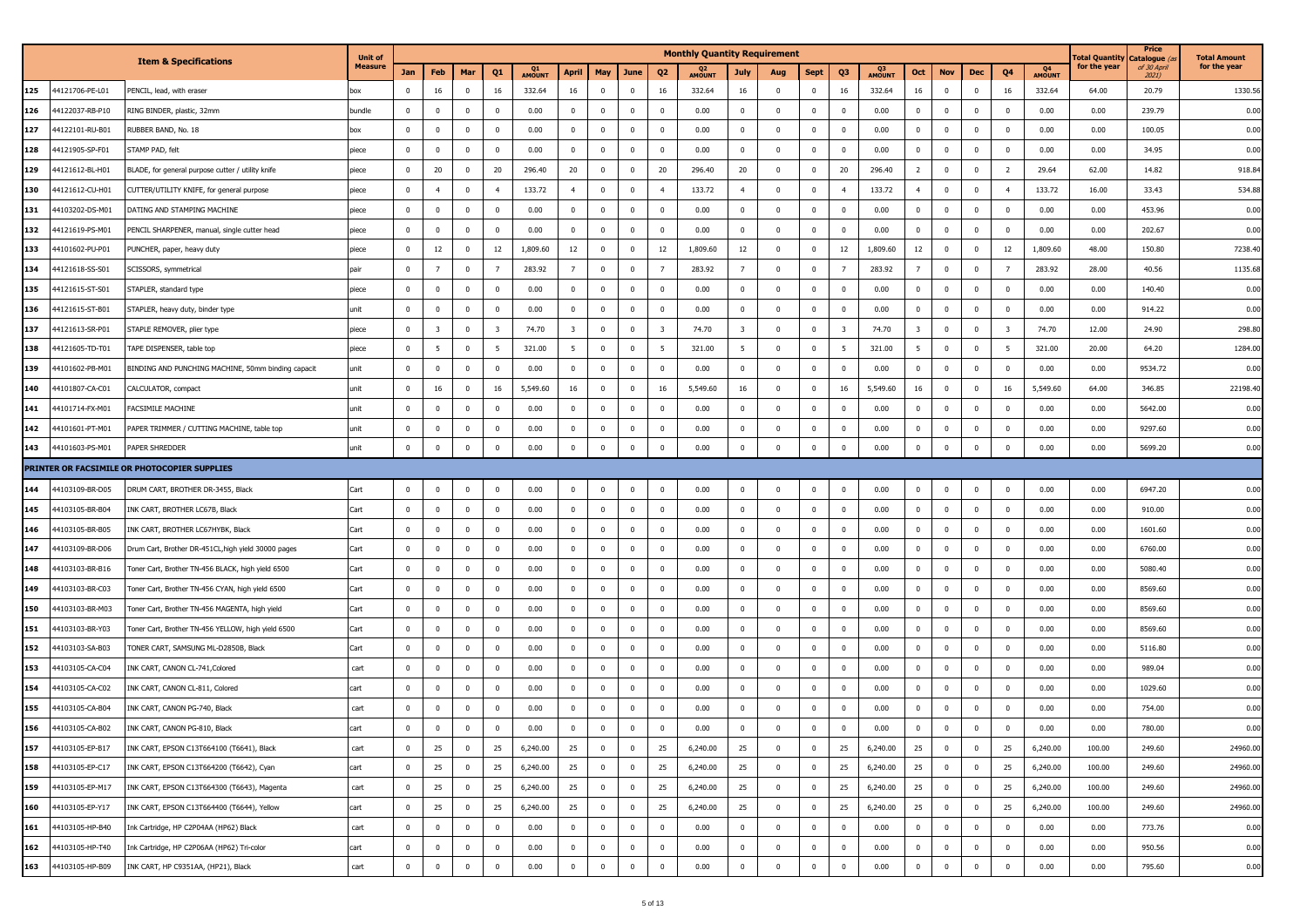|     |                 |                                                    | <b>Unit of</b> |             |                |                |                         |              |                         |                         |                |                         | <b>Monthly Quantity Requirement</b> |                         |                         |              |                         |              |                         |              |                |                         |              | l'otal Quantity | Price<br>Catalogue      | <b>Total Amount</b> |
|-----|-----------------|----------------------------------------------------|----------------|-------------|----------------|----------------|-------------------------|--------------|-------------------------|-------------------------|----------------|-------------------------|-------------------------------------|-------------------------|-------------------------|--------------|-------------------------|--------------|-------------------------|--------------|----------------|-------------------------|--------------|-----------------|-------------------------|---------------------|
|     |                 | <b>Item &amp; Specifications</b>                   | Measure        | Jan         | Feb            | Mar            | Q <sub>1</sub>          | Q1<br>AMOUNT | <b>April</b>            | May                     | June           | Q <sub>2</sub>          | Q <sub>2</sub><br>AMOUNT            | <b>July</b>             | Aug                     | <b>Sept</b>  | Q3                      | Q3<br>AMOUNT | Oct                     | <b>Nov</b>   | Dec            | Q <sub>4</sub>          | Q4<br>AMOUNT | for the year    | of 30 April<br>$2021$ ) | for the year        |
| 125 | 44121706-PE-L01 | PENCIL, lead, with eraser                          | XOC            | $\mathbf 0$ | 16             | $\mathbf{0}$   | 16                      | 332.64       | 16                      | $\mathbf 0$             | $\bf{0}$       | 16                      | 332.64                              | 16                      | $\overline{\mathbf{0}}$ | $\mathbf{0}$ | 16                      | 332.64       | 16                      | $\mathbf 0$  | $\mathbf 0$    | 16                      | 332.64       | 64.00           | 20.79                   | 1330.56             |
| 126 | 44122037-RB-P10 | RING BINDER, plastic, 32mm                         | bundle         | $\mathbf 0$ | $\mathbf 0$    | $\mathbf 0$    | $\mathbf{0}$            | 0.00         | $\bf{0}$                | $\mathbf 0$             | $\overline{0}$ | $\mathbf 0$             | 0.00                                | $\mathbf{0}$            | $\overline{\mathbf{0}}$ | $\bf{0}$     | $\mathbf 0$             | 0.00         | $\mathbf 0$             | $\mathbf 0$  | $\mathbf 0$    | $\mathbf{0}$            | 0.00         | 0.00            | 239.79                  | 0.00                |
| 127 | 44122101-RU-B01 | RUBBER BAND, No. 18                                | box            | $\mathbf 0$ | $\mathbf 0$    | $\mathbf{0}$   | $\mathbf 0$             | 0.00         | $^{\circ}$              | $\Omega$                | $\bf{0}$       | $\mathbf 0$             | 0.00                                | $\mathbf 0$             | $\mathbf 0$             | $\mathbf{0}$ | $\Omega$                | 0.00         | $\mathbf 0$             | $\mathbf 0$  | $\Omega$       | $\mathbf{0}$            | 0.00         | 0.00            | 100.05                  | 0.00                |
| 128 | 44121905-SP-F01 | STAMP PAD, felt                                    | piece          | $\mathbf 0$ | 0              | $\overline{0}$ | $\mathbf{0}$            | 0.00         | $\mathbf 0$             | $\mathbf 0$             | $\overline{0}$ | 0                       | 0.00                                | $\mathbf{0}$            | $\overline{\mathbf{0}}$ | $\bf{0}$     | $\overline{\mathbf{0}}$ | 0.00         | $\mathbf 0$             | $\mathbf 0$  | $\overline{0}$ | $\overline{0}$          | 0.00         | 0.00            | 34.95                   | 0.00                |
| 129 | 44121612-BL-H01 | BLADE, for general purpose cutter / utility knife  | piece          | $\mathbf 0$ | 20             | $\mathbf{0}$   | 20                      | 296.40       | 20                      | $\mathbf 0$             | $\bf{0}$       | 20                      | 296.40                              | 20                      | $\overline{\mathbf{0}}$ | $\mathbf{0}$ | 20                      | 296.40       | $\overline{2}$          | $\mathbf 0$  | $\overline{0}$ | $\overline{2}$          | 29.64        | 62.00           | 14.82                   | 918.84              |
| 130 | 44121612-CU-H01 | CUTTER/UTILITY KNIFE, for general purpose          | piece          | $\mathbf 0$ | $\overline{4}$ | $\mathbf{0}$   | $\overline{4}$          | 133.72       | $\overline{4}$          | $\mathbf 0$             | $\mathbf{0}$   | $\overline{4}$          | 133.72                              | $\overline{4}$          | $\overline{0}$          | $\mathbf{0}$ |                         | 133.72       | $\overline{4}$          | $\mathbf 0$  | $\overline{0}$ | $\overline{4}$          | 133.72       | 16.00           | 33.43                   | 534.88              |
| 131 | 44103202-DS-M01 | DATING AND STAMPING MACHINE                        | piece          | $\mathbf 0$ | $\mathbf 0$    | $\overline{0}$ | $\mathbf 0$             | 0.00         | $\mathbf 0$             | $\overline{\mathbf{0}}$ | $\bf{0}$       | $\mathbf 0$             | 0.00                                | $\mathbf 0$             | $\overline{\mathbf{0}}$ | $\mathbf{0}$ | $\Omega$                | 0.00         | $\mathbf 0$             | $\mathbf 0$  | $\Omega$       | 0                       | 0.00         | 0.00            | 453.96                  | 0.00                |
| 132 | 44121619-PS-M01 | PENCIL SHARPENER, manual, single cutter head       | piece          | $\mathbf 0$ | $\mathbf 0$    | $\mathbf 0$    | $\mathbf{0}$            | 0.00         | $^{\circ}$              | $\mathbf 0$             | $\bf{0}$       | $\overline{0}$          | 0.00                                | $\mathbf{0}$            | $\overline{\mathbf{0}}$ | $\mathbf{0}$ | $\overline{0}$          | 0.00         | $\mathbf 0$             | $\mathbf 0$  | $\overline{0}$ | $\overline{\mathbf{0}}$ | 0.00         | 0.00            | 202.67                  | 0.00                |
| 133 | 44101602-PU-P01 | PUNCHER, paper, heavy duty                         | piece          | $\mathbf 0$ | 12             | $\mathbf 0$    | 12                      | 1,809.60     | 12                      | $\mathbf 0$             | $\mathbf 0$    | 12                      | 1,809.60                            | 12                      | $\overline{\mathbf{0}}$ | $\mathbf{0}$ | 12                      | 1,809.60     | 12                      | $\Omega$     | $\Omega$       | 12                      | 1,809.60     | 48.00           | 150.80                  | 7238.40             |
| 134 | 44121618-SS-S01 | SCISSORS, symmetrical                              | pair           | $\mathbf 0$ | $\overline{7}$ | $\mathbf 0$    | $\overline{7}$          | 283.92       | $7\overline{ }$         | $^{\circ}$              | $\mathbf{0}$   | $\overline{7}$          | 283.92                              | $7\overline{ }$         | $\mathbf 0$             | $\mathbf 0$  | $\overline{7}$          | 283.92       | $7^{\circ}$             | $\mathbf 0$  | $\overline{0}$ | $\overline{7}$          | 283.92       | 28.00           | 40.56                   | 1135.68             |
| 135 | 44121615-ST-S01 | STAPLER, standard type                             | piece          | $\mathbf 0$ | $\mathbf 0$    | $\mathbf 0$    | $\overline{0}$          | 0.00         | $^{\circ}$              | $^{\circ}$              | $\bf{0}$       | $\overline{0}$          | 0.00                                | $\mathbf 0$             | $\overline{\mathbf{0}}$ | $\mathbf 0$  | $\Omega$                | 0.00         | $\mathbf{0}$            | $\Omega$     | $\Omega$       | $\overline{0}$          | 0.00         | 0.00            | 140.40                  | 0.00                |
| 136 | 44121615-ST-B01 | STAPLER, heavy duty, binder type                   | unit           | $\mathbf 0$ | $\mathbf 0$    | $\mathbf 0$    | $\overline{0}$          | 0.00         | $\mathbf{0}$            | $\mathbf 0$             | $\bf{0}$       | $\mathbf 0$             | 0.00                                | $\mathbf{0}$            | $\overline{\mathbf{0}}$ | $\mathbf{0}$ | $\overline{0}$          | 0.00         | $\mathbf 0$             | $\mathbf 0$  | $\overline{0}$ | $\overline{\mathbf{0}}$ | 0.00         | 0.00            | 914.22                  | 0.00                |
| 137 | 44121613-SR-P01 | STAPLE REMOVER, plier type                         | piece          | $\mathbf 0$ | 3              | $\mathbf 0$    | $\overline{\mathbf{3}}$ | 74.70        | $\overline{\mathbf{3}}$ | $\mathbf 0$             | $\bf{0}$       | $\overline{\mathbf{3}}$ | 74.70                               | $\overline{\mathbf{3}}$ | $\overline{\mathbf{0}}$ | $\bf{0}$     | $\overline{\mathbf{3}}$ | 74.70        | $\overline{\mathbf{3}}$ | $\mathbf 0$  | $\overline{0}$ | $\overline{\mathbf{3}}$ | 74.70        | 12.00           | 24.90                   | 298.80              |
| 138 | 44121605-TD-T01 | TAPE DISPENSER, table top                          | piece          | $\mathbf 0$ | 5              | $\mathbf 0$    | 5                       | 321.00       | 5                       | $\overline{0}$          | $\bf{0}$       | - 5                     | 321.00                              | 5                       | $\mathbf 0$             | $\mathbf{0}$ | - 5                     | 321.00       | 5 <sub>1</sub>          | $\mathbf 0$  | $\overline{0}$ | 5                       | 321.00       | 20.00           | 64.20                   | 1284.00             |
| 139 | 44101602-PB-M01 | BINDING AND PUNCHING MACHINE, 50mm binding capacit | unit           | $\mathbf 0$ | 0              | $\overline{0}$ | $\mathbf{0}$            | 0.00         | $\mathbf 0$             | $\mathbf{0}$            | $\overline{0}$ | 0                       | 0.00                                | $\mathbf{0}$            | $\overline{\mathbf{0}}$ | $\bf{0}$     | 0                       | 0.00         | $\pmb{0}$               | $\mathbf{0}$ | $\overline{0}$ | 0                       | 0.00         | 0.00            | 9534.72                 | 0.00                |
| 140 | 44101807-CA-C01 | CALCULATOR, compact                                | unit           | $\mathbf 0$ | 16             | $\mathbf 0$    | 16                      | 5,549.60     | 16                      | $\mathbf 0$             | $\mathbf{0}$   | 16                      | 5,549.60                            | 16                      | $\mathbf 0$             | $\mathbf{0}$ | 16                      | 5,549.60     | 16                      | $\mathbf 0$  | $\mathbf 0$    | 16                      | 5,549.60     | 64.00           | 346.85                  | 22198.40            |
| 141 | 44101714-FX-M01 | FACSIMILE MACHINE                                  | unit           | $\mathbf 0$ | $\mathbf 0$    | 0              | $\mathbf{0}$            | 0.00         | $\bf{0}$                | $\mathbf 0$             | $\overline{0}$ | 0                       | 0.00                                | $\mathbf{0}$            | $\overline{\mathbf{0}}$ | $\bf{0}$     | $\overline{0}$          | 0.00         | $\mathbf 0$             | $\mathbf 0$  | $\overline{0}$ | 0                       | 0.00         | 0.00            | 5642.00                 | 0.00                |
| 142 | 44101601-PT-M01 | PAPER TRIMMER / CUTTING MACHINE, table top         | unit           | $\mathbf 0$ | $\mathbf 0$    | $\mathbf 0$    | $\mathbf 0$             | 0.00         | $^{\circ}$              | $\Omega$                | $\pmb{0}$      | $\mathbf 0$             | 0.00                                | $\mathbf 0$             | $\mathbf 0$             | $\mathbf 0$  | $\Omega$                | 0.00         | $\Omega$                | $\Omega$     | $\Omega$       | $\mathbf{0}$            | 0.00         | 0.00            | 9297.60                 | 0.00                |
| 143 | 44101603-PS-M01 | PAPER SHREDDER                                     | unit           | $\mathbf 0$ | $\mathbf 0$    | $\mathbf 0$    | $\mathbf 0$             | 0.00         | $\mathbf 0$             | $\mathbf 0$             | $\mathbf 0$    | $\overline{0}$          | 0.00                                | $\mathbf 0$             | $\mathbf 0$             | $\mathbf{0}$ | $\mathbf 0$             | 0.00         | $\mathbf 0$             | $\mathbf 0$  | $\overline{0}$ | $\overline{0}$          | 0.00         | 0.00            | 5699.20                 | 0.00                |
|     |                 | PRINTER OR FACSIMILE OR PHOTOCOPIER SUPPLIES       |                |             |                |                |                         |              |                         |                         |                |                         |                                     |                         |                         |              |                         |              |                         |              |                |                         |              |                 |                         |                     |
| 144 | 44103109-BR-D05 | DRUM CART, BROTHER DR-3455, Black                  | Cart           | $\mathbf 0$ | $\mathbf 0$    | $\mathbf 0$    | $\overline{0}$          | 0.00         | $\mathbf 0$             | $\mathbf 0$             | $\bf{0}$       | $\mathbf 0$             | 0.00                                | $\mathbf{0}$            | $\overline{\mathbf{0}}$ | $\bf{0}$     | $\mathbf{0}$            | 0.00         | $\pmb{0}$               | $\mathbf{0}$ | $\overline{0}$ | 0                       | 0.00         | 0.00            | 6947.20                 | 0.00                |
| 145 | 44103105-BR-B04 | INK CART, BROTHER LC67B, Black                     | Cart           | $\mathbf 0$ | $^{\circ}$     | $\mathbf{0}$   | $\mathbf 0$             | 0.00         | $\mathbf{0}$            | $\mathbf 0$             | $\mathbf{0}$   | $\mathbf 0$             | 0.00                                | $\mathbf 0$             | $\overline{\mathbf{0}}$ | $\mathbf{0}$ | $\mathbf 0$             | 0.00         | $\bf{0}$                | $\mathbf 0$  | $\mathbf 0$    | $\overline{\mathbf{0}}$ | 0.00         | 0.00            | 910.00                  | 0.00                |
| 146 | 44103105-BR-B05 | INK CART, BROTHER LC67HYBK, Black                  | Cart           | $\mathbf 0$ | $\mathbf 0$    | $\mathbf 0$    | $\mathbf{0}$            | 0.00         | $\bf{0}$                | $\mathbf 0$             | $\bf{0}$       | $\mathbf 0$             | 0.00                                | $\mathbf{0}$            | $\overline{\mathbf{0}}$ | $\bf{0}$     | $\mathbf 0$             | 0.00         | $\mathbf 0$             | $\mathbf 0$  | $\bf{0}$       | $\overline{0}$          | 0.00         | 0.00            | 1601.60                 | 0.00                |
| 147 | 44103109-BR-D06 | Drum Cart, Brother DR-451CL,high yield 30000 pages | Cart           | $\mathbf 0$ | $\mathbf 0$    | $\mathbf{0}$   | $\mathbf{0}$            | 0.00         | $\mathbf{0}$            | $\Omega$                | $\bf{0}$       | $\mathbf 0$             | 0.00                                | $\mathbf 0$             | $\mathbf 0$             | $\mathbf{0}$ | $\overline{\mathbf{0}}$ | 0.00         | $\mathbf 0$             | $\mathbf 0$  | $\overline{0}$ | $\overline{0}$          | 0.00         | 0.00            | 6760.00                 | 0.00                |
| 148 | 44103103-BR-B16 | Toner Cart, Brother TN-456 BLACK, high yield 6500  | Cart           | $\mathbf 0$ | 0              | $\overline{0}$ | $\overline{0}$          | 0.00         | $\mathbf 0$             | $\mathbf 0$             | $\overline{0}$ | $\mathbf 0$             | 0.00                                | $\mathbf{0}$            | $\overline{\mathbf{0}}$ | $\bf{0}$     | $\overline{\mathbf{0}}$ | 0.00         | $\mathbf 0$             | $\bf{0}$     | $\overline{0}$ | $\overline{\mathbf{0}}$ | 0.00         | 0.00            | 5080.40                 | 0.00                |
| 149 | 44103103-BR-C03 | Toner Cart, Brother TN-456 CYAN, high yield 6500   | Cart           | $\mathbf 0$ | $^{\circ}$     | $\mathbf 0$    | $\mathbf 0$             | 0.00         | $\mathbf{0}$            | $\mathbf 0$             | $\bf{0}$       | $\mathbf 0$             | 0.00                                | $\mathbf 0$             | $\mathbf 0$             | $\mathbf{0}$ | $\mathbf 0$             | 0.00         | $\mathbf 0$             | $\mathbf 0$  | $\overline{0}$ | $\overline{0}$          | 0.00         | 0.00            | 8569.60                 | 0.00                |
| 150 | 44103103-BR-M03 | Toner Cart, Brother TN-456 MAGENTA, high yield     | Cart           | $\mathbf 0$ | $\mathbf 0$    | $\mathbf 0$    | $\mathbf{0}$            | 0.00         | $^{\circ}$              | $\mathbf 0$             | $\mathbf 0$    | $\mathbf 0$             | 0.00                                | $\mathbf 0$             | $\overline{0}$          | $\mathbf 0$  | $\overline{0}$          | 0.00         | $\mathbf 0$             | $\mathbf 0$  | $\overline{0}$ | $\overline{0}$          | 0.00         | 0.00            | 8569.60                 | 0.00                |
| 151 | 44103103-BR-Y03 | Toner Cart, Brother TN-456 YELLOW, high yield 6500 | Cart           | $\mathbf 0$ | $\mathbf 0$    | $\overline{0}$ | $\mathbf 0$             | 0.00         | $^{\circ}$              | $\Omega$                | $\bf{0}$       | $\mathbf 0$             | 0.00                                | $\mathbf 0$             | $\overline{\mathbf{0}}$ | $\mathbf{0}$ | $\Omega$                | 0.00         | $\mathbf 0$             | $\Omega$     | $\Omega$       | $\overline{\mathbf{0}}$ | 0.00         | 0.00            | 8569.60                 | 0.00                |
| 152 | 44103103-SA-B03 | TONER CART, SAMSUNG ML-D2850B, Black               | Cart           | $\mathbf 0$ | $\mathbf 0$    | $\mathbf{0}$   | $\mathbf{0}$            | 0.00         | $^{\circ}$              | $\mathbf 0$             | $\overline{0}$ | $\overline{0}$          | 0.00                                | $\mathbf{0}$            | $\overline{0}$          | $\mathbf 0$  | $\overline{0}$          | 0.00         | $\mathbf 0$             | $\mathbf 0$  | $\overline{0}$ | $\overline{\mathbf{0}}$ | 0.00         | 0.00            | 5116.80                 | 0.00                |
| 153 | 44103105-CA-C04 | INK CART, CANON CL-741, Colored                    | cart           | $\Omega$    | $\mathbf 0$    | $\mathbf 0$    | $\mathbf 0$             | 0.00         | $\mathbf{0}$            | $^{\circ}$              | $\overline{0}$ | $\mathbf 0$             | 0.00                                | $\mathbf 0$             | $\overline{\mathbf{0}}$ | $\mathbf{0}$ | $\Omega$                | 0.00         | $\mathbf{0}$            | $\Omega$     | $\Omega$       | $\mathbf 0$             | 0.00         | 0.00            | 989.04                  | 0.00                |
| 154 | 44103105-CA-C02 | INK CART, CANON CL-811, Colored                    | cart           | $\mathbf 0$ | $\mathbf 0$    | $\mathbf 0$    | $\mathbf 0$             | 0.00         | $^{\circ}$              | $\mathbf 0$             | $\mathbf{0}$   | $\overline{0}$          | 0.00                                | $\mathbf 0$             | $\mathbf 0$             | $\mathbf 0$  | $\overline{0}$          | 0.00         | $\mathbf 0$             | $\mathbf 0$  | $\overline{0}$ | $\overline{0}$          | 0.00         | 0.00            | 1029.60                 | 0.00                |
| 155 | 44103105-CA-B04 | INK CART, CANON PG-740, Black                      | cart           | $\mathbf 0$ | 0              | $\mathbf 0$    | $\overline{0}$          | 0.00         | $^{\circ}$              | $\mathbf 0$             | $\bf{0}$       | $\mathbf 0$             | 0.00                                | $\mathbf{0}$            | $\overline{\mathbf{0}}$ | $\mathbf 0$  | $\overline{\mathbf{0}}$ | 0.00         | $\mathbf 0$             | $\mathbf 0$  | $\overline{0}$ | $\overline{\mathbf{0}}$ | 0.00         | 0.00            | 754.00                  | 0.00                |
| 156 | 44103105-CA-B02 | INK CART, CANON PG-810, Black                      | cart           | $\mathbf 0$ | $\mathbf 0$    | $\mathbf 0$    | $\mathbf{0}$            | 0.00         | $^{\circ}$              | $\mathbf 0$             | $\pmb{0}$      | $\mathbf 0$             | 0.00                                | $\mathbf 0$             | $\overline{0}$          | $\mathbf{0}$ | $\overline{\mathbf{0}}$ | 0.00         | $\mathbf 0$             | $\mathbf 0$  | $\overline{0}$ | $\mathbf 0$             | 0.00         | 0.00            | 780.00                  | 0.00                |
| 157 | 44103105-EP-B17 | INK CART, EPSON C13T664100 (T6641), Black          | cart           | $\mathbf 0$ | 25             | $\mathbf 0$    | 25                      | 6,240.00     | 25                      | $\mathbf{0}$            | $\bf{0}$       | 25                      | 6,240.00                            | 25                      | $\overline{0}$          | $\bf{0}$     | 25                      | 6,240.00     | 25                      | $^{\circ}$   | $\overline{0}$ | 25                      | 6,240.00     | 100.00          | 249.60                  | 24960.00            |
| 158 | 44103105-EP-C17 | INK CART, EPSON C13T664200 (T6642), Cyan           | cart           | $\mathbf 0$ | 25             | $\overline{0}$ | 25                      | 6,240.00     | 25                      | $\mathbf 0$             | $\overline{0}$ | 25                      | 6,240.00                            | 25                      | $\mathbf 0$             | $\mathbf{0}$ | 25                      | 6,240.00     | 25                      | $\bf{0}$     | $\overline{0}$ | 25                      | 6,240.00     | 100.00          | 249.60                  | 24960.00            |
| 159 | 44103105-EP-M17 | INK CART, EPSON C13T664300 (T6643), Magenta        | cart           | $\mathbf 0$ | 25             | $\overline{0}$ | 25                      | 6,240.00     | 25                      | $\overline{0}$          | $\overline{0}$ | 25                      | 6,240.00                            | 25                      | $\overline{\mathbf{0}}$ | $\bf{0}$     | 25                      | 6,240.00     | 25                      | $\mathbf{0}$ | $\overline{0}$ | 25                      | 6,240.00     | 100.00          | 249.60                  | 24960.00            |
| 160 | 44103105-EP-Y17 | INK CART, EPSON C13T664400 (T6644), Yellow         | cart           | $\mathbf 0$ | 25             | $\bf{0}$       | 25                      | 6,240.00     | 25                      | $\mathbf 0$             | $\overline{0}$ | 25                      | 6,240.00                            | 25                      | $\overline{\mathbf{0}}$ | $\mathbf{0}$ | 25                      | 6,240.00     | 25                      | $\mathbf 0$  | $\mathbf 0$    | 25                      | 6,240.00     | 100.00          | 249.60                  | 24960.00            |
| 161 | 44103105-HP-B40 | Ink Cartridge, HP C2P04AA (HP62) Black             | cart           | $\mathbf 0$ | $\mathbf 0$    | $\bf{0}$       | $\mathbf{0}$            | 0.00         | $\bf{0}$                | $\mathbf 0$             | $\bf{0}$       | $\mathbf 0$             | 0.00                                | $\mathbf{0}$            | $\mathbf 0$             | $\mathbf 0$  | $\mathbf 0$             | 0.00         | $\mathbf 0$             | $\mathbf 0$  | $\mathbf 0$    | $\mathbf 0$             | 0.00         | 0.00            | 773.76                  | 0.00                |
| 162 | 44103105-HP-T40 | Ink Cartridge, HP C2P06AA (HP62) Tri-color         | cart           | $\mathbf 0$ | $\mathbf 0$    | $\bf{0}$       | $\overline{0}$          | 0.00         | $\mathbf 0$             | $\mathbf 0$             | $\mathbf 0$    | $\overline{0}$          | 0.00                                | $\mathbf{0}$            | $\mathbf 0$             | $\mathbf 0$  | $\mathbf 0$             | 0.00         | $\mathbf 0$             | $\mathbf 0$  | $\overline{0}$ | $\overline{\mathbf{0}}$ | 0.00         | 0.00            | 950.56                  | 0.00                |
| 163 | 44103105-HP-B09 | INK CART, HP C9351AA, (HP21), Black                | cart           | $\mathbf 0$ | $\mathbf 0$    | $\mathbf 0$    | $\bf{0}$                | 0.00         | $\mathbf 0$             | $\mathbf 0$             | $\mathbf 0$    | $\mathbf 0$             | 0.00                                | $\mathbf 0$             | $\mathbf 0$             | $\mathbf 0$  | $\mathbf 0$             | 0.00         | $\mathbf 0$             | $\bf{0}$     | $\overline{0}$ | $\mathbf 0$             | 0.00         | 0.00            | 795.60                  | 0.00                |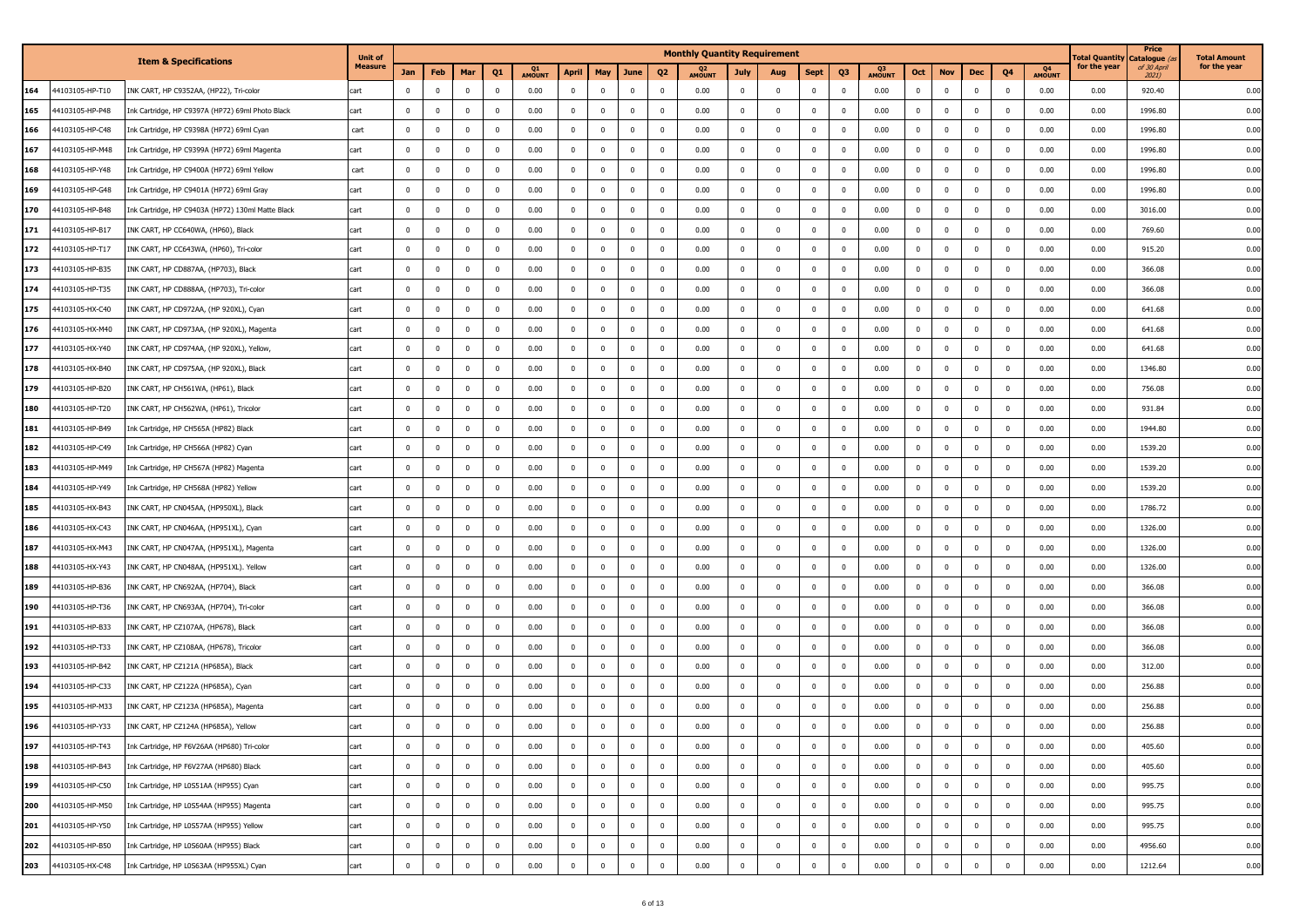|     |                 |                                                   | <b>Unit of</b> |             |              |                         |                |              |              |                         |                |                | <b>Monthly Quantity Requirement</b> |              |                         |              |                |              |                |                |              |                         |              | <b>Total Quantity</b> | Price<br>Catalogue (    | <b>Total Amount</b> |
|-----|-----------------|---------------------------------------------------|----------------|-------------|--------------|-------------------------|----------------|--------------|--------------|-------------------------|----------------|----------------|-------------------------------------|--------------|-------------------------|--------------|----------------|--------------|----------------|----------------|--------------|-------------------------|--------------|-----------------------|-------------------------|---------------------|
|     |                 | <b>Item &amp; Specifications</b>                  | <b>Measure</b> | Jan         | Feb          | Mar                     | Q <sub>1</sub> | Q1<br>AMOUNT | <b>April</b> | May                     | June           | Q <sub>2</sub> | Q <sub>2</sub><br>AMOUNT            | <b>July</b>  | Aug                     | <b>Sept</b>  | Q3             | Q3<br>AMOUNT | Oct            | <b>Nov</b>     | Dec          | Q4                      | Q4<br>AMOUNT | for the year          | of 30 April<br>$2021$ ) | for the year        |
| 164 | 4103105-HP-T10  | INK CART, HP C9352AA, (HP22), Tri-color           | cart           | $\mathbf 0$ | $\mathbf{0}$ | $\overline{\mathbf{0}}$ | $\mathbf 0$    | 0.00         | $\mathbf{0}$ | $\mathbf 0$             | $\mathbf{0}$   | $\mathbf 0$    | 0.00                                | $\mathbf 0$  | $\overline{\mathbf{0}}$ | $^{\circ}$   | $^{\circ}$     | 0.00         | $\mathbf{0}$   | $\mathbf 0$    | $\mathbf{0}$ | $\overline{\mathbf{0}}$ | 0.00         | 0.00                  | 920.40                  | 0.00                |
| 165 | 44103105-HP-P48 | Ink Cartridge, HP C9397A (HP72) 69ml Photo Black  | cart           | $\bf{0}$    | $\mathbf 0$  | $\overline{0}$          | $\mathbf{0}$   | 0.00         | $\bf{0}$     | $\mathbf 0$             | $\overline{0}$ | $\mathbf 0$    | 0.00                                | $\mathbf{0}$ | $\overline{\mathbf{0}}$ | $^{\circ}$   | $^{\circ}$     | 0.00         | $\mathbf{0}$   | $\bf{0}$       | $\mathbf 0$  | $\overline{\mathbf{0}}$ | 0.00         | 0.00                  | 1996.80                 | 0.00                |
| 166 | 4103105-HP-C48  | Ink Cartridge, HP C9398A (HP72) 69ml Cyan         | cart           | $\mathbf 0$ | $\mathbf 0$  | $\overline{0}$          | $\mathbf 0$    | 0.00         | $\mathbf{0}$ | $\Omega$                | $\mathbf{0}$   | $\mathbf 0$    | 0.00                                | $\mathbf 0$  | $\overline{0}$          | $^{\circ}$   | $\Omega$       | 0.00         | $\mathbf{0}$   | $\mathbf 0$    | $\mathbf{0}$ | $\overline{\mathbf{0}}$ | 0.00         | 0.00                  | 1996.80                 | 0.00                |
| 167 | 44103105-HP-M48 | Ink Cartridge, HP C9399A (HP72) 69ml Magenta      | cart           | $\bf{0}$    | $\mathbf 0$  | $\overline{\mathbf{0}}$ | $\mathbf{0}$   | 0.00         | $\mathbf 0$  | $\mathbf 0$             | $\overline{0}$ | 0              | 0.00                                | $\mathbf 0$  | $\overline{\mathbf{0}}$ | $^{\circ}$   | $\Omega$       | 0.00         | $\mathbf 0$    | $\bf{0}$       | $\Omega$     | $\overline{\mathbf{0}}$ | 0.00         | 0.00                  | 1996.80                 | 0.00                |
| 168 | 4103105-HP-Y48  | Ink Cartridge, HP C9400A (HP72) 69ml Yellow       | cart           | $\mathbf 0$ | $\mathbf{0}$ | $\overline{0}$          | $\mathbf 0$    | 0.00         | $\mathbf{0}$ | $\mathbf 0$             | $\mathbf{0}$   | $\mathbf 0$    | 0.00                                | $\mathbf 0$  | $\overline{\mathbf{0}}$ | $\mathbf{0}$ |                | 0.00         | $\Omega$       | $\mathbf 0$    | $\mathbf{0}$ | $\overline{\mathbf{0}}$ | 0.00         | 0.00                  | 1996.80                 | 0.00                |
| 169 | 4103105-HP-G48  | Ink Cartridge, HP C9401A (HP72) 69ml Gray         | cart           | $\mathbf 0$ | $\mathbf 0$  | $\mathbf 0$             | $\mathbf{0}$   | 0.00         | $\mathbf{0}$ | $\Omega$                | $\mathbf{0}$   | $\mathbf 0$    | 0.00                                | $\mathbf 0$  | $\overline{0}$          |              |                | 0.00         | $\Omega$       | $\mathbf 0$    | $^{\circ}$   | $\overline{\mathbf{0}}$ | 0.00         | 0.00                  | 1996.80                 | 0.00                |
| 170 | 44103105-HP-B48 | Ink Cartridge, HP C9403A (HP72) 130ml Matte Black | cart           | $\mathbf 0$ | $\Omega$     | $\overline{0}$          | $\mathbf 0$    | 0.00         | $\mathbf{0}$ | $\Omega$                | $\bf{0}$       | $\Omega$       | 0.00                                | $\mathbf 0$  | $\overline{\mathbf{0}}$ | $^{\circ}$   | $\Omega$       | 0.00         | $\mathbf 0$    | $\mathbf 0$    | $\mathbf{0}$ | $\overline{\mathbf{0}}$ | 0.00         | 0.00                  | 3016.00                 | 0.00                |
| 171 | 4103105-HP-B17  | INK CART, HP CC640WA, (HP60), Black               | cart           | $\mathbf 0$ | $\mathbf 0$  | $\overline{0}$          | $\mathbf{0}$   | 0.00         | $\mathbf{0}$ | $\mathbf 0$             | $\bf{0}$       | $\mathbf 0$    | 0.00                                | $\mathbf 0$  | $\overline{\mathbf{0}}$ | $^{\circ}$   | $\overline{0}$ | 0.00         | $\mathbf{0}$   | $\mathbf 0$    | $\mathbf{0}$ | $\overline{\mathbf{0}}$ | 0.00         | 0.00                  | 769.60                  | 0.00                |
| 172 | 44103105-HP-T17 | INK CART, HP CC643WA, (HP60), Tri-color           | cart           | $\mathbf 0$ | $\mathbf 0$  | $\overline{0}$          | $\mathbf 0$    | 0.00         | $\mathbf{0}$ | $^{\circ}$              | $\mathbf 0$    | $\mathbf 0$    | 0.00                                | $\mathbf 0$  | $\overline{\mathbf{0}}$ | $\Omega$     | $\Omega$       | 0.00         | $\overline{0}$ | $\mathbf 0$    | $\mathbf{0}$ | $\overline{\mathbf{0}}$ | 0.00         | 0.00                  | 915.20                  | 0.00                |
| 173 | 4103105-HP-B35  | INK CART, HP CD887AA, (HP703), Black              | cart           | $\mathbf 0$ | $\mathbf 0$  | $\overline{0}$          | $\mathbf 0$    | 0.00         | $\mathbf{0}$ | $^{\circ}$              | $\overline{0}$ | $\mathbf 0$    | 0.00                                | $\mathbf 0$  | $\mathbf 0$             | $^{\circ}$   | $\Omega$       | 0.00         | $\mathbf{0}$   | $\mathbf 0$    | $\mathbf{0}$ | $\overline{\mathbf{0}}$ | 0.00         | 0.00                  | 366.08                  | 0.00                |
| 174 | 44103105-HP-T35 | INK CART, HP CD888AA, (HP703), Tri-color          | cart           | $\mathbf 0$ | $\mathbf 0$  | $\overline{0}$          | $\overline{0}$ | 0.00         | $\mathbf{0}$ | $^{\circ}$              | $\bf{0}$       | $\overline{0}$ | 0.00                                | $\mathbf 0$  | $\overline{\mathbf{0}}$ | $^{\circ}$   | $\Omega$       | 0.00         | $\overline{0}$ | $\bf{0}$       | $\Omega$     | $\overline{\mathbf{0}}$ | 0.00         | 0.00                  | 366.08                  | 0.00                |
| 175 | 44103105-HX-C40 | INK CART, HP CD972AA, (HP 920XL), Cyan            | cart           | $\mathbf 0$ | $\mathbf 0$  | $\mathbf 0$             | $\mathbf{0}$   | 0.00         | $\mathbf{0}$ | $\mathbf 0$             | $\bf{0}$       | $\mathbf 0$    | 0.00                                | $\mathbf 0$  | $\overline{\mathbf{0}}$ | $^{\circ}$   | $\Omega$       | 0.00         | $\mathbf{0}$   | $\bf{0}$       | $\mathbf{0}$ | $\overline{\mathbf{0}}$ | 0.00         | 0.00                  | 641.68                  | 0.00                |
| 176 | 44103105-HX-M40 | INK CART, HP CD973AA, (HP 920XL), Magenta         | cart           | $\mathbf 0$ | $\mathbf 0$  | $\overline{0}$          | $\mathbf{0}$   | 0.00         | $\bf{0}$     | $\mathbf 0$             | $\pmb{0}$      | $\mathbf 0$    | 0.00                                | $\mathbf{0}$ | $\overline{\mathbf{0}}$ | $\mathbf 0$  | $\Omega$       | 0.00         | $\mathbf 0$    | $\bf{0}$       | $^{\circ}$   | $\overline{0}$          | 0.00         | 0.00                  | 641.68                  | 0.00                |
| 177 | 4103105-HX-Y40  | INK CART, HP CD974AA, (HP 920XL), Yellow,         | cart           | $\mathbf 0$ | $\mathbf 0$  | $\overline{0}$          | $\mathbf 0$    | 0.00         | $\mathbf{0}$ | $\Omega$                | $\mathbf{0}$   | $\mathbf 0$    | 0.00                                | $\mathbf 0$  | $\mathbf 0$             | $^{\circ}$   | $\Omega$       | 0.00         | $\mathbf 0$    | $\mathbf 0$    | $\mathbf{0}$ | $\overline{0}$          | 0.00         | 0.00                  | 641.68                  | 0.00                |
| 178 | 44103105-HX-B40 | INK CART, HP CD975AA, (HP 920XL), Black           | cart           | $\mathbf 0$ | 0            | 0                       | $\mathbf{0}$   | 0.00         | $\mathbf 0$  | $\overline{\mathbf{0}}$ | $\overline{0}$ | 0              | 0.00                                | $\mathbf{0}$ | $\overline{\mathbf{0}}$ | $\mathbf 0$  | $^{\circ}$     | 0.00         | $\bf{0}$       | $\bf{0}$       | $\mathbf 0$  | $\overline{0}$          | 0.00         | 0.00                  | 1346.80                 | 0.00                |
| 179 | 4103105-HP-B20  | INK CART, HP CH561WA, (HP61), Black               | cart           | $\mathbf 0$ | $\mathbf 0$  | $\overline{0}$          | $\mathbf 0$    | 0.00         | $\mathbf{0}$ | $\mathbf 0$             | $\mathbf 0$    | $\mathbf 0$    | 0.00                                | $\mathbf 0$  | $\overline{\mathbf{0}}$ | $^{\circ}$   | $\mathbf 0$    | 0.00         | $\mathbf{0}$   | $\mathbf 0$    | $\mathbf{0}$ | $\overline{0}$          | 0.00         | 0.00                  | 756.08                  | 0.00                |
| 180 | 4103105-HP-T20  | INK CART, HP CH562WA, (HP61), Tricolor            | cart           | $\mathbf 0$ | $\mathbf 0$  | $\mathbf 0$             | $\mathbf{0}$   | 0.00         | $\mathbf{0}$ | $\mathbf 0$             | $\mathbf{0}$   | $\mathbf 0$    | 0.00                                | $\mathbf{0}$ | $\overline{\mathbf{0}}$ | $^{\circ}$   | $\overline{0}$ | 0.00         | $\mathbf{0}$   | $\mathbf 0$    | $\mathbf{0}$ | $\overline{\mathbf{0}}$ | 0.00         | 0.00                  | 931.84                  | 0.00                |
| 181 | 4103105-HP-B49  | Ink Cartridge, HP CH565A (HP82) Black             | cart           | $\mathbf 0$ | $\mathbf 0$  | $\overline{0}$          | $\mathbf 0$    | 0.00         | $\mathbf{0}$ | $\Omega$                | $\mathbf{0}$   | $\mathbf 0$    | 0.00                                | $\mathbf 0$  | $\overline{0}$          | $^{\circ}$   | $\Omega$       | 0.00         | $\mathbf 0$    | $\mathbf 0$    | $\mathbf{0}$ | $\overline{\mathbf{0}}$ | 0.00         | 0.00                  | 1944.80                 | 0.00                |
| 182 | 4103105-HP-C49  | Ink Cartridge, HP CH566A (HP82) Cyan              | cart           | $\bf{0}$    | $\mathbf 0$  | $\overline{0}$          | $\mathbf 0$    | 0.00         | $\mathbf{0}$ | $\overline{\mathbf{0}}$ | $\mathbf{0}$   | $\overline{0}$ | 0.00                                | $\mathbf 0$  | $\overline{\mathbf{0}}$ | $^{\circ}$   |                | 0.00         | $\mathbf 0$    | $\mathbf 0$    | $\Omega$     | $\overline{\mathbf{0}}$ | 0.00         | 0.00                  | 1539.20                 | 0.00                |
| 183 | 14103105-HP-M49 | Ink Cartridge, HP CH567A (HP82) Magenta           | cart           | $\mathbf 0$ | $\mathbf 0$  | $\overline{0}$          | $\mathbf 0$    | 0.00         | $\mathbf{0}$ | $\Omega$                | $\mathbf{0}$   | $\mathbf 0$    | 0.00                                | $\mathbf 0$  | $\overline{\mathbf{0}}$ | $^{\circ}$   | $\Omega$       | 0.00         | $\Omega$       | $\mathbf 0$    | $\mathbf{0}$ | $\overline{\mathbf{0}}$ | 0.00         | 0.00                  | 1539.20                 | 0.00                |
| 184 | 4103105-HP-Y49  | Ink Cartridge, HP CH568A (HP82) Yellow            | cart           | $\mathbf 0$ | $\mathbf 0$  | $\mathbf 0$             | $\mathbf{0}$   | 0.00         | $\mathbf 0$  | $\Omega$                | $\mathbf{0}$   | $\mathbf 0$    | 0.00                                | $\mathbf 0$  | $\overline{0}$          |              |                | 0.00         | $\Omega$       | $\mathbf 0$    | $\Omega$     | $\overline{\mathbf{0}}$ | 0.00         | 0.00                  | 1539.20                 | 0.00                |
| 185 | 44103105-HX-B43 | INK CART, HP CN045AA, (HP950XL), Black            | cart           | $\mathbf 0$ | $\Omega$     | $\mathbf 0$             | 0              | 0.00         | $\mathbf 0$  | $\Omega$                | $\bf{0}$       | $\Omega$       | 0.00                                | $\mathbf 0$  | $\mathbf 0$             | $^{\circ}$   | $\Omega$       | 0.00         | $\mathbf 0$    | $\mathbf 0$    | $\mathbf 0$  | $\overline{\mathbf{0}}$ | 0.00         | 0.00                  | 1786.72                 | 0.00                |
| 186 | 44103105-HX-C43 | INK CART, HP CN046AA, (HP951XL), Cyan             | cart           | $\mathbf 0$ | $\mathbf 0$  | $\overline{0}$          | $\mathbf{0}$   | 0.00         | $\mathbf{0}$ | $\mathbf 0$             | $\overline{0}$ | $\mathbf 0$    | 0.00                                | $\mathbf 0$  | $\overline{\mathbf{0}}$ | $^{\circ}$   | $\overline{0}$ | 0.00         | $\mathbf{0}$   | $\mathbf 0$    | $\mathbf{0}$ | $\overline{\mathbf{0}}$ | 0.00         | 0.00                  | 1326.00                 | 0.00                |
| 187 | 44103105-HX-M43 | INK CART, HP CN047AA, (HP951XL), Magenta          | cart           | $\mathbf 0$ | $\mathbf 0$  | $\overline{0}$          | $\mathbf{0}$   | 0.00         | $\mathbf{0}$ | $\mathbf 0$             | $\pmb{0}$      | $\mathbf 0$    | 0.00                                | $\mathbf 0$  | $\overline{\mathbf{0}}$ | $^{\circ}$   | $\mathbf 0$    | 0.00         | $\mathbf{0}$   | $\mathbf 0$    | $\mathbf{0}$ | $\overline{\mathbf{0}}$ | 0.00         | 0.00                  | 1326.00                 | 0.00                |
| 188 | 14103105-HX-Y43 | INK CART, HP CN048AA, (HP951XL). Yellow           | cart           | $\mathbf 0$ | $\mathbf 0$  | $\mathbf 0$             | $\mathbf 0$    | 0.00         | $\mathbf{0}$ | $\Omega$                | $\mathbf{0}$   | $\mathbf 0$    | 0.00                                | $^{\circ}$   | $\mathbf 0$             | $^{\circ}$   | $\Omega$       | 0.00         | $\Omega$       | $\mathbf 0$    | $\Omega$     | $\overline{\mathbf{0}}$ | 0.00         | 0.00                  | 1326.00                 | 0.00                |
| 189 | 44103105-HP-B36 | INK CART, HP CN692AA, (HP704), Black              | cart           | $\mathbf 0$ | $\mathbf 0$  | $\overline{0}$          | $\mathbf{0}$   | 0.00         | $\mathbf 0$  | $\overline{\mathbf{0}}$ | $\overline{0}$ | 0              | 0.00                                | $\mathbf{0}$ | $\overline{\mathbf{0}}$ | $^{\circ}$   | $\Omega$       | 0.00         | $\mathbf 0$    | $\bf{0}$       | $\mathbf{0}$ | $\overline{\mathbf{0}}$ | 0.00         | 0.00                  | 366.08                  | 0.00                |
| 190 | 4103105-HP-T36  | INK CART, HP CN693AA, (HP704), Tri-color          | cart           | $\mathbf 0$ | $\mathbf{0}$ | $\overline{0}$          | $\mathbf 0$    | 0.00         | $\mathbf{0}$ | $\mathbf 0$             | $\mathbf{0}$   | $\mathbf 0$    | 0.00                                | $\mathbf 0$  | $\overline{\mathbf{0}}$ | $^{\circ}$   | $\Omega$       | 0.00         | $\mathbf 0$    | $\mathbf 0$    | $\mathbf{0}$ | $\overline{\mathbf{0}}$ | 0.00         | 0.00                  | 366.08                  | 0.00                |
| 191 | 44103105-HP-B33 | INK CART, HP CZ107AA, (HP678), Black              | cart           | $\bf{0}$    | $\mathbf 0$  | $\overline{0}$          | $\mathbf{0}$   | 0.00         | $\bf{0}$     | $\mathbf 0$             | $\overline{0}$ | $\mathbf 0$    | 0.00                                | $\mathbf{0}$ | $\overline{\mathbf{0}}$ | $^{\circ}$   | $\Omega$       | 0.00         | $\mathbf 0$    | $\bf{0}$       | $^{\circ}$   | $\overline{\mathbf{0}}$ | 0.00         | 0.00                  | 366.08                  | 0.00                |
| 192 | 44103105-HP-T33 | INK CART, HP CZ108AA, (HP678), Tricolor           | cart           | $\mathbf 0$ | $\mathbf 0$  | $\mathbf 0$             | $\mathbf 0$    | 0.00         | $\mathbf{0}$ | $\Omega$                | $\pmb{0}$      | $\mathbf 0$    | 0.00                                | $\mathbf 0$  | $\mathbf 0$             | $^{\circ}$   |                | 0.00         | $\mathbf 0$    | $\mathbf 0$    | $\mathbf{0}$ | $\overline{\mathbf{0}}$ | 0.00         | 0.00                  | 366.08                  | 0.00                |
| 193 | 44103105-HP-B42 | INK CART, HP CZ121A (HP685A), Black               | cart           | $\mathbf 0$ | 0            | $\overline{\mathbf{0}}$ | $\mathbf 0$    | 0.00         | $^{\circ}$   | $\overline{\mathbf{0}}$ | $\overline{0}$ | $\mathbf 0$    | 0.00                                | $\mathbf{0}$ | $\overline{\mathbf{0}}$ | $^{\circ}$   | $\Omega$       | 0.00         | $\mathbf 0$    | $\bf{0}$       | $^{\circ}$   | $\overline{\mathbf{0}}$ | 0.00         | 0.00                  | 312.00                  | 0.00                |
| 194 | 44103105-HP-C33 | INK CART, HP CZ122A (HP685A), Cyan                | cart           | $\mathbf 0$ | $\mathbf 0$  | $\overline{0}$          | $\mathbf 0$    | 0.00         | $\mathbf{0}$ | $^{\circ}$              | $\overline{0}$ | $\mathbf 0$    | 0.00                                | $\mathbf 0$  | $\overline{\mathbf{0}}$ | $\Omega$     | $\Omega$       | 0.00         | $\mathbf{0}$   | $\mathbf 0$    | $\mathbf{0}$ | $\overline{\mathbf{0}}$ | 0.00         | 0.00                  | 256.88                  | 0.00                |
| 195 | 4103105-HP-M33  | INK CART, HP CZ123A (HP685A), Magenta             | cart           | $\mathbf 0$ | $\mathbf 0$  | $\mathbf 0$             | $\mathbf{0}$   | 0.00         | $\mathbf{0}$ | $\mathbf 0$             | $\mathbf 0$    | $\mathbf 0$    | 0.00                                | $\mathbf 0$  | $\overline{0}$          |              | $\Omega$       | 0.00         | $\mathbf 0$    | $\mathbf 0$    | $\mathbf{0}$ | $\overline{\mathbf{0}}$ | 0.00         | 0.00                  | 256.88                  | 0.00                |
| 196 | 44103105-HP-Y33 | INK CART, HP CZ124A (HP685A), Yellow              | cart           | $\mathbf 0$ | $\mathbf 0$  | $\overline{0}$          | $\mathbf 0$    | 0.00         | $\mathbf 0$  | $\mathbf 0$             | $\bf{0}$       | $\mathbf 0$    | 0.00                                | $\mathbf 0$  | $\mathbf 0$             |              | $\Omega$       | 0.00         | $\Omega$       | $\mathbf 0$    | $\Omega$     | $\overline{0}$          | 0.00         | 0.00                  | 256.88                  | 0.00                |
| 197 | 44103105-HP-T43 | Ink Cartridge, HP F6V26AA (HP680) Tri-color       | cart           | $\mathbf 0$ | 0            | $\overline{\mathbf{0}}$ | $\mathbf{0}$   | 0.00         | $\mathbf{0}$ | $\mathbf 0$             | $\bf{0}$       | 0              | 0.00                                | $\mathbf{0}$ | $\overline{\mathbf{0}}$ | $^{\circ}$   | $^{\circ}$     | 0.00         | $\mathbf 0$    | $\bf{0}$       | $\mathbf{0}$ | $\overline{0}$          | 0.00         | 0.00                  | 405.60                  | 0.00                |
| 198 | 44103105-HP-B43 | Ink Cartridge, HP F6V27AA (HP680) Black           | cart           | $\bf{0}$    | $\mathbf{0}$ | $\overline{0}$          | $\overline{0}$ | 0.00         | $\mathbf{0}$ | $\mathbf 0$             | $\overline{0}$ | $\mathbf{0}$   | 0.00                                | $\mathbf 0$  | $\overline{\mathbf{0}}$ | $\mathbf 0$  | $\mathbf 0$    | 0.00         | $\mathbf{0}$   | $\overline{0}$ | $\mathbf{0}$ | $\overline{\mathbf{0}}$ | 0.00         | 0.00                  | 405.60                  | 0.00                |
| 199 | 44103105-HP-C50 | Ink Cartridge, HP L0S51AA (HP955) Cyan            | cart           | $\mathbf 0$ | $\mathbf 0$  | $\overline{\mathbf{0}}$ | $\mathbf{0}$   | 0.00         | $\bf{0}$     | $\mathbf 0$             | $\bf{0}$       | $\mathbf 0$    | 0.00                                | $\mathbf{0}$ | $\overline{\mathbf{0}}$ | $\mathbf 0$  | $\overline{0}$ | 0.00         | $\bf{0}$       | $\mathbf 0$    | $\mathbf{0}$ | $\overline{\mathbf{0}}$ | 0.00         | 0.00                  | 995.75                  | 0.00                |
| 200 | 44103105-HP-M50 | Ink Cartridge, HP L0S54AA (HP955) Magenta         | cart           | $\bf{0}$    | $\mathbf 0$  | $\overline{0}$          | $\mathbf{0}$   | 0.00         | $\bf{0}$     | $\mathbf 0$             | $\mathbf{0}$   | $\mathbf 0$    | 0.00                                | $\mathbf{0}$ | $\overline{\mathbf{0}}$ | $\mathbf 0$  | $\overline{0}$ | 0.00         | $\bf{0}$       | $\mathbf{0}$   | $\bf{0}$     | $\overline{\mathbf{0}}$ | 0.00         | 0.00                  | 995.75                  | 0.00                |
| 201 | 44103105-HP-Y50 | Ink Cartridge, HP L0S57AA (HP955) Yellow          | cart           | $\bf{0}$    | $\mathbf 0$  | $\overline{0}$          | $\mathbf{0}$   | 0.00         | $\mathbf{0}$ | $\mathbf 0$             | $\overline{0}$ | $\bf{0}$       | 0.00                                | $\mathbf 0$  | $\overline{\mathbf{0}}$ | $\mathbf{0}$ | $\mathbf 0$    | 0.00         | $\mathbf{0}$   | $\mathbf{0}$   | $\mathbf{0}$ | $\overline{\mathbf{0}}$ | 0.00         | 0.00                  | 995.75                  | 0.00                |
| 202 | 44103105-HP-B50 | Ink Cartridge, HP L0S60AA (HP955) Black           | cart           | $\bf{0}$    | $\mathbf 0$  | $\mathbf 0$             | $\mathbf{0}$   | 0.00         | $\bf{0}$     | $\mathbf 0$             | $\bf{0}$       | $\mathbf 0$    | 0.00                                | $\mathbf{0}$ | $\overline{\mathbf{0}}$ | $\mathbf 0$  | $\mathbf{0}$   | 0.00         | $\bf{0}$       | $\mathbf 0$    | $\bf{0}$     | $\overline{\mathbf{0}}$ | 0.00         | 0.00                  | 4956.60                 | 0.00                |
| 203 | 44103105-HX-C48 | Ink Cartridge, HP L0S63AA (HP955XL) Cyan          | cart           | $\mathbf 0$ | $\mathbf 0$  | $\overline{0}$          | $\mathbf 0$    | 0.00         | $\mathbf 0$  | $\mathbf 0$             | $\mathbf{0}$   | $\mathbf 0$    | 0.00                                | $\mathbf 0$  | $\overline{\mathbf{0}}$ | $\mathbf 0$  | $\mathbf 0$    | 0.00         | $\mathbf{0}$   | $\mathbf 0$    | $\mathbf 0$  | $\mathbf 0$             | 0.00         | 0.00                  | 1212.64                 | 0.00                |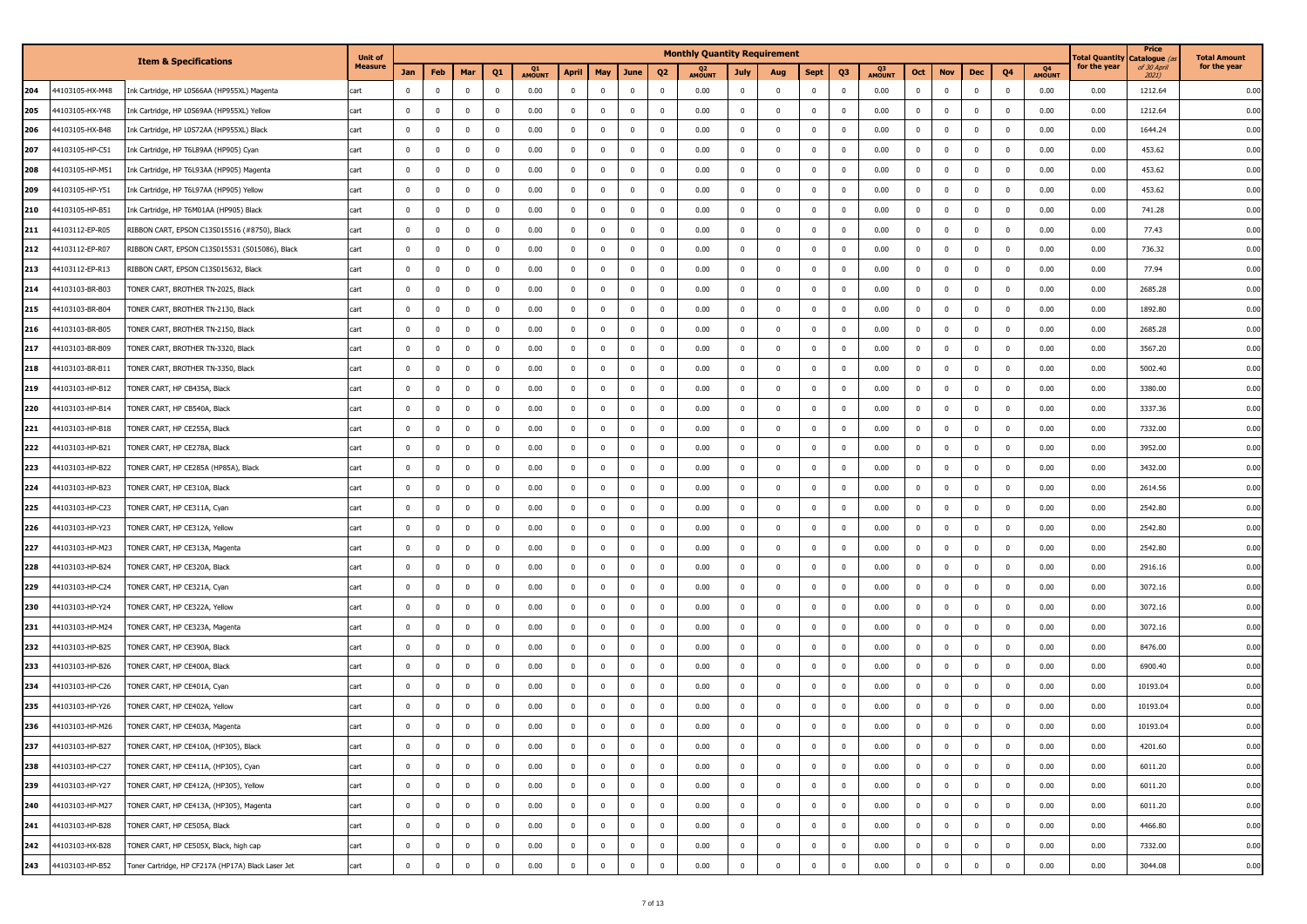|     |                 |                                                    | <b>Unit of</b> |                         |                         |                |                         |              |                |              |                         |                         | <b>Monthly Quantity Requirement</b> |              |                         |              |                         |              |              |             |              |                          |              | <b>Total Quantity</b> | Price<br>Catalogue ( | <b>Total Amount</b> |
|-----|-----------------|----------------------------------------------------|----------------|-------------------------|-------------------------|----------------|-------------------------|--------------|----------------|--------------|-------------------------|-------------------------|-------------------------------------|--------------|-------------------------|--------------|-------------------------|--------------|--------------|-------------|--------------|--------------------------|--------------|-----------------------|----------------------|---------------------|
|     |                 | <b>Item &amp; Specifications</b>                   | <b>Measure</b> | Jan                     | Feb                     | Mar            | Q1                      | Q1<br>AMOUNT | April          | May          | June                    | Q <sub>2</sub>          | Q <sub>2</sub><br>AMOUNT            | <b>July</b>  | Aug                     | <b>Sept</b>  | Q <sub>3</sub>          | Q3<br>AMOUNT | Oct          | <b>Nov</b>  | Dec          | Q4                       | Q4<br>AMOUNT | for the year          | of 30 April<br>2021) | for the year        |
| 204 | 44103105-HX-M48 | Ink Cartridge, HP L0S66AA (HP955XL) Magenta        | cart           | $\overline{0}$          | $\mathbf 0$             | $\mathbf{0}$   | $\mathbf 0$             | 0.00         | $\mathbf 0$    | $\mathbf 0$  | $\overline{\mathbf{0}}$ | $\overline{0}$          | 0.00                                | $\mathbf 0$  | $\overline{0}$          | $\mathbf{0}$ | $\mathbf 0$             | 0.00         | $\mathbf 0$  | $\mathbf 0$ | $\mathbf{0}$ | $\overline{\mathbf{0}}$  | 0.00         | 0.00                  | 1212.64              | 0.00                |
| 205 | 44103105-HX-Y48 | Ink Cartridge, HP L0S69AA (HP955XL) Yellow         | cart           | $\overline{\mathbf{0}}$ | $\bf{0}$                | $\mathbf{0}$   | $\mathbf{0}$            | 0.00         | $\mathbf 0$    | $\mathbf 0$  | 0                       | $\mathbf 0$             | 0.00                                | $\mathbf{0}$ | $\mathbf 0$             | $\bf{0}$     | $\mathbf 0$             | 0.00         | $\mathbf 0$  | $\mathbf 0$ | $\mathbf 0$  | $\overline{\mathbf{0}}$  | 0.00         | 0.00                  | 1212.64              | 0.00                |
| 206 | 44103105-HX-B48 | Ink Cartridge, HP L0S72AA (HP955XL) Black          | cart           | $\mathbf 0$             | $\overline{0}$          | $\mathbf{0}$   | $\mathbf 0$             | 0.00         | $\mathbf 0$    | $\mathbf 0$  | $\mathbf 0$             | $\overline{0}$          | 0.00                                | $\mathbf 0$  | $\overline{0}$          | $\mathbf{0}$ | $\Omega$                | 0.00         | $\mathbf 0$  | $\mathbf 0$ | $\mathbf{0}$ | $\overline{0}$           | 0.00         | 0.00                  | 1644.24              | 0.00                |
| 207 | 44103105-HP-C51 | Ink Cartridge, HP T6L89AA (HP905) Cyan             | cart           | $\overline{\mathbf{0}}$ | $\overline{0}$          | $\mathbf 0$    | $\mathbf{0}$            | 0.00         | $\mathbf 0$    | $\mathbf{0}$ | $\overline{0}$          | $\overline{\mathbf{0}}$ | 0.00                                | $\mathbf 0$  | $\overline{\mathbf{0}}$ | $\bf{0}$     | $\Omega$                | 0.00         | $\mathbf 0$  | $\mathbf 0$ | $\Omega$     | $\overline{\mathbf{0}}$  | 0.00         | 0.00                  | 453.62               | 0.00                |
| 208 | 44103105-HP-M51 | Ink Cartridge, HP T6L93AA (HP905) Magenta          | cart           | $\mathbf 0$             | $\mathbf 0$             | $\mathbf{0}$   | $\mathbf 0$             | 0.00         | $\mathbf 0$    | $\mathbf 0$  | $\mathbf 0$             | $\overline{0}$          | 0.00                                | $\mathbf 0$  | $\overline{0}$          | $\mathbf{0}$ | $\overline{\mathbf{0}}$ | 0.00         | $\mathbf 0$  | $\mathbf 0$ | $\mathbf{0}$ | $\overline{\mathbf{0}}$  | 0.00         | 0.00                  | 453.62               | 0.00                |
| 209 | 44103105-HP-Y51 | Ink Cartridge, HP T6L97AA (HP905) Yellow           | cart           | $\overline{0}$          | $\mathbf 0$             | $\mathbf{0}$   | $\mathbf{0}$            | 0.00         | $\mathbf 0$    | $\mathbf 0$  | $\overline{0}$          | $\mathbf 0$             | 0.00                                | $\mathbf 0$  | $\mathbf 0$             | $\mathbf{0}$ |                         | 0.00         | $\mathbf 0$  | $\mathbf 0$ | $\Omega$     | $\overline{\mathbf{0}}$  | 0.00         | 0.00                  | 453.62               | 0.00                |
| 210 | 44103105-HP-B51 | Ink Cartridge, HP T6M01AA (HP905) Black            | cart           | $\overline{0}$          | $\overline{\mathbf{0}}$ | $\mathbf{0}$   | $\mathbf{0}$            | 0.00         | $\mathbf 0$    | $\mathbf 0$  | $\mathbf 0$             | $\overline{0}$          | 0.00                                | $\mathbf 0$  | $\overline{0}$          | $\mathbf{0}$ | $\Omega$                | 0.00         | $\mathbf 0$  | $\mathbf 0$ | $\Omega$     | $\overline{\phantom{0}}$ | 0.00         | 0.00                  | 741.28               | 0.00                |
| 211 | 44103112-EP-R05 | RIBBON CART, EPSON C13S015516 (#8750), Black       | cart           | $\overline{\mathbf{0}}$ | $\overline{0}$          | $\mathbf{0}$   | $\mathbf 0$             | 0.00         | $\mathbf 0$    | $\mathbf 0$  | $\overline{\mathbf{0}}$ | $\overline{0}$          | 0.00                                | $\mathbf{0}$ | $\overline{0}$          | $\mathbf{0}$ | $\overline{\mathbf{0}}$ | 0.00         | $\mathbf 0$  | $\mathbf 0$ | $\mathbf{0}$ | $\overline{\mathbf{0}}$  | 0.00         | 0.00                  | 77.43                | 0.00                |
| 212 | 44103112-EP-R07 | RIBBON CART, EPSON C13S015531 (S015086), Black     | cart           | $\mathbf 0$             | $\mathbf 0$             | $\mathbf{0}$   | $\mathbf 0$             | 0.00         | $\mathbf 0$    | $\mathbf 0$  | $\mathbf 0$             | $\mathbf 0$             | 0.00                                | $\mathbf 0$  | $\mathbf 0$             | $\Omega$     | $\Omega$                | 0.00         | $\mathbf 0$  | $\Omega$    | $\mathbf 0$  | $\overline{\mathbf{0}}$  | 0.00         | 0.00                  | 736.32               | 0.00                |
| 213 | 44103112-EP-R13 | RIBBON CART, EPSON C13S015632, Black               | cart           | $\overline{\mathbf{0}}$ | $\mathbf{0}$            | $\mathbf{0}$   | $\mathbf 0$             | 0.00         | $\mathbf 0$    | $\mathbf 0$  | $\mathbf 0$             | $\mathbf 0$             | 0.00                                | $\mathbf 0$  | $\mathbf 0$             | $\mathbf{0}$ | $\overline{\mathbf{0}}$ | 0.00         | $\mathbf 0$  | $\mathbf 0$ | $\mathbf 0$  | $\overline{\mathbf{0}}$  | 0.00         | 0.00                  | 77.94                | 0.00                |
| 214 | 44103103-BR-B03 | TONER CART, BROTHER TN-2025, Black                 | cart           | $\overline{\mathbf{0}}$ | $\overline{0}$          | $\mathbf{0}$   | $\mathbf 0$             | 0.00         | $\mathbf 0$    | $\mathbf 0$  | $\mathbf 0$             | $\overline{0}$          | 0.00                                | $\mathbf 0$  | $\mathbf 0$             | $\mathbf{0}$ | $\Omega$                | 0.00         | $\mathbf{0}$ | $\mathbf 0$ | $\Omega$     | $\overline{\mathbf{0}}$  | 0.00         | 0.00                  | 2685.28              | 0.00                |
| 215 | 44103103-BR-B04 | FONER CART, BROTHER TN-2130, Black                 | cart           | $\overline{\mathbf{0}}$ | $\bf{0}$                | $\mathbf{0}$   | $\mathbf 0$             | 0.00         | $\mathbf 0$    | $\mathbf 0$  | $\overline{\mathbf{0}}$ | $\mathbf 0$             | 0.00                                | $\mathbf 0$  | $\overline{0}$          | $\mathbf 0$  | $\overline{\mathbf{0}}$ | 0.00         | $\mathbf 0$  | $\mathbf 0$ | $\mathbf{0}$ | $\overline{\mathbf{0}}$  | 0.00         | 0.00                  | 1892.80              | 0.00                |
| 216 | 44103103-BR-B05 | FONER CART, BROTHER TN-2150, Black                 | cart           | $\overline{\mathbf{0}}$ | $\pmb{0}$               | $\mathbf{0}$   | $\mathbf{0}$            | 0.00         | $\mathbf 0$    | $\mathbf 0$  | $\mathbf{0}$            | $\overline{0}$          | 0.00                                | $\mathbf{0}$ | $\overline{0}$          | $\bf{0}$     | $\overline{\mathbf{0}}$ | 0.00         | $\mathbf 0$  | $\bf{0}$    | $^{\circ}$   | $\overline{\mathbf{0}}$  | 0.00         | 0.00                  | 2685.28              | 0.00                |
| 217 | 44103103-BR-B09 | TONER CART, BROTHER TN-3320, Black                 | cart           | $\mathbf 0$             | $\mathbf 0$             | $\mathbf 0$    | $\mathbf 0$             | 0.00         | $\mathbf 0$    | $\mathbf 0$  | $\mathbf 0$             | $\mathbf 0$             | 0.00                                | $\mathbf 0$  | $\mathbf 0$             | $\mathbf{0}$ | $\Omega$                | 0.00         | $\mathbf 0$  | $\mathbf 0$ | $\mathbf{0}$ | $\overline{\mathbf{0}}$  | 0.00         | 0.00                  | 3567.20              | 0.00                |
| 218 | 44103103-BR-B11 | TONER CART, BROTHER TN-3350, Black                 | cart           | $\mathbf 0$             | $\overline{\mathbf{0}}$ | $\bf{0}$       | $\mathbf{0}$            | 0.00         | $\mathbf 0$    | $\mathbf{0}$ | $\overline{0}$          | $\overline{0}$          | 0.00                                | $\mathbf{0}$ | $\mathbf 0$             | $\bf{0}$     | 0                       | 0.00         | $\bf{0}$     | $\bf{0}$    | $\mathbf{0}$ | $\overline{\mathbf{0}}$  | 0.00         | 0.00                  | 5002.40              | 0.00                |
| 219 | 44103103-HP-B12 | ONER CART, HP CB435A, Black                        | cart           | $\overline{0}$          | $\mathbf 0$             | $\mathbf{0}$   | $\mathbf 0$             | 0.00         | $\mathbf 0$    | $\mathbf 0$  | $\mathbf 0$             | $\overline{0}$          | 0.00                                | $\mathbf 0$  | $\mathbf 0$             | $\mathbf{0}$ | $\mathbf 0$             | 0.00         | $\mathbf 0$  | $\mathbf 0$ | $\mathbf 0$  | $\overline{0}$           | 0.00         | 0.00                  | 3380.00              | 0.00                |
| 220 | 44103103-HP-B14 | TONER CART, HP CB540A, Black                       | cart           | $\mathbf 0$             | $\pmb{0}$               | $\mathbf{0}$   | $\mathbf{0}$            | 0.00         | $\mathbf 0$    | $\mathbf 0$  | $\mathbf{0}$            | $\overline{0}$          | 0.00                                | $\mathbf{0}$ | $\overline{0}$          | $\mathbf{0}$ | $\mathbf 0$             | 0.00         | $\mathbf 0$  | $\mathbf 0$ | $\mathbf{0}$ | $\overline{\mathbf{0}}$  | 0.00         | 0.00                  | 3337.36              | 0.00                |
| 221 | 44103103-HP-B18 | TONER CART, HP CE255A, Black                       | cart           | $\mathbf 0$             | $\overline{0}$          | $\mathbf{0}$   | $\mathbf 0$             | 0.00         | $\mathbf 0$    | $\mathbf 0$  | $\overline{0}$          | $\overline{0}$          | 0.00                                | $\mathbf 0$  | $\mathbf 0$             | $\mathbf{0}$ | $\Omega$                | 0.00         | $\mathbf 0$  | $\mathbf 0$ | $\mathbf{0}$ | $\overline{\mathbf{0}}$  | 0.00         | 0.00                  | 7332.00              | 0.00                |
| 222 | 44103103-HP-B21 | ONER CART, HP CE278A, Black                        | cart           | $\overline{\mathbf{0}}$ | $\overline{0}$          | $\mathbf{0}$   | $\mathbf 0$             | 0.00         | $\mathbf 0$    | $\mathbf 0$  | $\overline{0}$          | $\overline{\mathbf{0}}$ | 0.00                                | $\mathbf 0$  | $\overline{0}$          | $\mathbf 0$  | $\Omega$                | 0.00         | $\mathbf 0$  | $\mathbf 0$ | $\Omega$     | $\overline{\mathbf{0}}$  | 0.00         | 0.00                  | 3952.00              | 0.00                |
| 223 | 44103103-HP-B22 | TONER CART, HP CE285A (HP85A), Black               | cart           | $\mathbf 0$             | $\mathbf 0$             | $\mathbf{0}$   | $\mathbf 0$             | 0.00         | $\mathbf 0$    | $\mathbf 0$  | $\mathbf 0$             | $\mathbf 0$             | 0.00                                | $\mathbf 0$  | $\Omega$                | $\mathbf{0}$ | $\Omega$                | 0.00         | $\Omega$     | $\mathbf 0$ | $\Omega$     | $\overline{\mathbf{0}}$  | 0.00         | 0.00                  | 3432.00              | 0.00                |
| 224 | 44103103-HP-B23 | ONER CART, HP CE310A, Black                        | cart           | $\overline{0}$          | $\mathbf 0$             | $\mathbf{0}$   | $\mathbf{0}$            | 0.00         | $\mathbf 0$    | $\mathbf 0$  | $\overline{0}$          | $\mathbf 0$             | 0.00                                | $\mathbf 0$  | $\mathbf 0$             | $\mathbf{0}$ |                         | 0.00         | $\mathbf 0$  | $\mathbf 0$ | $\Omega$     | $\overline{\mathbf{0}}$  | 0.00         | 0.00                  | 2614.56              | 0.00                |
| 225 | 44103103-HP-C23 | TONER CART, HP CE311A, Cyan                        | cart           | $\mathbf 0$             | $\overline{0}$          | $\mathbf 0$    | $^{\circ}$              | 0.00         | $\mathbf 0$    | $\mathbf 0$  | $\mathbf 0$             | $\mathbf 0$             | 0.00                                | $\mathbf 0$  | $\mathbf 0$             | $\mathbf{0}$ | $\Omega$                | 0.00         | $\mathbf 0$  | $\mathbf 0$ | $\mathbf{0}$ | $\overline{\phantom{0}}$ | 0.00         | 0.00                  | 2542.80              | 0.00                |
| 226 | 44103103-HP-Y23 | ONER CART, HP CE312A, Yellow                       | cart           | $\overline{0}$          | $\overline{0}$          | $\mathbf{0}$   | $\mathbf 0$             | 0.00         | $\mathbf 0$    | $\mathbf 0$  | $\mathbf 0$             | $\overline{0}$          | 0.00                                | $\mathbf{0}$ | $\overline{0}$          | $\mathbf{0}$ | $\overline{\mathbf{0}}$ | 0.00         | $\mathbf 0$  | $\mathbf 0$ | $\mathbf{0}$ | $\overline{\mathbf{0}}$  | 0.00         | 0.00                  | 2542.80              | 0.00                |
| 227 | 44103103-HP-M23 | TONER CART, HP CE313A, Magenta                     | cart           | $\mathbf 0$             | $\mathbf 0$             | $\mathbf{0}$   | $\mathbf 0$             | 0.00         | $\mathbf 0$    | $\mathbf 0$  | $\mathbf 0$             | $\mathbf 0$             | 0.00                                | $\mathbf 0$  | $\mathbf 0$             | $\mathbf{0}$ | $\mathbf 0$             | 0.00         | $\mathbf 0$  | $\mathbf 0$ | $\mathbf 0$  | $\overline{\mathbf{0}}$  | 0.00         | 0.00                  | 2542.80              | 0.00                |
| 228 | 44103103-HP-B24 | TONER CART, HP CE320A, Black                       | cart           | $\mathbf 0$             | $\mathbf 0$             | $\mathbf 0$    | $\mathbf 0$             | 0.00         | $\mathbf 0$    | $\mathbf 0$  | $\mathbf 0$             | $\overline{0}$          | 0.00                                | $\mathbf 0$  | $\mathbf 0$             | $\mathbf{0}$ | $\Omega$                | 0.00         | $\mathbf 0$  | $\mathbf 0$ | $\mathbf{0}$ | $\overline{0}$           | 0.00         | 0.00                  | 2916.16              | 0.00                |
| 229 | 44103103-HP-C24 | TONER CART, HP CE321A, Cyan                        | cart           | $\overline{\mathbf{0}}$ | $\overline{0}$          | $\mathbf{0}$   | $\mathbf{0}$            | 0.00         | $\mathbf 0$    | $\mathbf 0$  | $\overline{0}$          | $\overline{\mathbf{0}}$ | 0.00                                | $\mathbf{0}$ | $\mathbf 0$             | $\mathbf 0$  | $\Omega$                | 0.00         | $\mathbf 0$  | $\bf{0}$    | $\Omega$     | $\overline{\mathbf{0}}$  | 0.00         | 0.00                  | 3072.16              | 0.00                |
| 230 | 44103103-HP-Y24 | TONER CART, HP CE322A, Yellow                      | cart           | $\mathbf 0$             | $\mathbf 0$             | $\mathbf{0}$   | $\mathbf 0$             | 0.00         | $\mathbf 0$    | $\mathbf 0$  | $\mathbf 0$             | $\mathbf 0$             | 0.00                                | $\mathbf 0$  | $\overline{0}$          | $\mathbf{0}$ | $\overline{\mathbf{0}}$ | 0.00         | $\mathbf 0$  | $\mathbf 0$ | $\mathbf{0}$ | $\overline{\mathbf{0}}$  | 0.00         | 0.00                  | 3072.16              | 0.00                |
| 231 | 44103103-HP-M24 | TONER CART, HP CE323A, Magenta                     | cart           | $\mathbf 0$             | $\mathbf 0$             | $\mathbf{0}$   | $\mathbf{0}$            | 0.00         | $\overline{0}$ | $\mathbf 0$  | $\mathbf{0}$            | $\overline{0}$          | 0.00                                | $\mathbf{0}$ | $\overline{0}$          | $\bf{0}$     | 0                       | 0.00         | $\mathbf 0$  | $\bf{0}$    | $^{\circ}$   | $\overline{\mathbf{0}}$  | 0.00         | 0.00                  | 3072.16              | 0.00                |
| 232 | 44103103-HP-B25 | TONER CART, HP CE390A, Black                       | cart           | $\mathbf 0$             | $\mathbf 0$             | $\mathbf 0$    | $\mathbf 0$             | 0.00         | $\mathbf 0$    | $\mathbf 0$  | $\mathbf 0$             | $\mathbf 0$             | 0.00                                | $\mathbf 0$  | $\mathbf 0$             | $\mathbf{0}$ | $\Omega$                | 0.00         | $\mathbf 0$  | $\mathbf 0$ | $\mathbf{0}$ | $\overline{0}$           | 0.00         | 0.00                  | 8476.00              | 0.00                |
| 233 | 44103103-HP-B26 | TONER CART, HP CE400A, Black                       | cart           | $\overline{0}$          | $\mathbf 0$             | $\mathbf 0$    | $\mathbf{0}$            | 0.00         | $\mathbf 0$    | 0            | 0                       | 0                       | 0.00                                | $\mathbf{0}$ | $\overline{0}$          | $\mathbf{0}$ | $\Omega$                | 0.00         | $\mathbf 0$  | $\bf{0}$    | $^{\circ}$   | $\overline{\phantom{0}}$ | 0.00         | 0.00                  | 6900.40              | 0.00                |
| 234 | 44103103-HP-C26 | TONER CART, HP CE401A, Cyan                        | cart           | $\Omega$                | $\mathbf 0$             | $\mathbf{0}$   | $\mathbf 0$             | 0.00         | $\mathbf 0$    | $\mathbf 0$  | $\mathbf 0$             | $\mathbf 0$             | 0.00                                | $\mathbf 0$  | $\overline{0}$          | $\mathbf{0}$ | $\Omega$                | 0.00         | $\mathbf 0$  | $\Omega$    | $\mathbf 0$  | $\overline{\mathbf{0}}$  | 0.00         | 0.00                  | 10193.04             | 0.00                |
| 235 | 44103103-HP-Y26 | TONER CART, HP CE402A, Yellow                      | cart           | $\overline{0}$          | $\mathbf 0$             | $\mathbf 0$    | $\overline{\mathbf{0}}$ | 0.00         | $\mathbf 0$    | $\mathbf 0$  | $\mathbf 0$             | $\mathbf 0$             | 0.00                                | $\mathbf 0$  | $\mathbf 0$             | $\mathbf{0}$ | $\overline{\mathbf{0}}$ | 0.00         | $\mathbf 0$  | $\mathbf 0$ | $\mathbf{0}$ | $\overline{\mathbf{0}}$  | 0.00         | 0.00                  | 10193.04             | 0.00                |
| 236 | 44103103-HP-M26 | TONER CART, HP CE403A, Magenta                     | cart           | $\overline{\mathbf{0}}$ | $\mathbf 0$             | $\mathbf 0$    | $\mathbf 0$             | 0.00         | $\mathbf 0$    | $\mathbf 0$  | $\mathbf 0$             | $\overline{0}$          | 0.00                                | $\mathbf 0$  | $\mathbf 0$             | $\mathbf 0$  | $\Omega$                | 0.00         | $\Omega$     | $\mathbf 0$ | $\Omega$     | $\overline{0}$           | 0.00         | 0.00                  | 10193.04             | 0.00                |
| 237 | 44103103-HP-B27 | TONER CART, HP CE410A, (HP305), Black              | cart           | $\mathbf 0$             | $\bf{0}$                | $\mathbf 0$    | $\mathbf{0}$            | 0.00         | $\mathbf 0$    | $\mathbf 0$  | $\mathbf 0$             | $\mathbf 0$             | 0.00                                | $\mathbf{0}$ | $\mathbf 0$             | $\mathbf{0}$ | $\overline{\mathbf{0}}$ | 0.00         | $\mathbf 0$  | $\bf{0}$    | $\mathbf{0}$ | 0                        | 0.00         | 0.00                  | 4201.60              | 0.00                |
| 238 | 44103103-HP-C27 | TONER CART, HP CE411A, (HP305), Cyan               | cart           | $\bf{0}$                | $\mathbf{0}$            | $\overline{0}$ | $\bf{0}$                | 0.00         | $\mathbf{0}$   | $\mathbf 0$  | $\mathbf 0$             | $\mathbf{0}$            | 0.00                                | $\mathbf 0$  | $\mathbf 0$             | $\mathbf 0$  | $\mathbf 0$             | 0.00         | $\mathbf 0$  | $\bf{0}$    | $\mathbf 0$  | $\overline{\mathbf{0}}$  | 0.00         | 0.00                  | 6011.20              | 0.00                |
| 239 | 44103103-HP-Y27 | TONER CART, HP CE412A, (HP305), Yellow             | cart           | $\overline{\mathbf{0}}$ | $\mathbf{0}$            | $\mathbf 0$    | $\mathbf{0}$            | 0.00         | $\bf{0}$       | $\mathbf 0$  | $\mathbf 0$             | $\mathbf 0$             | 0.00                                | $\mathbf{0}$ | $\mathbf 0$             | $\mathbf 0$  | $\overline{\mathbf{0}}$ | 0.00         | $\pmb{0}$    | $\bf{0}$    | $\mathbf{0}$ | $\overline{\mathbf{0}}$  | 0.00         | 0.00                  | 6011.20              | 0.00                |
| 240 | 44103103-HP-M27 | TONER CART, HP CE413A, (HP305), Magenta            | cart           | $\overline{0}$          | $\overline{\mathbf{0}}$ | $\mathbf 0$    | $\mathbf{0}$            | 0.00         | $\bf{0}$       | $\mathbf 0$  | $\bf{0}$                | $\bf{0}$                | 0.00                                | $\bf{0}$     | $\overline{0}$          | $\mathbf 0$  | $\mathbf{0}$            | 0.00         | $\pmb{0}$    | $\mathbf 0$ | $\bf{0}$     | $\overline{\mathbf{0}}$  | 0.00         | 0.00                  | 6011.20              | 0.00                |
| 241 | 44103103-HP-B28 | TONER CART, HP CE505A, Black                       | cart           | $\overline{\mathbf{0}}$ | $\bf{0}$                | $\mathbf{0}$   | $\bf{0}$                | 0.00         | $\mathbf{0}$   | $\mathbf{0}$ | $\bf{0}$                | $\mathbf{0}$            | 0.00                                | $\bf{0}$     | $\mathbf 0$             | $\mathbf{0}$ | $\mathbf 0$             | 0.00         | $\bf{0}$     | $\mathbf 0$ | $\mathbf 0$  | $\overline{\mathbf{0}}$  | 0.00         | 0.00                  | 4466.80              | 0.00                |
| 242 | 44103103-HX-B28 | TONER CART, HP CE505X, Black, high cap             | cart           | $\overline{\mathbf{0}}$ | $\bf{0}$                | $\mathbf 0$    | $\mathbf 0$             | 0.00         | $\pmb{0}$      | $\mathbf 0$  | $\mathbf 0$             | $\bf{0}$                | 0.00                                | $\mathbf{0}$ | $\mathbf 0$             | $\mathbf 0$  | $\mathbf 0$             | 0.00         | $\pmb{0}$    | $\mathbf 0$ | $\pmb{0}$    | $\overline{\mathbf{0}}$  | 0.00         | 0.00                  | 7332.00              | 0.00                |
| 243 | 44103103-HP-B52 | Toner Cartridge, HP CF217A (HP17A) Black Laser Jet | cart           | $\overline{\mathbf{0}}$ | $\bf{0}$                | $\mathbf 0$    | $\mathbf 0$             | 0.00         | $\mathbf 0$    | $\,0\,$      | $\mathbf 0$             | $\mathbf 0$             | 0.00                                | $\mathbf 0$  | $\mathbf 0$             | $\mathbf 0$  | $\mathbf 0$             | 0.00         | $\mathbf 0$  | $\mathbf 0$ | $\mathbf 0$  | $\overline{\mathbf{0}}$  | 0.00         | 0.00                  | 3044.08              | 0.00                |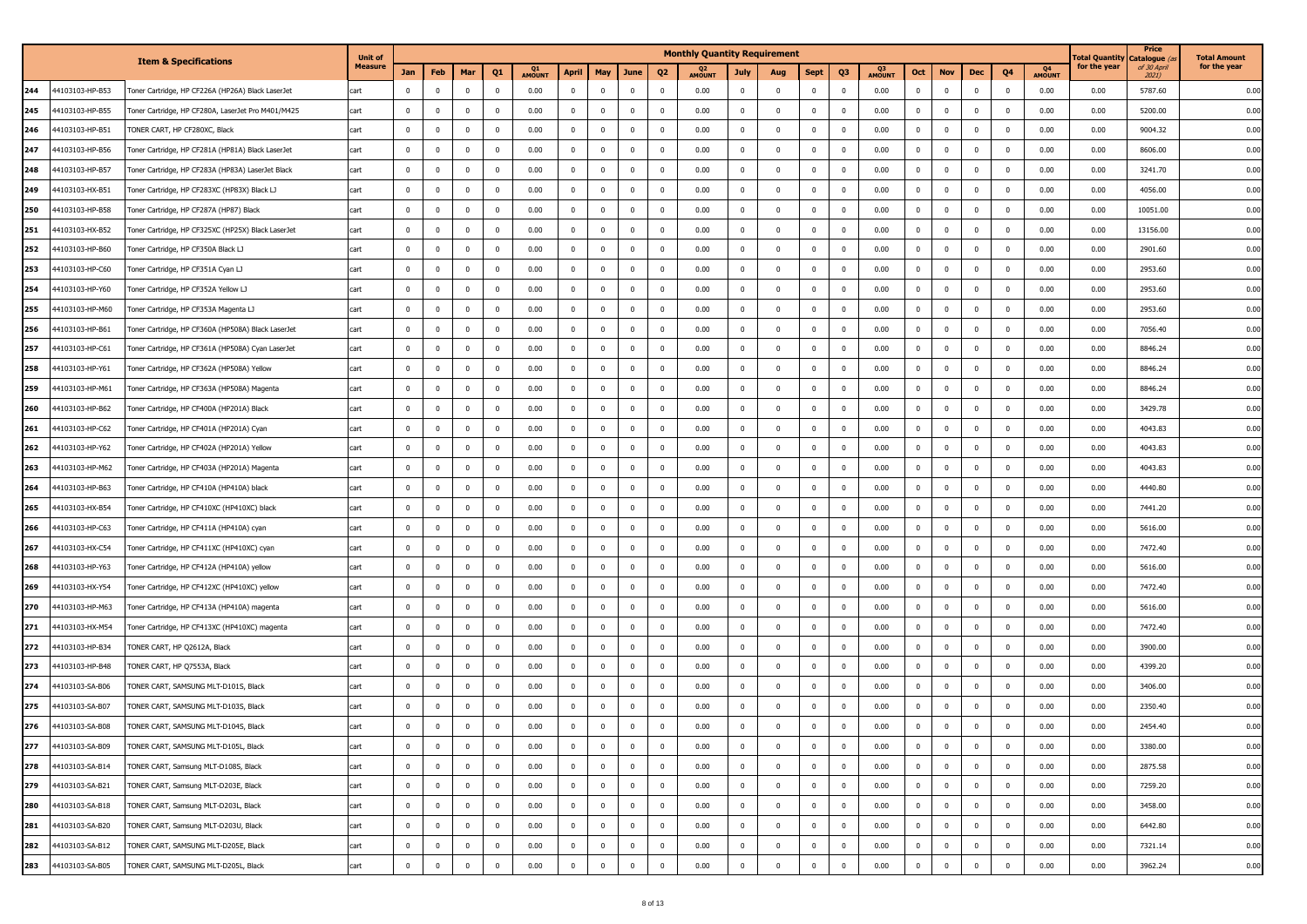|     |                 |                                                    | <b>Unit of</b> |                |                         |              |              |              |                |                |                |                          | <b>Monthly Quantity Requirement</b> |              |                         |                |                         |              |                |              |                |                |              | otal Quantity | Price<br>Catalogue   | <b>Total Amount</b> |
|-----|-----------------|----------------------------------------------------|----------------|----------------|-------------------------|--------------|--------------|--------------|----------------|----------------|----------------|--------------------------|-------------------------------------|--------------|-------------------------|----------------|-------------------------|--------------|----------------|--------------|----------------|----------------|--------------|---------------|----------------------|---------------------|
|     |                 | <b>Item &amp; Specifications</b>                   | Measure        | Jan            | Feb                     | Mar          | Q1           | Q1<br>AMOUNT | <b>April</b>   | May            | June           | Q <sub>2</sub>           | Q <sub>2</sub><br>AMOUNT            | <b>July</b>  | Aug                     | <b>Sept</b>    | Q3                      | Q3<br>AMOUNT | Oct            | <b>Nov</b>   | <b>Dec</b>     | Q <sub>4</sub> | Q4<br>AMOUNT | for the year  | of 30 April<br>2021) | for the year        |
| 244 | 44103103-HP-B53 | Toner Cartridge, HP CF226A (HP26A) Black LaserJet  | cart           | $\mathbf 0$    | $\overline{0}$          | $\mathbf{0}$ | $\mathbf 0$  | 0.00         | $\mathbf 0$    | $\mathbf 0$    | $\mathbf 0$    | $\overline{0}$           | 0.00                                | $\mathbf 0$  | $\mathbf 0$             | $\mathbf 0$    | $\mathbf{0}$            | 0.00         | $\mathbf 0$    | $\mathbf{0}$ | $\mathbf 0$    | $\mathbf{0}$   | 0.00         | 0.00          | 5787.60              | 0.00                |
| 245 | 44103103-HP-B55 | Toner Cartridge, HP CF280A, LaserJet Pro M401/M425 | cart           | $\mathbf 0$    | $\bf{0}$                | $\mathbf{0}$ | $^{\circ}$   | 0.00         | $\mathbf 0$    | $\bf{0}$       | $^{\circ}$     | $\overline{\mathbf{0}}$  | 0.00                                | $^{\circ}$   | $\mathbf 0$             | $\mathbf{0}$   | $\overline{0}$          | 0.00         | $\mathbf 0$    | $\bf{0}$     | $\mathbf 0$    | $\mathbf 0$    | 0.00         | 0.00          | 5200.00              | 0.00                |
| 246 | 44103103-HP-B51 | TONER CART, HP CF280XC, Black                      | cart           | $\mathbf 0$    | $\overline{0}$          | $\mathbf{0}$ | $^{\circ}$   | 0.00         | $\mathbf 0$    | $\mathbf 0$    | $^{\circ}$     | $\overline{0}$           | 0.00                                | $\Omega$     | $\mathbf 0$             | $\mathbf 0$    | $\overline{\mathbf{0}}$ | 0.00         | $\Omega$       | $\mathbf 0$  | $\overline{0}$ | $\mathbf{0}$   | 0.00         | 0.00          | 9004.32              | 0.00                |
| 247 | 44103103-HP-B56 | 'oner Cartridge, HP CF281A (HP81A) Black LaserJet  | cart           | $\overline{0}$ | $\overline{0}$          | $\bf{0}$     | 0            | 0.00         | $\mathbf 0$    | $\overline{0}$ | $^{\circ}$     | $\overline{\mathbf{0}}$  | 0.00                                | $^{\circ}$   | $\overline{\mathbf{0}}$ | $\mathbf 0$    | $\overline{\mathbf{0}}$ | 0.00         | $\overline{0}$ | $^{\circ}$   | $\overline{0}$ | $^{\circ}$     | 0.00         | 0.00          | 8606.00              | 0.00                |
| 248 | 44103103-HP-B57 | Toner Cartridge, HP CF283A (HP83A) LaserJet Black  | cart           | $\mathbf 0$    | $\overline{0}$          | $\mathbf{0}$ | $^{\circ}$   | 0.00         | $\mathbf 0$    | $\mathbf 0$    | $^{\circ}$     | $\overline{0}$           | 0.00                                | $^{\circ}$   | $\mathbf 0$             | $\mathbf 0$    | $\bf{0}$                | 0.00         | $\mathbf 0$    | $\mathbf{0}$ | $\overline{0}$ | $\overline{0}$ | 0.00         | 0.00          | 3241.70              | 0.00                |
| 249 | 44103103-HX-B51 | Toner Cartridge, HP CF283XC (HP83X) Black LJ       | cart           | $\mathbf 0$    | $\overline{0}$          | $\mathbf{0}$ | $\mathbf{0}$ | 0.00         | $\mathbf 0$    | $\mathbf 0$    | 0              | $\overline{0}$           | 0.00                                | $\mathbf{0}$ | $\mathbf 0$             | $\mathbf 0$    | $\overline{\mathbf{0}}$ | 0.00         | $\mathbf 0$    | $\Omega$     |                | $^{\circ}$     | 0.00         | 0.00          | 4056.00              | 0.00                |
| 250 | 44103103-HP-B58 | Toner Cartridge, HP CF287A (HP87) Black            | cart           | $\mathbf 0$    | $\overline{0}$          | $\mathbf{0}$ | $\Omega$     | 0.00         | $\mathbf 0$    | $\bf{0}$       | 0              | $\overline{0}$           | 0.00                                | $^{\circ}$   | $\Omega$                | $\mathbf 0$    | $\overline{\mathbf{0}}$ | 0.00         | $\Omega$       | $\mathbf 0$  | $\Omega$       | $\mathbf{0}$   | 0.00         | 0.00          | 10051.00             | 0.00                |
| 251 | 44103103-HX-B52 | oner Cartridge, HP CF325XC (HP25X) Black LaserJet  | cart           | $\mathbf 0$    | $\overline{\mathbf{0}}$ | $\mathbf{0}$ | $^{\circ}$   | 0.00         | $\overline{0}$ | $\mathbf{0}$   | $^{\circ}$     | $\overline{0}$           | 0.00                                | $^{\circ}$   | $\mathbf 0$             | $\mathbf 0$    | $\mathbf{0}$            | 0.00         | $\mathbf 0$    | $\mathbf 0$  | $\overline{0}$ | $\mathbf 0$    | 0.00         | 0.00          | 13156.00             | 0.00                |
| 252 | 44103103-HP-B60 | Toner Cartridge, HP CF350A Black ⊔                 | cart           | $\Omega$       | $\mathbf{0}$            | $\mathbf{0}$ | $\Omega$     | 0.00         | $\mathbf 0$    | $\mathbf{0}$   | $^{\circ}$     | $\overline{0}$           | 0.00                                | $\Omega$     | $\Omega$                | $\mathbf 0$    | $\mathbf{0}$            | 0.00         | $\Omega$       | $\Omega$     | $\Omega$       | $\mathbf{0}$   | 0.00         | 0.00          | 2901.60              | 0.00                |
| 253 | 44103103-HP-C60 | Toner Cartridge, HP CF351A Cyan LJ                 | cart           | $\Omega$       | $\mathbf{0}$            | $\mathbf{0}$ | $^{\circ}$   | 0.00         | $\mathbf 0$    | $\mathbf 0$    | 0              | $\overline{0}$           | 0.00                                | $^{\circ}$   | $\mathbf 0$             | $\mathbf 0$    | $\overline{0}$          | 0.00         | $\mathbf{0}$   | $\mathbf 0$  | $\overline{0}$ | $\mathbf 0$    | 0.00         | 0.00          | 2953.60              | 0.00                |
| 254 | 44103103-HP-Y60 | Toner Cartridge, HP CF352A Yellow ∐                | cart           | $\mathbf 0$    | $\overline{0}$          | $\mathbf{0}$ | $\Omega$     | 0.00         | $\mathbf{0}$   | $\overline{0}$ | $^{\circ}$     | $\overline{0}$           | 0.00                                | $\Omega$     | $\Omega$                | $\mathbf 0$    | $\overline{0}$          | 0.00         | $\Omega$       | $\mathbf 0$  | $\Omega$       | $\mathbf 0$    | 0.00         | 0.00          | 2953.60              | 0.00                |
| 255 | 44103103-HP-M60 | Toner Cartridge, HP CF353A Magenta LJ              | cart           | $\overline{0}$ | $\mathbf{0}$            | $\mathbf{0}$ | $^{\circ}$   | 0.00         | $\mathbf 0$    | $\overline{0}$ | $^{\circ}$     | $\overline{\mathbf{0}}$  | 0.00                                | $^{\circ}$   | $\mathbf 0$             | $\mathbf 0$    | $\bf{0}$                | 0.00         | $\mathbf 0$    | $\mathbf 0$  | $\overline{0}$ | $\mathbf 0$    | 0.00         | 0.00          | 2953.60              | 0.00                |
| 256 | 44103103-HP-B61 | Toner Cartridge, HP CF360A (HP508A) Black LaserJet | cart           | $\mathbf 0$    | $\overline{0}$          | $\mathbf{0}$ | $^{\circ}$   | 0.00         | $\overline{0}$ | $\bf{0}$       | 0              | $\overline{0}$           | 0.00                                | $^{\circ}$   | $\mathbf 0$             | $\mathbf{0}$   | $\overline{0}$          | 0.00         | $\mathbf 0$    | $\mathbf 0$  | $\overline{0}$ | $\mathbf 0$    | 0.00         | 0.00          | 7056.40              | 0.00                |
| 257 | 44103103-HP-C61 | Toner Cartridge, HP CF361A (HP508A) Cyan LaserJet  | cart           | $\mathbf 0$    | $\overline{0}$          | $\mathbf{0}$ | $^{\circ}$   | 0.00         | $\mathbf 0$    | $\mathbf 0$    | $^{\circ}$     | $\overline{0}$           | 0.00                                | $^{\circ}$   | $\mathbf 0$             | $\mathbf 0$    | $\mathbf{0}$            | 0.00         | $\overline{0}$ | $\mathbf 0$  | $\mathbf 0$    | $\mathbf 0$    | 0.00         | 0.00          | 8846.24              | 0.00                |
| 258 | 44103103-HP-Y61 | Toner Cartridge, HP CF362A (HP508A) Yellow         | cart           | $\mathbf 0$    | $\overline{0}$          | $\bf{0}$     | $^{\circ}$   | 0.00         | $\mathbf 0$    | $\overline{0}$ | 0              | $\overline{\mathbf{0}}$  | 0.00                                | 0            | $\overline{\mathbf{0}}$ | $\mathbf{0}$   | $\overline{0}$          | 0.00         | $\overline{0}$ | $\mathbf 0$  | $\overline{0}$ | $\mathbf 0$    | 0.00         | 0.00          | 8846.24              | 0.00                |
| 259 | 44103103-HP-M61 | Toner Cartridge, HP CF363A (HP508A) Magenta        | cart           | $\mathbf 0$    | $\overline{0}$          | $\mathbf{0}$ | $^{\circ}$   | 0.00         | $\mathbf 0$    | $\mathbf 0$    | $\mathbf{0}$   | $\overline{0}$           | 0.00                                | $^{\circ}$   | $\mathbf 0$             | $\mathbf 0$    | $\mathbf{0}$            | 0.00         | $\mathbf 0$    | $\mathbf{0}$ | $\mathbf 0$    | $\mathbf{0}$   | 0.00         | 0.00          | 8846.24              | 0.00                |
| 260 | 44103103-HP-B62 | Toner Cartridge, HP CF400A (HP201A) Black          | cart           | $\mathbf 0$    | $\overline{0}$          | $\mathbf{0}$ | $^{\circ}$   | 0.00         | $\mathbf 0$    | $\mathbf{0}$   | 0              | $\overline{0}$           | 0.00                                | $^{\circ}$   | $\mathbf 0$             | $\mathbf{0}$   | $\mathbf{0}$            | 0.00         | $\mathbf 0$    | $\mathbf 0$  | $\overline{0}$ | $\mathbf{0}$   | 0.00         | 0.00          | 3429.78              | 0.00                |
| 261 | 44103103-HP-C62 | Toner Cartridge, HP CF401A (HP201A) Cyan           | cart           | $\mathbf 0$    | $\overline{0}$          | $\mathbf{0}$ | $^{\circ}$   | 0.00         | $\mathbf 0$    | $\mathbf 0$    | $^{\circ}$     | $\overline{0}$           | 0.00                                | $^{\circ}$   | $\mathbf 0$             | $\mathbf 0$    | $\overline{\mathbf{0}}$ | 0.00         | $\Omega$       | $\mathbf 0$  | $\Omega$       | $\mathbf{0}$   | 0.00         | 0.00          | 4043.83              | 0.00                |
| 262 | 44103103-HP-Y62 | oner Cartridge, HP CF402A (HP201A) Yellow          | cart           | $\mathbf 0$    | $\overline{0}$          | $\mathbf{0}$ | $^{\circ}$   | 0.00         | $\bf{0}$       | $\mathbf{0}$   | $^{\circ}$     | $\overline{\phantom{0}}$ | 0.00                                | $^{\circ}$   | $\mathbf 0$             | $\overline{0}$ | $\overline{\mathbf{0}}$ | 0.00         | $\mathbf 0$    | $\mathbf 0$  | $\overline{0}$ | $\overline{0}$ | 0.00         | 0.00          | 4043.83              | 0.00                |
| 263 | 44103103-HP-M62 | Toner Cartridge, HP CF403A (HP201A) Magenta        | cart           | $\mathbf 0$    | $\overline{0}$          | $\mathbf{0}$ | $^{\circ}$   | 0.00         | $\bf{0}$       | $\mathbf{0}$   | $^{\circ}$     | $\overline{0}$           | 0.00                                | $\Omega$     | $\Omega$                | $\mathbf 0$    | $\mathbf{0}$            | 0.00         | $\Omega$       | $\Omega$     | $\Omega$       | $\Omega$       | 0.00         | 0.00          | 4043.83              | 0.00                |
| 264 | 44103103-HP-B63 | Toner Cartridge, HP CF410A (HP410A) black          | cart           | $\mathbf 0$    | $\overline{0}$          | $\mathbf{0}$ |              | 0.00         | $\bf{0}$       | $\mathbf 0$    | $\mathbf 0$    | $\overline{0}$           | 0.00                                | $\mathbf{0}$ | $\mathbf 0$             | $\mathbf 0$    | $\overline{\mathbf{0}}$ | 0.00         | $\Omega$       | $\Omega$     | $\Omega$       | $\overline{0}$ | 0.00         | 0.00          | 4440.80              | 0.00                |
| 265 | 44103103-HX-B54 | Toner Cartridge, HP CF410XC (HP410XC) black        | cart           | $\mathbf 0$    | $\overline{0}$          | $\mathbf{0}$ |              | 0.00         | $\bf{0}$       | $\bf{0}$       | 0              | $\overline{0}$           | 0.00                                | $^{\circ}$   | $\Omega$                | $\bf{0}$       | $\overline{\mathbf{0}}$ | 0.00         | $\Omega$       | $\mathbf 0$  | $\Omega$       | $\overline{0}$ | 0.00         | 0.00          | 7441.20              | 0.00                |
| 266 | 44103103-HP-C63 | Toner Cartridge, HP CF411A (HP410A) cyan           | cart           | $\mathbf 0$    | $\overline{\mathbf{0}}$ | $\mathbf{0}$ | $^{\circ}$   | 0.00         | $\overline{0}$ | $\mathbf 0$    | 0              | $\overline{0}$           | 0.00                                | $^{\circ}$   | $\mathbf 0$             | $\mathbf 0$    | $\overline{\mathbf{0}}$ | 0.00         | $\mathbf 0$    | $\mathbf 0$  | $\overline{0}$ | $\mathbf{0}$   | 0.00         | 0.00          | 5616.00              | 0.00                |
| 267 | 44103103-HX-C54 | Toner Cartridge, HP CF411XC (HP410XC) cyan         | cart           | $\mathbf 0$    | $\overline{0}$          | $\mathbf{0}$ | $^{\circ}$   | 0.00         | $\bf{0}$       | $\mathbf{0}$   | $\mathbf 0$    | $\overline{0}$           | 0.00                                | $^{\circ}$   | $\overline{0}$          | $\bf{0}$       | $\mathbf{0}$            | 0.00         | $\mathbf{0}$   | $\mathbf 0$  | $\mathbf 0$    | $\mathbf 0$    | 0.00         | 0.00          | 7472.40              | 0.00                |
| 268 | 44103103-HP-Y63 | Toner Cartridge, HP CF412A (HP410A) yellow         | cart           | $\mathbf 0$    | $\overline{0}$          | $\mathbf 0$  | $\Omega$     | 0.00         | $\mathbf 0$    | $\mathbf 0$    | 0              | $\overline{0}$           | 0.00                                | $\Omega$     | $\mathbf 0$             | $\mathbf 0$    | $\overline{\mathbf{0}}$ | 0.00         | $\Omega$       | $\mathbf 0$  | $\Omega$       | $\mathbf{0}$   | 0.00         | 0.00          | 5616.00              | 0.00                |
| 269 | 44103103-HX-Y54 | Toner Cartridge, HP CF412XC (HP410XC) yellow       | cart           | $\mathbf 0$    | $\overline{\mathbf{0}}$ | $^{\circ}$   | $^{\circ}$   | 0.00         | $\mathbf 0$    | $\overline{0}$ | $^{\circ}$     | $\overline{\mathbf{0}}$  | 0.00                                | $^{\circ}$   | $\overline{\mathbf{0}}$ | $\overline{0}$ | $\overline{\mathbf{0}}$ | 0.00         | $\overline{0}$ | $\mathbf 0$  | $\overline{0}$ | $^{\circ}$     | 0.00         | 0.00          | 7472.40              | 0.00                |
| 270 | 44103103-HP-M63 | Toner Cartridge, HP CF413A (HP410A) magenta        | cart           | $\mathbf 0$    | $\overline{0}$          | $\mathbf{0}$ | $^{\circ}$   | 0.00         | $\mathbf 0$    | $\mathbf 0$    | 0              | $\overline{0}$           | 0.00                                | $^{\circ}$   | $\mathbf 0$             | $\mathbf 0$    | $\mathbf{0}$            | 0.00         | $\mathbf 0$    | $\mathbf{0}$ | $\overline{0}$ | $\overline{0}$ | 0.00         | 0.00          | 5616.00              | 0.00                |
| 271 | 44103103-HX-M54 | Toner Cartridge, HP CF413XC (HP410XC) magenta      | cart           | $\mathbf 0$    | $\overline{0}$          | $^{\circ}$   | $^{\circ}$   | 0.00         | $\overline{0}$ | $\bf{0}$       | $^{\circ}$     | $\overline{0}$           | 0.00                                | $^{\circ}$   | $\mathbf 0$             | $\mathbf{0}$   | $\overline{0}$          | 0.00         | $\mathbf 0$    | $^{\circ}$   | $\overline{0}$ | $^{\circ}$     | 0.00         | 0.00          | 7472.40              | 0.00                |
| 272 | 44103103-HP-B34 | TONER CART, HP Q2612A, Black                       | cart           | $\mathbf 0$    | $\overline{0}$          | $\mathbf 0$  | $^{\circ}$   | 0.00         | $\mathbf 0$    | $\mathbf 0$    | $\mathbf 0$    | $\overline{0}$           | 0.00                                | $^{\circ}$   | $\mathbf 0$             | $\mathbf 0$    | $\mathbf 0$             | 0.00         | $\mathbf 0$    | $\mathbf 0$  | $\Omega$       | $\mathbf{0}$   | 0.00         | 0.00          | 3900.00              | 0.00                |
| 273 | 44103103-HP-B48 | ONER CART, HP Q7553A, Black                        | cart           | $^{\circ}$     | $\overline{0}$          | $\mathbf 0$  | $\mathbf{0}$ | 0.00         | $\overline{0}$ | 0              | 0              | 0                        | 0.00                                | 0            | $\overline{0}$          | $\overline{0}$ | $\overline{\mathbf{0}}$ | 0.00         | $\overline{0}$ | $^{\circ}$   | $^{\circ}$     | 0              | 0.00         | 0.00          | 4399.20              | 0.00                |
| 274 | 44103103-SA-B06 | TONER CART, SAMSUNG MLT-D101S, Black               | cart           | $\Omega$       | $\overline{0}$          | $\mathbf{0}$ | $\Omega$     | 0.00         | $\mathbf 0$    | $\overline{0}$ | $^{\circ}$     | $\overline{0}$           | 0.00                                | $^{\circ}$   | $\Omega$                | $\mathbf 0$    | $\overline{0}$          | 0.00         | $\mathbf{0}$   | $\Omega$     | $\Omega$       | $\mathbf{0}$   | 0.00         | 0.00          | 3406.00              | 0.00                |
| 275 | 44103103-SA-B07 | TONER CART, SAMSUNG MLT-D103S, Black               | cart           | $\mathbf 0$    | $\overline{0}$          | $\mathbf{0}$ | $\mathbf{0}$ | 0.00         | $\mathbf 0$    | $\mathbf 0$    | $\mathbf 0$    | $\overline{0}$           | 0.00                                | $^{\circ}$   | $\mathbf 0$             | $\mathbf 0$    | $\overline{0}$          | 0.00         | $\Omega$       | $\mathbf 0$  | $\overline{0}$ | $\mathbf 0$    | 0.00         | 0.00          | 2350.40              | 0.00                |
| 276 | 44103103-SA-B08 | TONER CART, SAMSUNG MLT-D104S, Black               | cart           | $\mathbf 0$    | $\overline{0}$          | $\mathbf 0$  | $\Omega$     | 0.00         | $\bf{0}$       | $\mathbf 0$    | $\mathbf 0$    | $\overline{0}$           | 0.00                                | $\Omega$     | $\Omega$                | $\bf{0}$       | $\mathbf{0}$            | 0.00         | $\Omega$       | $\mathbf 0$  | $\Omega$       | $\mathbf 0$    | 0.00         | 0.00          | 2454.40              | 0.00                |
| 277 | 44103103-SA-B09 | TONER CART, SAMSUNG MLT-D105L, Black               | cart           | $\mathbf 0$    | $\mathbf 0$             | $\bf{0}$     | $^{\circ}$   | 0.00         | $\mathbf{0}$   | $\bf{0}$       | $\pmb{0}$      | $\mathbf 0$              | 0.00                                | $^{\circ}$   | $\overline{0}$          | $\mathbf 0$    | $\bf{0}$                | 0.00         | $\overline{0}$ | $\mathbf 0$  | $\overline{0}$ | 0              | 0.00         | 0.00          | 3380.00              | 0.00                |
| 278 | 44103103-SA-B14 | TONER CART, Samsung MLT-D108S, Black               | cart           | $\mathbf 0$    | $\bf{0}$                | $\bf{0}$     | $\bf{0}$     | 0.00         | $\mathbf{0}$   | $\bf{0}$       | $\overline{0}$ | $\bf{0}$                 | 0.00                                | $\mathbf 0$  | $\mathbf 0$             | $\mathbf 0$    | $\bf{0}$                | 0.00         | $\mathbf{0}$   | $\mathbf{0}$ | $\mathbf 0$    | $\mathbf 0$    | 0.00         | 0.00          | 2875.58              | 0.00                |
| 279 | 44103103-SA-B21 | TONER CART, Samsung MLT-D203E, Black               | cart           | $\mathbf 0$    | $\overline{\mathbf{0}}$ | $\bf{0}$     | 0            | 0.00         | $\bf{0}$       | $\bf{0}$       | $\bf{0}$       | $\overline{\mathbf{0}}$  | 0.00                                | $^{\circ}$   | $\mathbf 0$             | $\overline{0}$ | $\bf{0}$                | 0.00         | $\mathbf 0$    | $\bf{0}$     | $\overline{0}$ | $\overline{0}$ | 0.00         | 0.00          | 7259.20              | 0.00                |
| 280 | 44103103-SA-B18 | TONER CART, Samsung MLT-D203L, Black               | cart           | $\overline{0}$ | $\overline{\mathbf{0}}$ | $\mathbf 0$  | $\mathbf{0}$ | 0.00         | $\bf{0}$       | $\mathbf 0$    | $\overline{0}$ | $\overline{\mathbf{0}}$  | 0.00                                | $\mathbf{0}$ | $\mathbf 0$             | $\bf{0}$       | $\bf{0}$                | 0.00         | $\mathbf 0$    | $\bf{0}$     | $\mathbf 0$    | $\bf{0}$       | 0.00         | 0.00          | 3458.00              | 0.00                |
| 281 | 44103103-SA-B20 | TONER CART, Samsung MLT-D203U, Black               | cart           | $\mathbf 0$    | $\bf{0}$                | $\bf{0}$     | $\mathbf 0$  | 0.00         | $\mathbf{0}$   | $\overline{0}$ | $\overline{0}$ | $\overline{\mathbf{0}}$  | 0.00                                | $\mathbf 0$  | $\mathbf 0$             | $\bf{0}$       | $\mathbf{0}$            | 0.00         | $\mathbf 0$    | $\mathbf{0}$ | $\bf{0}$       | $\mathbf{0}$   | 0.00         | 0.00          | 6442.80              | 0.00                |
| 282 | 44103103-SA-B12 | TONER CART, SAMSUNG MLT-D205E, Black               | cart           | $\pmb{0}$      | $\mathbf 0$             | $\bf{0}$     | $\mathbf 0$  | 0.00         | $\mathbf 0$    | $\bf{0}$       | $\mathbf 0$    | $\overline{\mathbf{0}}$  | 0.00                                | 0            | $\mathbf 0$             | $\mathbf 0$    | $\mathbf 0$             | 0.00         | $\mathbf 0$    | $\bf{0}$     | $\mathbf 0$    | $\mathbf 0$    | 0.00         | 0.00          | 7321.14              | 0.00                |
| 283 | 44103103-SA-B05 | TONER CART, SAMSUNG MLT-D205L, Black               | cart           | $\mathbf 0$    | $\overline{0}$          | $\mathbf 0$  | $\pmb{0}$    | 0.00         | $\bf{0}$       | $\mathbf 0$    | $\mathbf 0$    | $\mathbf 0$              | 0.00                                | $\mathbf 0$  | $\mathbf 0$             | $\bf{0}$       | $\mathbf 0$             | 0.00         | $\mathbf 0$    | $\mathbf{0}$ | $\mathbf 0$    | $\mathbf 0$    | 0.00         | 0.00          | 3962.24              | 0.00                |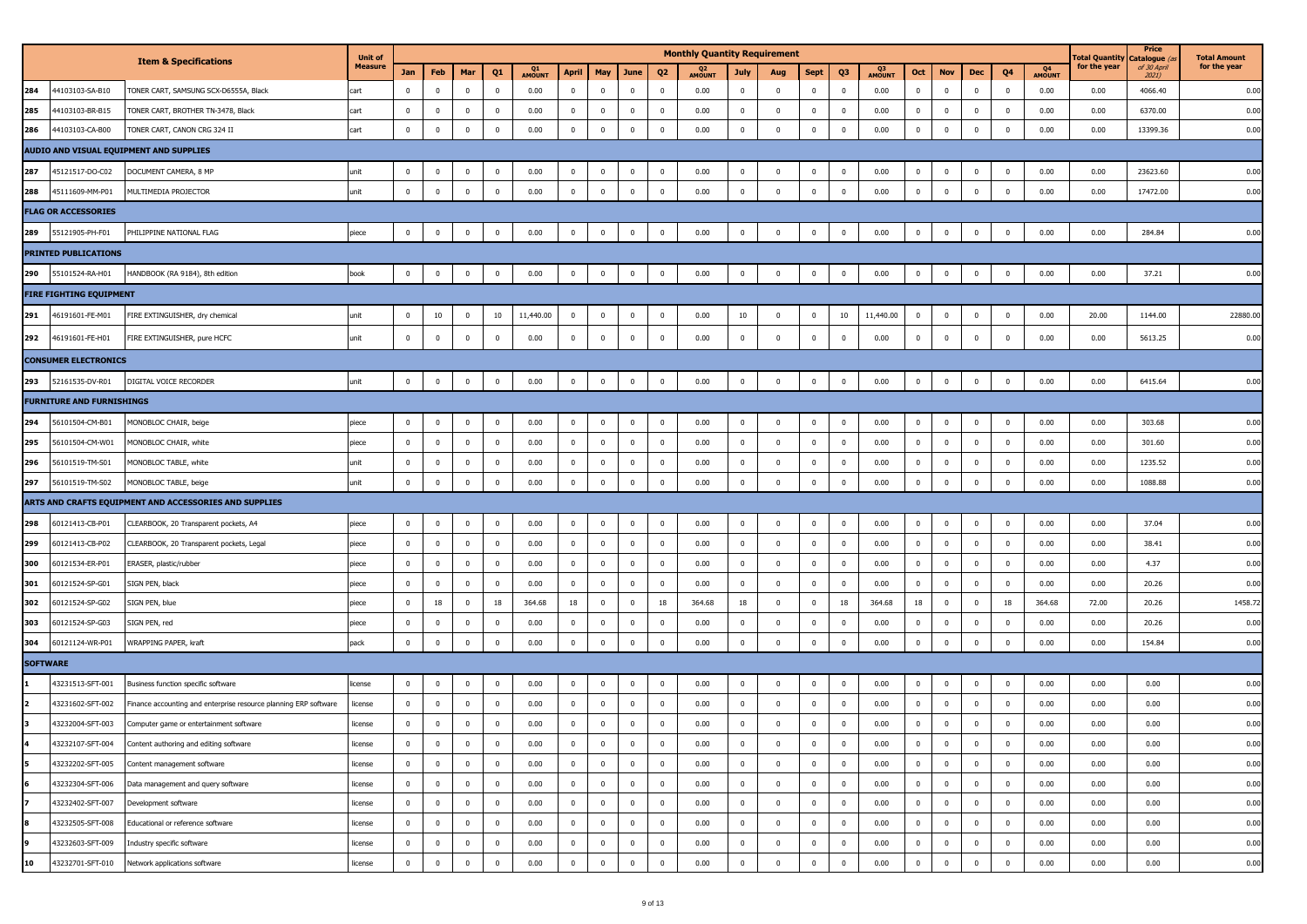|     |                                  |                                                                  | <b>Unit of</b> |                |                         |                |                |              |                |                         |                |                | <b>Monthly Quantity Requirement</b> |              |                         |              |              |              |              |              |                |                         |              | Fotal Quantity | Price<br>Catalogue (a | <b>Total Amount</b> |
|-----|----------------------------------|------------------------------------------------------------------|----------------|----------------|-------------------------|----------------|----------------|--------------|----------------|-------------------------|----------------|----------------|-------------------------------------|--------------|-------------------------|--------------|--------------|--------------|--------------|--------------|----------------|-------------------------|--------------|----------------|-----------------------|---------------------|
|     |                                  | <b>Item &amp; Specifications</b>                                 | <b>Measure</b> | Jan            | Feb                     | Mar            | Q <sub>1</sub> | Q1<br>AMOUNT | <b>April</b>   | May                     | June           | Q <sub>2</sub> | Q <sub>2</sub><br>AMOUNT            | <b>July</b>  | Aug                     | <b>Sept</b>  | Q3           | Q3<br>AMOUNT | Oct          | <b>Nov</b>   | <b>Dec</b>     | Q4                      | Q4<br>AMOUNT | for the year   | of 30 April<br>2021)  | for the year        |
| 284 | 44103103-SA-B10                  | TONER CART, SAMSUNG SCX-D6555A, Black                            | cart           | $\mathbf 0$    | $\mathbf 0$             | $\mathbf 0$    | $\mathbf 0$    | 0.00         | $\bf{0}$       | $\mathbf 0$             | $\bf{0}$       | $\overline{0}$ | 0.00                                | $\mathbf{0}$ | $\overline{0}$          | $\mathbf{0}$ | $\mathbf 0$  | 0.00         | $\mathbf 0$  | $\mathbf 0$  | $\mathbf 0$    | $\mathbf{0}$            | 0.00         | 0.00           | 4066.40               | 0.00                |
| 285 | 44103103-BR-B15                  | TONER CART, BROTHER TN-3478, Black                               | cart           | $\mathbf 0$    | $\mathbf 0$             | $\pmb{0}$      | $\mathbf 0$    | 0.00         | $\mathbf 0$    | $\mathbf 0$             | $\bf{0}$       | $\mathbf 0$    | 0.00                                | $\mathbf 0$  | $\mathbf 0$             | $\mathbf{0}$ | $\mathbf 0$  | 0.00         | $\mathbf{0}$ | $\mathbf{0}$ | $\mathbf 0$    | $\mathbf{0}$            | 0.00         | 0.00           | 6370.00               | 0.00                |
| 286 | 44103103-CA-B00                  | TONER CART, CANON CRG 324 II                                     | cart           | $\mathbf 0$    | $\mathbf 0$             | $\bf{0}$       | $\mathbf 0$    | 0.00         | $\mathbf 0$    | $\mathbf 0$             | $\mathbf 0$    | $\mathbf 0$    | 0.00                                | $\mathbf 0$  | $\mathbf 0$             | $\mathbf{0}$ | $\mathbf 0$  | 0.00         | $\mathbf 0$  | $\mathbf 0$  | $\mathbf 0$    | $\mathbf{0}$            | 0.00         | 0.00           | 13399.36              | 0.00                |
|     |                                  | AUDIO AND VISUAL EQUIPMENT AND SUPPLIES                          |                |                |                         |                |                |              |                |                         |                |                |                                     |              |                         |              |              |              |              |              |                |                         |              |                |                       |                     |
| 287 | 45121517-DO-C02                  | DOCUMENT CAMERA, 8 MP                                            | unit           | $\mathbf 0$    | $\mathbf 0$             | $\mathbf 0$    | $\bf{0}$       | 0.00         | $\bf{0}$       | $\mathbf 0$             | $\bf{0}$       | $\bf{0}$       | 0.00                                | $\mathbf 0$  | $\mathbf 0$             | $\bf{0}$     | $\mathbf 0$  | 0.00         | $\mathbf 0$  | $\bf{0}$     | $\pmb{0}$      | $\bf{0}$                | 0.00         | 0.00           | 23623.60              | 0.00                |
| 288 | 45111609-MM-P01                  | MULTIMEDIA PROJECTOR                                             | unit           | $\mathbf 0$    | $\mathbf 0$             | $\mathbf 0$    | $\mathbf 0$    | 0.00         | $\bf{0}$       | $\overline{0}$          | $\mathbf 0$    | $\mathbf 0$    | 0.00                                | $\mathbf 0$  | $\mathbf 0$             | $\mathbf 0$  | $\mathbf 0$  | 0.00         | $\mathbf 0$  | $\mathbf{0}$ | $\mathbf 0$    | $\mathbf 0$             | 0.00         | 0.00           | 17472.00              | 0.00                |
|     | <b>FLAG OR ACCESSORIES</b>       |                                                                  |                |                |                         |                |                |              |                |                         |                |                |                                     |              |                         |              |              |              |              |              |                |                         |              |                |                       |                     |
| 289 | 55121905-PH-F01                  | PHILIPPINE NATIONAL FLAG                                         | piece          | $\mathbf 0$    | $\mathbf 0$             | $\mathbf 0$    | $\pmb{0}$      | 0.00         | $\mathbf 0$    | $\overline{0}$          | $\mathbf 0$    | $\pmb{0}$      | 0.00                                | $\mathbf 0$  | $\mathbf 0$             | $\mathbf 0$  | $\,0\,$      | 0.00         | $\mathbf 0$  | $\mathbf{0}$ | $\pmb{0}$      | $\mathbf 0$             | 0.00         | 0.00           | 284.84                | 0.00                |
|     | <b>PRINTED PUBLICATIONS</b>      |                                                                  |                |                |                         |                |                |              |                |                         |                |                |                                     |              |                         |              |              |              |              |              |                |                         |              |                |                       |                     |
| 290 | 55101524-RA-H01                  | HANDBOOK (RA 9184), 8th edition                                  | book           | $\mathbf 0$    | $\mathbf 0$             | $\mathbf 0$    | $\pmb{0}$      | 0.00         | $\mathbf 0$    | $\mathbf 0$             | $\bf{0}$       | $\mathbf 0$    | 0.00                                | $\mathbf 0$  | $\mathbf 0$             | $\mathbf 0$  | $\,0\,$      | 0.00         | $\mathbf 0$  | $\mathbf 0$  | $\mathbf 0$    | $\mathbf 0$             | 0.00         | 0.00           | 37.21                 | 0.00                |
|     | <b>FIRE FIGHTING EQUIPMENT</b>   |                                                                  |                |                |                         |                |                |              |                |                         |                |                |                                     |              |                         |              |              |              |              |              |                |                         |              |                |                       |                     |
| 291 | 46191601-FE-M01                  | FIRE EXTINGUISHER, dry chemical                                  | unit           | $\mathbf 0$    | $10\,$                  | $\pmb{0}$      | 10             | 11,440.00    | $\mathbf{0}$   | $\mathbf 0$             | $\bf{0}$       | $\mathbf 0$    | 0.00                                | 10           | $\mathbf 0$             | $\mathbf{0}$ | 10           | 11,440.00    | $\mathbf 0$  | $\mathbf{0}$ | $\mathbf 0$    | $\mathbf 0$             | 0.00         | 20.00          | 1144.00               | 22880.00            |
| 292 | 46191601-FE-H01                  | FIRE EXTINGUISHER, pure HCFC                                     | unit           | $\mathbf 0$    | $\overline{0}$          | $\mathbf 0$    | $\mathbf 0$    | 0.00         | $\mathbf 0$    | $\mathbf 0$             | $\bf{0}$       | $\pmb{0}$      | 0.00                                | $\mathbf 0$  | $\mathbf 0$             | $\mathbf{0}$ | $\mathbf 0$  | 0.00         | $\mathbf 0$  | $\mathbf{0}$ | $\pmb{0}$      | $\mathbf 0$             | 0.00         | 0.00           | 5613.25               | 0.00                |
|     | <b>CONSUMER ELECTRONICS</b>      |                                                                  |                |                |                         |                |                |              |                |                         |                |                |                                     |              |                         |              |              |              |              |              |                |                         |              |                |                       |                     |
| 293 | 52161535-DV-R01                  | DIGITAL VOICE RECORDER                                           | unit           | $\mathbf 0$    | $\mathbf 0$             | $\mathbf 0$    | $\pmb{0}$      | 0.00         | $\mathbf 0$    | $\overline{0}$          | $\pmb{0}$      | $\pmb{0}$      | 0.00                                | $\mathbf 0$  | $\mathbf 0$             | $\mathbf 0$  | $\,0\,$      | 0.00         | $\mathbf 0$  | $\bf{0}$     | $\pmb{0}$      | $\mathbf 0$             | 0.00         | 0.00           | 6415.64               | 0.00                |
|     | <b>FURNITURE AND FURNISHINGS</b> |                                                                  |                |                |                         |                |                |              |                |                         |                |                |                                     |              |                         |              |              |              |              |              |                |                         |              |                |                       |                     |
| 294 | 56101504-CM-B01                  | MONOBLOC CHAIR, beige                                            | piece          | $\mathbf 0$    | $\overline{\mathbf{0}}$ | $\pmb{0}$      | $\overline{0}$ | 0.00         | $\bf{0}$       | $\mathbf 0$             | $\bf{0}$       | $\bf{0}$       | 0.00                                | $\mathbf 0$  | $\overline{\mathbf{0}}$ | $\bf{0}$     | $\mathbf 0$  | 0.00         | $\mathbf 0$  | $\mathbf{0}$ | $\pmb{0}$      | $\bf{0}$                | 0.00         | 0.00           | 303.68                | 0.00                |
| 295 | 56101504-CM-W01                  | MONOBLOC CHAIR, white                                            | piece          | $\mathbf 0$    | $\overline{0}$          | $\bf{0}$       | $\mathbf{0}$   | 0.00         | $\mathbf{0}$   | $\mathbf 0$             | $\bf{0}$       | $\mathbf 0$    | 0.00                                | $\mathbf 0$  | $\mathbf 0$             | $\mathbf 0$  | $\mathbf 0$  | 0.00         | $\mathbf 0$  | $\mathbf{0}$ | $\mathbf 0$    | $\mathbf 0$             | 0.00         | 0.00           | 301.60                | 0.00                |
| 296 | 56101519-TM-S01                  | MONOBLOC TABLE, white                                            | unit           | $\mathbf 0$    | $\overline{\mathbf{0}}$ | $\overline{0}$ | $\mathbf{0}$   | 0.00         | 0              | $\mathbf{0}$            | $\bf{0}$       | 0              | 0.00                                | $\bf{0}$     | $\mathbf 0$             | $\bf{0}$     | $\mathbf{0}$ | 0.00         | $\bf{0}$     | $\bf{0}$     | $\pmb{0}$      | $\bf{0}$                | 0.00         | 0.00           | 1235.52               | 0.00                |
| 297 | 56101519-TM-S02                  | MONOBLOC TABLE, beige                                            | unit           | $\mathbf 0$    | $\overline{0}$          | $\bf{0}$       | $\mathbf{0}$   | 0.00         | $\mathbf 0$    | $\mathbf 0$             | $\bf{0}$       | $\mathbf 0$    | 0.00                                | $\mathbf 0$  | $\mathbf 0$             | $\mathbf{0}$ | $\mathbf 0$  | 0.00         | $\mathbf 0$  | $\mathbf{0}$ | $\mathbf 0$    | $\mathbf{0}$            | 0.00         | 0.00           | 1088.88               | 0.00                |
|     |                                  | ARTS AND CRAFTS EQUIPMENT AND ACCESSORIES AND SUPPLIES           |                |                |                         |                |                |              |                |                         |                |                |                                     |              |                         |              |              |              |              |              |                |                         |              |                |                       |                     |
| 298 | 60121413-CB-P01                  | CLEARBOOK, 20 Transparent pockets, A4                            | piece          | $\mathbf 0$    | 0                       | $\mathbf 0$    | $\overline{0}$ | 0.00         | $\overline{0}$ | $\mathbf 0$             | $\bf{0}$       | $\mathbf 0$    | 0.00                                | $\mathbf 0$  | $\overline{\mathbf{0}}$ | $\bf{0}$     | $\mathbf{0}$ | 0.00         | $\mathbf 0$  | $\mathbf 0$  | $\mathbf{0}$   | $\overline{\mathbf{0}}$ | 0.00         | 0.00           | 37.04                 | 0.00                |
| 299 | 60121413-CB-P02                  | CLEARBOOK, 20 Transparent pockets, Legal                         | piece          | $\mathbf 0$    | $\overline{0}$          | $\bf{0}$       | $\bf{0}$       | 0.00         | $\bf{0}$       | $\mathbf 0$             | $\bf{0}$       | $\bf{0}$       | 0.00                                | $\mathbf 0$  | $\mathbf 0$             | $\bf{0}$     | $\mathbf 0$  | 0.00         | $\mathbf 0$  | $\mathbf{0}$ | $\pmb{0}$      | $\bf{0}$                | 0.00         | 0.00           | 38.41                 | 0.00                |
| 300 | 60121534-ER-P01                  | ERASER, plastic/rubber                                           | piece          | $\mathbf 0$    | $\mathbf 0$             | $\pmb{0}$      | $\mathbf 0$    | 0.00         | $\mathbf 0$    | $\overline{\mathbf{0}}$ | $\bf{0}$       | $\mathbf 0$    | 0.00                                | $\mathbf 0$  | $\mathbf 0$             | $\mathbf 0$  | $\mathbf 0$  | 0.00         | $\mathbf 0$  | $\mathbf{0}$ | $\mathbf 0$    | $\mathbf{0}$            | 0.00         | 0.00           | 4.37                  | 0.00                |
| 301 | 60121524-SP-G01                  | SIGN PEN, black                                                  | piece          | $\mathbf 0$    | $\overline{\mathbf{0}}$ | $\bf{0}$       | $\mathbf{0}$   | 0.00         | $\bf{0}$       | $\mathbf 0$             | $\bf{0}$       | 0              | 0.00                                | $\bf{0}$     | $\mathbf 0$             | $\bf{0}$     | $\mathbf{0}$ | 0.00         | $\mathbf 0$  | $\mathbf{0}$ | $\mathbf{0}$   | $\mathbf{0}$            | 0.00         | 0.00           | 20.26                 | 0.00                |
| 302 | 60121524-SP-G02                  | SIGN PEN, blue                                                   | piece          | $\mathbf 0$    | 18                      | $\mathbf{0}$   | 18             | 364.68       | 18             | $\mathbf 0$             | $\mathbf 0$    | 18             | 364.68                              | 18           | $\mathbf 0$             | $\mathbf{0}$ | 18           | 364.68       | 18           | $\mathbf{0}$ | $\mathbf 0$    | 18                      | 364.68       | 72.00          | 20.26                 | 1458.72             |
| 303 | 60121524-SP-G03                  | SIGN PEN, red                                                    | piece          | $\mathbf 0$    | $\mathbf 0$             | $\mathbf 0$    | $\mathbf 0$    | 0.00         | $\mathbf 0$    | $\mathbf 0$             | $\pmb{0}$      | $\mathbf 0$    | 0.00                                | $\mathbf 0$  | $\mathbf 0$             | $\mathbf 0$  | $\mathbf 0$  | 0.00         | $\mathbf 0$  | $\mathbf 0$  | $\mathbf 0$    | $\mathbf 0$             | 0.00         | 0.00           | 20.26                 | 0.00                |
| 304 | 60121124-WR-P01                  | WRAPPING PAPER, kraft                                            | pack           | $\mathbf 0$    | $\overline{0}$          | $\mathbf 0$    | $\,0\,$        | 0.00         | $\mathbf 0$    | $\mathbf 0$             | $\mathbf 0$    | $\mathbf 0$    | 0.00                                | $\mathbf 0$  | $\mathbf 0$             | $\mathbf 0$  | $\,0\,$      | 0.00         | $\mathbf 0$  | $\mathbf{0}$ | $\mathbf 0$    | $\mathbf 0$             | 0.00         | 0.00           | 154.84                | 0.00                |
|     | <b>SOFTWARE</b>                  |                                                                  |                |                |                         |                |                |              |                |                         |                |                |                                     |              |                         |              |              |              |              |              |                |                         |              |                |                       |                     |
|     | 43231513-SFT-001                 | Business function specific software                              | license        | $\mathbf 0$    | $\mathbf 0$             | $\mathbf 0$    | $\mathbf 0$    | 0.00         | $\bf{0}$       | $\mathbf 0$             | $\bf{0}$       | $\mathbf 0$    | 0.00                                | $\mathbf 0$  | $\overline{0}$          | $\bf{0}$     | $\mathbf 0$  | 0.00         | $\mathbf 0$  | $\mathbf{0}$ | $\overline{0}$ | $\bf{0}$                | 0.00         | 0.00           | 0.00                  | 0.00                |
|     | 43231602-SFT-002                 | Finance accounting and enterprise resource planning ERP software | license        | $\mathbf 0$    | $\overline{\mathbf{0}}$ | $\mathbf 0$    | $\mathbf{0}$   | 0.00         | 0              | $\mathbf 0$             | $\mathbf 0$    | $\overline{0}$ | 0.00                                | $\bf{0}$     | $\mathbf 0$             | $\mathbf 0$  | $\mathbf 0$  | 0.00         | $\mathbf 0$  | $\bf{0}$     | $\mathbf 0$    | $\mathbf 0$             | 0.00         | 0.00           | 0.00                  | 0.00                |
|     | 43232004-SFT-003                 | Computer game or entertainment software                          | license        | $\mathbf 0$    | $\mathbf 0$             | $\pmb{0}$      | $^{\circ}$     | 0.00         | $\mathbf 0$    | $\mathbf 0$             | $\mathbf 0$    | $\mathbf 0$    | 0.00                                | $\mathbf 0$  | $\mathbf 0$             | $\mathbf{0}$ | $\mathbf 0$  | 0.00         | $\mathbf 0$  | $\mathbf{0}$ | $\mathbf 0$    | $\mathbf{0}$            | 0.00         | 0.00           | 0.00                  | 0.00                |
| 4   | 43232107-SFT-004                 | Content authoring and editing software                           | license        | $\mathbf 0$    | $\mathbf 0$             | $\bf{0}$       | $\bf{0}$       | 0.00         | $\bf{0}$       | $\mathbf{0}$            | $\overline{0}$ | $\bf{0}$       | 0.00                                | $\bf{0}$     | $\overline{\mathbf{0}}$ | $\mathbf{0}$ | $\mathbf{0}$ | 0.00         | $\mathbf 0$  | $\mathbf{0}$ | $\mathbf{0}$   | $\bf{0}$                | 0.00         | 0.00           | 0.00                  | 0.00                |
|     | 43232202-SFT-005                 | Content management software                                      | license        | $\mathbf 0$    | $\mathbf 0$             | $\overline{0}$ | $\mathbf 0$    | 0.00         | $\mathbf 0$    | $\mathbf 0$             | $\bf{0}$       | $\mathbf 0$    | 0.00                                | $\mathbf 0$  | $\mathbf 0$             | $\mathbf 0$  | $\mathbf 0$  | 0.00         | $\mathbf{0}$ | $\mathbf{0}$ | $\mathbf 0$    | $\mathbf 0$             | 0.00         | 0.00           | 0.00                  | 0.00                |
|     | 43232304-SFT-006                 | Data management and query software                               | license        | $\bf{0}$       | $\overline{0}$          | $\bf{0}$       | $\overline{0}$ | 0.00         | $\bf{0}$       | $\bf{0}$                | $\bf{0}$       | $\bf{0}$       | 0.00                                | $\mathbf 0$  | $\overline{0}$          | $\bf{0}$     | $\mathbf 0$  | 0.00         | $\mathbf 0$  | $\bf{0}$     | $\mathbf 0$    | $\bf{0}$                | 0.00         | 0.00           | 0.00                  | 0.00                |
|     | 43232402-SFT-007                 | Development software                                             | license        | $\mathbf{0}$   | $\mathbf 0$             | $\mathbf{0}$   | $\mathbf{0}$   | 0.00         | $\mathbf{0}$   | $\mathbf 0$             | $\bf{0}$       | $\bf{0}$       | 0.00                                | $\mathbf 0$  | $\overline{\mathbf{0}}$ | $\mathbf{0}$ | $\mathbf 0$  | 0.00         | $\mathbf 0$  | $\mathbf{0}$ | $\mathbf 0$    | $\mathbf{0}$            | 0.00         | 0.00           | 0.00                  | 0.00                |
| 8   | 43232505-SFT-008                 | Educational or reference software                                | license        | $\overline{0}$ | $\mathbf 0$             | $\bf{0}$       | $\mathbf{0}$   | 0.00         | $\bf{0}$       | $\mathbf 0$             | $\bf{0}$       | $\pmb{0}$      | 0.00                                | $\mathbf{0}$ | $\mathbf 0$             | $\bf{0}$     | $\mathbf 0$  | 0.00         | $\mathbf 0$  | $\mathbf{0}$ | $\pmb{0}$      | $\bf{0}$                | 0.00         | 0.00           | 0.00                  | 0.00                |
|     | 43232603-SFT-009                 | Industry specific software                                       | license        | $\mathbf 0$    | $\overline{\mathbf{0}}$ | $\bf{0}$       | $\bf{0}$       | 0.00         | $\bf{0}$       | $\mathbf 0$             | $\mathbf 0$    | $\mathbf 0$    | 0.00                                | $\bf{0}$     | $\mathbf 0$             | $\bf{0}$     | $\mathbf 0$  | 0.00         | $\mathbf 0$  | $\bf{0}$     | $\mathbf 0$    | $\mathbf 0$             | 0.00         | 0.00           | 0.00                  | 0.00                |
| 10  | 43232701-SFT-010                 | Network applications software                                    | license        | $\mathbf 0$    | $\mathbf 0$             | $\mathbf 0$    | $\mathbf 0$    | 0.00         | $\mathbf 0$    | $\mathbf 0$             | $\mathbf 0$    | $\pmb{0}$      | 0.00                                | $\mathbf 0$  | $\mathbf 0$             | $\mathbf{0}$ | $\mathbf 0$  | 0.00         | $\mathbf 0$  | $\mathbf 0$  | $\pmb{0}$      | $\mathbf 0$             | 0.00         | 0.00           | 0.00                  | 0.00                |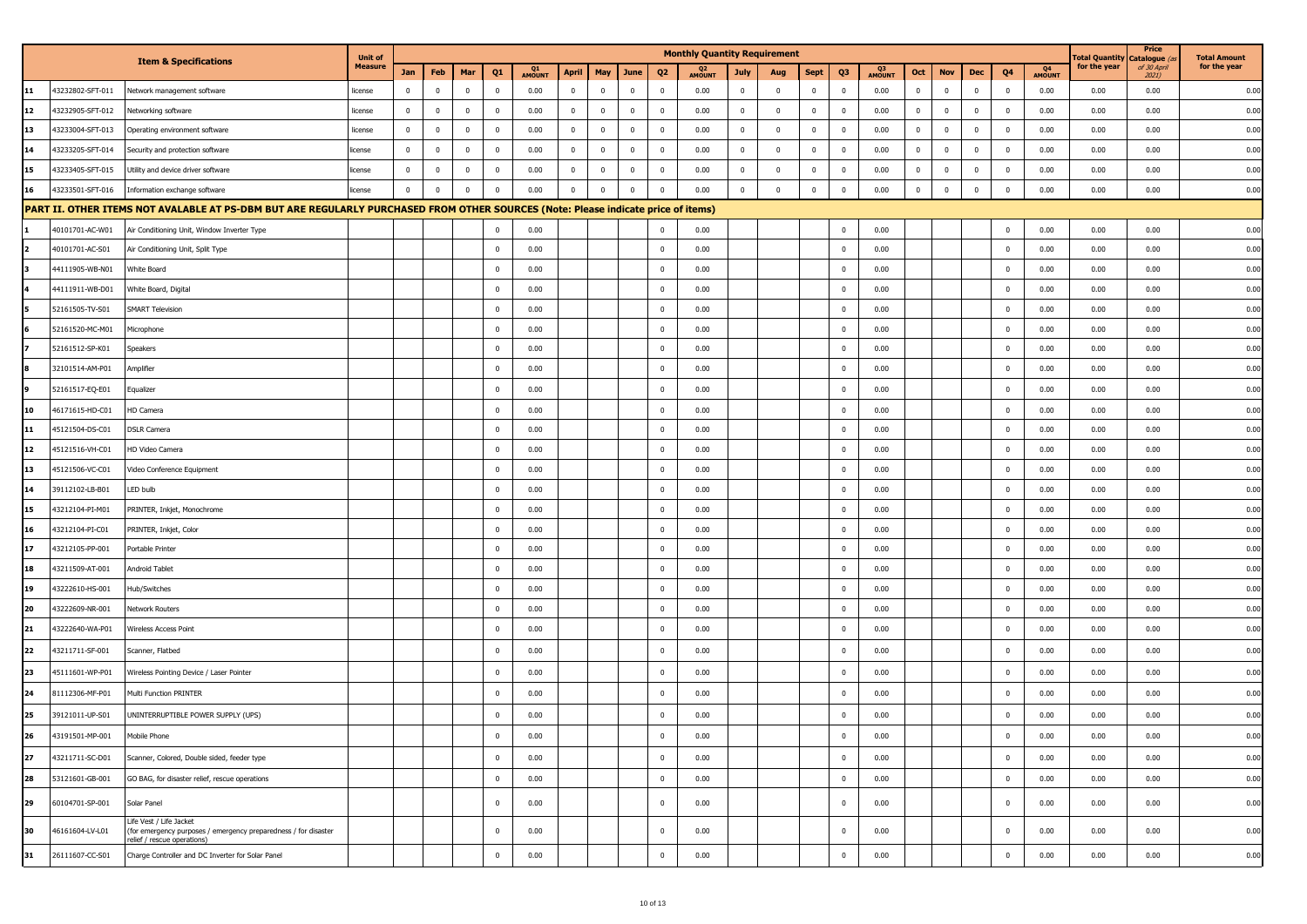|    |                  |                                                                                                                                   | <b>Unit of</b> |                         |                         |              |                |              |              |             |                         |                         | <b>Monthly Quantity Requirement</b> |              |                         |              |                         |                          |              |             |              |                         |                          | <b>Total Quantity</b> | Price<br>Catalogue ( | <b>Total Amount</b> |
|----|------------------|-----------------------------------------------------------------------------------------------------------------------------------|----------------|-------------------------|-------------------------|--------------|----------------|--------------|--------------|-------------|-------------------------|-------------------------|-------------------------------------|--------------|-------------------------|--------------|-------------------------|--------------------------|--------------|-------------|--------------|-------------------------|--------------------------|-----------------------|----------------------|---------------------|
|    |                  | <b>Item &amp; Specifications</b>                                                                                                  | <b>Measure</b> | Jan                     | Feb                     | Mar          | Q <sub>1</sub> | Q1<br>AMOUNT | April        | May         | June                    | Q <sub>2</sub>          | Q <sub>2</sub><br>AMOUNT            | <b>July</b>  | Aug                     | Sept         | Q3                      | Q <sub>3</sub><br>AMOUNT | Oct          | <b>Nov</b>  | Dec          | Q4                      | Q <sub>4</sub><br>AMOUNT | for the year          | of 30 April<br>2021) | for the year        |
| 11 | 43232802-SFT-011 | Network management software                                                                                                       | license        | $\overline{\mathbf{0}}$ | $\overline{0}$          | $\bf{0}$     | $\mathbf{0}$   | 0.00         | $\bf{0}$     | $\mathbf 0$ | $\mathbf 0$             | $\bf{0}$                | 0.00                                | $\mathbf{0}$ | $\overline{\mathbf{0}}$ | $\mathbf{0}$ | $\mathbf 0$             | 0.00                     | $\pmb{0}$    | $\bf{0}$    | $\mathbf 0$  | $\overline{\mathbf{0}}$ | 0.00                     | 0.00                  | 0.00                 | 0.00                |
| 12 | 43232905-SFT-012 | Vetworking software                                                                                                               | license        | $\overline{\mathbf{0}}$ | $\mathbf{0}$            | $\mathbf{0}$ | $\mathbf 0$    | 0.00         | $\mathbf{0}$ | $\mathbf 0$ | $\overline{\mathbf{0}}$ | $\mathbf 0$             | 0.00                                | $\bf{0}$     | $\mathbf 0$             | $\mathbf{0}$ | $\mathbf 0$             | 0.00                     | $\mathbf 0$  | $\mathbf 0$ | $\mathbf 0$  | $\overline{\mathbf{0}}$ | 0.00                     | 0.00                  | 0.00                 | 0.00                |
| 13 | 43233004-SFT-013 | Operating environment software                                                                                                    | license        | $\overline{\mathbf{0}}$ | $\mathbf 0$             | $\mathbf{0}$ | $\mathbf 0$    | 0.00         | $\bf{0}$     | $\mathbf 0$ | $\overline{\mathbf{0}}$ | $\mathbf 0$             | 0.00                                | $\mathbf 0$  | $\overline{\mathbf{0}}$ | $\bf{0}$     | $\mathbf 0$             | 0.00                     | $\mathbf 0$  | $\mathbf 0$ | $\mathbf{0}$ | $\mathbf 0$             | 0.00                     | 0.00                  | 0.00                 | 0.00                |
| 14 | 43233205-SFT-014 | Security and protection software                                                                                                  | license        | $\overline{\mathbf{0}}$ | $\mathbf{0}$            | $\mathbf{0}$ | $\mathbf 0$    | 0.00         | $\mathbf 0$  | $\mathbf 0$ | $\overline{0}$          | $\mathbf 0$             | 0.00                                | $\mathbf 0$  | $\mathbf 0$             | $\mathbf{0}$ | $\mathbf 0$             | 0.00                     | $\mathbf 0$  | $\mathbf 0$ | $\mathbf 0$  | $\overline{\mathbf{0}}$ | 0.00                     | 0.00                  | 0.00                 | 0.00                |
| 15 | 43233405-SFT-015 | Utility and device driver software                                                                                                | license        | $\overline{0}$          | $\overline{\mathbf{0}}$ | $\bf{0}$     | $\mathbf 0$    | 0.00         | $\bf{0}$     | $\mathbf 0$ | $\mathbf 0$             | $\overline{\mathbf{0}}$ | 0.00                                | $\mathbf 0$  | $\mathbf 0$             | $\bf{0}$     | $\mathbf 0$             | 0.00                     | $\pmb{0}$    | $\mathbf 0$ | $\mathbf 0$  | $\overline{\mathbf{0}}$ | 0.00                     | 0.00                  | 0.00                 | 0.00                |
| 16 | 43233501-SFT-016 | Information exchange software                                                                                                     | license        | $\Omega$                | $\mathbf{0}$            | $\mathbf 0$  | $\mathbf 0$    | 0.00         | $\mathbf{0}$ | $\mathbf 0$ | $\overline{0}$          | $\Omega$                | 0.00                                | $\mathbf 0$  | $\mathbf 0$             | $\mathbf 0$  | $\mathbf 0$             | 0.00                     | $\mathbf{0}$ | $\mathbf 0$ | $\mathbf 0$  | $\mathbf 0$             | 0.00                     | 0.00                  | 0.00                 | 0.00                |
|    |                  | PART II. OTHER ITEMS NOT AVALABLE AT PS-DBM BUT ARE REGULARLY PURCHASED FROM OTHER SOURCES (Note: Please indicate price of items) |                |                         |                         |              |                |              |              |             |                         |                         |                                     |              |                         |              |                         |                          |              |             |              |                         |                          |                       |                      |                     |
|    | 40101701-AC-W01  | Air Conditioning Unit, Window Inverter Type                                                                                       |                |                         |                         |              | $\mathbf 0$    | 0.00         |              |             |                         | $\Omega$                | 0.00                                |              |                         |              | $^{\circ}$              | 0.00                     |              |             |              | $\overline{\mathbf{0}}$ | 0.00                     | 0.00                  | 0.00                 | 0.00                |
|    | 40101701-AC-S01  | Air Conditioning Unit, Split Type                                                                                                 |                |                         |                         |              | $\mathbf{0}$   | 0.00         |              |             |                         | $\mathbf 0$             | 0.00                                |              |                         |              | $\mathbf 0$             | 0.00                     |              |             |              | $\overline{\mathbf{0}}$ | 0.00                     | 0.00                  | 0.00                 | 0.00                |
|    | 44111905-WB-N01  | White Board                                                                                                                       |                |                         |                         |              | $\mathbf 0$    | 0.00         |              |             |                         | $\mathbf 0$             | 0.00                                |              |                         |              | $^{\circ}$              | 0.00                     |              |             |              | $\overline{0}$          | 0.00                     | 0.00                  | 0.00                 | 0.00                |
|    | 44111911-WB-D01  | White Board, Digital                                                                                                              |                |                         |                         |              | $\mathbf 0$    | 0.00         |              |             |                         | $\mathbf 0$             | 0.00                                |              |                         |              | $\overline{0}$          | 0.00                     |              |             |              | $\overline{\mathbf{0}}$ | 0.00                     | 0.00                  | 0.00                 | 0.00                |
|    | 52161505-TV-S01  | <b>SMART Television</b>                                                                                                           |                |                         |                         |              | $\mathbf 0$    | 0.00         |              |             |                         | $\mathbf 0$             | 0.00                                |              |                         |              | $\mathbf 0$             | 0.00                     |              |             |              | $\overline{\mathbf{0}}$ | 0.00                     | 0.00                  | 0.00                 | 0.00                |
|    | 52161520-MC-M01  | Microphone                                                                                                                        |                |                         |                         |              | $\mathbf 0$    | 0.00         |              |             |                         | $\mathbf{0}$            | 0.00                                |              |                         |              | $\mathbf 0$             | 0.00                     |              |             |              | $\overline{\mathbf{0}}$ | 0.00                     | 0.00                  | 0.00                 | 0.00                |
|    | 52161512-SP-K01  | Speakers                                                                                                                          |                |                         |                         |              | $\mathbf 0$    | 0.00         |              |             |                         | $\mathbf 0$             | 0.00                                |              |                         |              | $\mathbf 0$             | 0.00                     |              |             |              | $\overline{\mathbf{0}}$ | 0.00                     | 0.00                  | 0.00                 | 0.00                |
|    | 32101514-AM-P01  | Amplifier                                                                                                                         |                |                         |                         |              | $\mathbf 0$    | 0.00         |              |             |                         | $\mathbf 0$             | 0.00                                |              |                         |              | $\overline{\mathbf{0}}$ | 0.00                     |              |             |              | $\overline{\mathbf{0}}$ | 0.00                     | 0.00                  | 0.00                 | 0.00                |
|    | 52161517-EQ-E01  | Equalizer                                                                                                                         |                |                         |                         |              | $\mathbf{0}$   | 0.00         |              |             |                         | $\mathbf 0$             | 0.00                                |              |                         |              | $\overline{\mathbf{0}}$ | 0.00                     |              |             |              | $\overline{\mathbf{0}}$ | 0.00                     | 0.00                  | 0.00                 | 0.00                |
|    | 46171615-HD-C01  | HD Camera                                                                                                                         |                |                         |                         |              | $\mathbf 0$    | 0.00         |              |             |                         | $\mathbf 0$             | 0.00                                |              |                         |              | $\Omega$                | 0.00                     |              |             |              | $\overline{\mathbf{0}}$ | 0.00                     | 0.00                  | 0.00                 | 0.00                |
| 11 | 45121504-DS-C01  | <b>DSLR Camera</b>                                                                                                                |                |                         |                         |              | $\mathbf 0$    | 0.00         |              |             |                         | $\overline{\mathbf{0}}$ | 0.00                                |              |                         |              | $\Omega$                | 0.00                     |              |             |              | $\overline{0}$          | 0.00                     | 0.00                  | 0.00                 | 0.00                |
| 12 | 45121516-VH-C01  | HD Video Camera                                                                                                                   |                |                         |                         |              | $\mathbf 0$    | 0.00         |              |             |                         | $\mathbf 0$             | 0.00                                |              |                         |              | $\mathbf 0$             | 0.00                     |              |             |              | $\overline{\mathbf{0}}$ | 0.00                     | 0.00                  | 0.00                 | 0.00                |
| 13 | 45121506-VC-C01  | Video Conference Equipment                                                                                                        |                |                         |                         |              | $\mathbf 0$    | 0.00         |              |             |                         | $\mathbf 0$             | 0.00                                |              |                         |              | $\mathbf 0$             | 0.00                     |              |             |              | $\overline{\mathbf{0}}$ | 0.00                     | 0.00                  | 0.00                 | 0.00                |
| 14 | 39112102-LB-B01  | LED bulb                                                                                                                          |                |                         |                         |              | $\mathbf 0$    | 0.00         |              |             |                         | $\mathbf 0$             | 0.00                                |              |                         |              | $\overline{\mathbf{0}}$ | 0.00                     |              |             |              | $\overline{\mathbf{0}}$ | 0.00                     | 0.00                  | 0.00                 | 0.00                |
| 15 | 43212104-PI-M01  | PRINTER, Inkjet, Monochrome                                                                                                       |                |                         |                         |              | $\mathbf{0}$   | 0.00         |              |             |                         | $\bf{0}$                | 0.00                                |              |                         |              | $\mathbf 0$             | 0.00                     |              |             |              | $\overline{\mathbf{0}}$ | 0.00                     | 0.00                  | 0.00                 | 0.00                |
| 16 | 43212104-PI-C01  | PRINTER, Inkjet, Color                                                                                                            |                |                         |                         |              | $\mathbf 0$    | 0.00         |              |             |                         | $\mathbf 0$             | 0.00                                |              |                         |              | $\mathbf 0$             | 0.00                     |              |             |              | $\overline{\mathbf{0}}$ | 0.00                     | 0.00                  | 0.00                 | 0.00                |
| 17 | 43212105-PP-001  | Portable Printer                                                                                                                  |                |                         |                         |              | $\mathbf 0$    | 0.00         |              |             |                         | $\mathbf 0$             | 0.00                                |              |                         |              | $\mathbf 0$             | 0.00                     |              |             |              | $\overline{\mathbf{0}}$ | 0.00                     | 0.00                  | 0.00                 | 0.00                |
| 18 | 43211509-AT-001  | Android Tablet                                                                                                                    |                |                         |                         |              | $\mathbf 0$    | 0.00         |              |             |                         | $\mathbf 0$             | 0.00                                |              |                         |              | $\Omega$                | 0.00                     |              |             |              | $\overline{0}$          | 0.00                     | 0.00                  | 0.00                 | 0.00                |
| 19 | 43222610-HS-001  | Hub/Switches                                                                                                                      |                |                         |                         |              | $\mathbf 0$    | 0.00         |              |             |                         | $\overline{\mathbf{0}}$ | 0.00                                |              |                         |              | $\mathbf 0$             | 0.00                     |              |             |              | $\overline{\mathbf{0}}$ | 0.00                     | 0.00                  | 0.00                 | 0.00                |
| 20 | 43222609-NR-001  | <b>Network Routers</b>                                                                                                            |                |                         |                         |              | $\mathbf 0$    | 0.00         |              |             |                         | $\mathbf 0$             | 0.00                                |              |                         |              | $^{\circ}$              | 0.00                     |              |             |              | $\overline{\mathbf{0}}$ | 0.00                     | 0.00                  | 0.00                 | 0.00                |
| 21 | 43222640-WA-P01  | Wireless Access Point                                                                                                             |                |                         |                         |              | $\mathbf 0$    | 0.00         |              |             |                         | $\mathbf 0$             | 0.00                                |              |                         |              | $\overline{\mathbf{0}}$ | 0.00                     |              |             |              | $\overline{\mathbf{0}}$ | 0.00                     | 0.00                  | 0.00                 | 0.00                |
| 22 | 43211711-SF-001  | Scanner, Flatbed                                                                                                                  |                |                         |                         |              | $\mathbf 0$    | 0.00         |              |             |                         | $\mathbf 0$             | 0.00                                |              |                         |              | $^{\circ}$              | 0.00                     |              |             |              | $\overline{0}$          | 0.00                     | 0.00                  | 0.00                 | 0.00                |
| 23 | 45111601-WP-P01  | Wireless Pointing Device / Laser Pointer                                                                                          |                |                         |                         |              | $\mathbf 0$    | 0.00         |              |             |                         | $\mathbf 0$             | 0.00                                |              |                         |              | $\Omega$                | 0.00                     |              |             |              | $\overline{\mathbf{0}}$ | 0.00                     | 0.00                  | 0.00                 | 0.00                |
| 24 | 81112306-MF-P01  | Multi Function PRINTER                                                                                                            |                |                         |                         |              | $\mathbf{0}$   | 0.00         |              |             |                         | $\mathbf 0$             | 0.00                                |              |                         |              | $\mathbf 0$             | 0.00                     |              |             |              | $\overline{\mathbf{0}}$ | 0.00                     | 0.00                  | 0.00                 | 0.00                |
| 25 | 39121011-UP-S01  | UNINTERRUPTIBLE POWER SUPPLY (UPS)                                                                                                |                |                         |                         |              | $\mathbf{0}$   | 0.00         |              |             |                         | $\mathbf 0$             | 0.00                                |              |                         |              | $\mathbf 0$             | 0.00                     |              |             |              | $\overline{\mathbf{0}}$ | 0.00                     | 0.00                  | 0.00                 | 0.00                |
| 26 |                  |                                                                                                                                   |                |                         |                         |              |                |              |              |             |                         |                         |                                     |              |                         |              |                         |                          |              |             |              | $\theta$                |                          | 0.00                  |                      |                     |
|    | 43191501-MP-001  | Mobile Phone                                                                                                                      |                |                         |                         |              |                | 0.00         |              |             |                         |                         | 0.00                                |              |                         |              |                         | 0.00                     |              |             |              |                         | 0.00                     |                       | 0.00                 | 0.00                |
| 27 | 43211711-SC-D01  | Scanner, Colored, Double sided, feeder type                                                                                       |                |                         |                         |              | $\bf{0}$       | 0.00         |              |             |                         | $\bf{0}$                | 0.00                                |              |                         |              | $^{\circ}$              | 0.00                     |              |             |              | $\bf{0}$                | 0.00                     | 0.00                  | 0.00                 | 0.00                |
| 28 | 53121601-GB-001  | GO BAG, for disaster relief, rescue operations                                                                                    |                |                         |                         |              | $\bf{0}$       | 0.00         |              |             |                         | $\mathbf 0$             | 0.00                                |              |                         |              | $\mathbf 0$             | 0.00                     |              |             |              | $\overline{0}$          | 0.00                     | 0.00                  | 0.00                 | 0.00                |
| 29 | 60104701-SP-001  | Solar Panel                                                                                                                       |                |                         |                         |              | $\mathbf{0}$   | 0.00         |              |             |                         | $\bf{0}$                | 0.00                                |              |                         |              | $\mathbf 0$             | 0.00                     |              |             |              | $\overline{\mathbf{0}}$ | 0.00                     | 0.00                  | 0.00                 | 0.00                |
| 30 | 46161604-LV-L01  | Life Vest / Life Jacket<br>(for emergency purposes / emergency preparedness / for disaster<br>elief / rescue operations)          |                |                         |                         |              | $\bf{0}$       | 0.00         |              |             |                         | $\mathbf 0$             | 0.00                                |              |                         |              | $\mathbf 0$             | 0.00                     |              |             |              | $\overline{\mathbf{0}}$ | 0.00                     | 0.00                  | 0.00                 | 0.00                |
| 31 | 26111607-CC-S01  | Charge Controller and DC Inverter for Solar Panel                                                                                 |                |                         |                         |              | $\mathbf 0$    | 0.00         |              |             |                         | $\mathbf 0$             | 0.00                                |              |                         |              | $\mathbf 0$             | 0.00                     |              |             |              | $\mathbf 0$             | 0.00                     | 0.00                  | 0.00                 | 0.00                |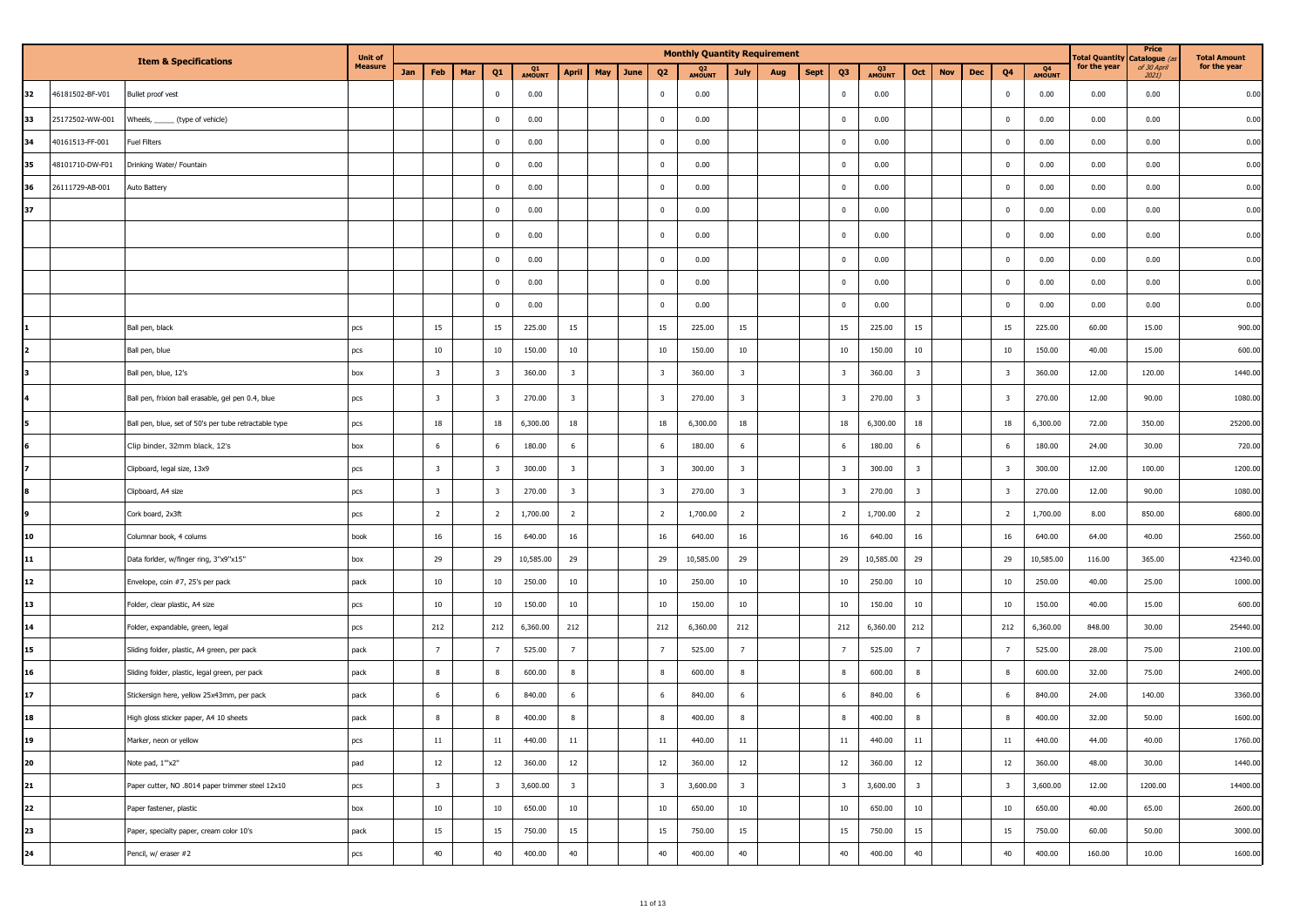|    |                 |                                                       | <b>Unit of</b> |     |                         |     |                         |              |                         |     |      |                         | <b>Monthly Quantity Requirement</b> |                         |     |             |                         |              |                         |            |     |                         |              | <b>Fotal Quantity</b> | Price<br>Catalogue (a | <b>Total Amount</b> |
|----|-----------------|-------------------------------------------------------|----------------|-----|-------------------------|-----|-------------------------|--------------|-------------------------|-----|------|-------------------------|-------------------------------------|-------------------------|-----|-------------|-------------------------|--------------|-------------------------|------------|-----|-------------------------|--------------|-----------------------|-----------------------|---------------------|
|    |                 | <b>Item &amp; Specifications</b>                      | <b>Measure</b> | Jan | Feb                     | Mar | Q <sub>1</sub>          | Q1<br>AMOUNT | <b>April</b>            | May | June | Q <sub>2</sub>          | Q <sub>2</sub><br>AMOUNT            | <b>July</b>             | Aug | <b>Sept</b> | Q3                      | Q3<br>AMOUNT | Oct                     | <b>Nov</b> | Dec | Q4                      | Q4<br>AMOUNT | for the year          | of 30 April<br>2021)  | for the year        |
| 32 | 46181502-BF-V01 | Bullet proof vest                                     |                |     |                         |     | $\bf{0}$                | 0.00         |                         |     |      | $\bf{0}$                | 0.00                                |                         |     |             | $\bf{0}$                | 0.00         |                         |            |     | $\mathbf 0$             | 0.00         | 0.00                  | 0.00                  | 0.00                |
| 33 | 25172502-WW-001 | Wheels, ______ (type of vehicle)                      |                |     |                         |     | $\bf{0}$                | 0.00         |                         |     |      | $\mathbf 0$             | 0.00                                |                         |     |             | $\overline{0}$          | 0.00         |                         |            |     | $\mathbf 0$             | 0.00         | 0.00                  | 0.00                  | 0.00                |
| 34 | 40161513-FF-001 | <b>Fuel Filters</b>                                   |                |     |                         |     | $\bf{0}$                | 0.00         |                         |     |      | $\pmb{0}$               | 0.00                                |                         |     |             | $\bf{0}$                | 0.00         |                         |            |     | $\mathbf 0$             | 0.00         | 0.00                  | 0.00                  | 0.00                |
| 35 | 48101710-DW-F01 | Drinking Water/ Fountain                              |                |     |                         |     | $\bf{0}$                | 0.00         |                         |     |      | $\pmb{0}$               | 0.00                                |                         |     |             | $\bf{0}$                | 0.00         |                         |            |     | $\mathbf 0$             | 0.00         | 0.00                  | 0.00                  | 0.00                |
| 36 | 26111729-AB-001 | Auto Battery                                          |                |     |                         |     | $\bf{0}$                | 0.00         |                         |     |      | $\overline{\mathbf{0}}$ | 0.00                                |                         |     |             | $\mathbf 0$             | 0.00         |                         |            |     | $\pmb{0}$               | 0.00         | 0.00                  | 0.00                  | 0.00                |
| 37 |                 |                                                       |                |     |                         |     | $\pmb{0}$               | 0.00         |                         |     |      | $\mathbf 0$             | 0.00                                |                         |     |             | $\bf{0}$                | 0.00         |                         |            |     | $\mathbf 0$             | 0.00         | 0.00                  | 0.00                  | 0.00                |
|    |                 |                                                       |                |     |                         |     | $\overline{0}$          | 0.00         |                         |     |      | $\overline{0}$          | 0.00                                |                         |     |             | $\bf{0}$                | 0.00         |                         |            |     | $\mathbf 0$             | 0.00         | 0.00                  | 0.00                  | 0.00                |
|    |                 |                                                       |                |     |                         |     | $\mathbf 0$             | 0.00         |                         |     |      | $\pmb{0}$               | 0.00                                |                         |     |             | $\mathbf 0$             | 0.00         |                         |            |     | $\mathbf 0$             | 0.00         | 0.00                  | 0.00                  | 0.00                |
|    |                 |                                                       |                |     |                         |     | $\bf{0}$                | 0.00         |                         |     |      | $\mathbf 0$             | 0.00                                |                         |     |             | $\bf{0}$                | 0.00         |                         |            |     | $\mathbf 0$             | 0.00         | 0.00                  | 0.00                  | 0.00                |
|    |                 |                                                       |                |     |                         |     | $\bf{0}$                | 0.00         |                         |     |      | $\mathbf 0$             | 0.00                                |                         |     |             | $\overline{0}$          | 0.00         |                         |            |     | $\mathbf 0$             | 0.00         | 0.00                  | 0.00                  | 0.00                |
|    |                 | Ball pen, black                                       | pcs            |     | 15                      |     | 15                      | 225.00       | 15                      |     |      | 15                      | 225.00                              | 15                      |     |             | 15                      | 225.00       | 15                      |            |     | 15                      | 225.00       | 60.00                 | 15.00                 | 900.00              |
| 12 |                 | Ball pen, blue                                        | pcs            |     | 10                      |     | 10                      | 150.00       | $10\,$                  |     |      | 10                      | 150.00                              | 10                      |     |             | 10                      | 150.00       | $10\,$                  |            |     | 10                      | 150.00       | 40.00                 | 15.00                 | 600.00              |
| в  |                 | Ball pen, blue, 12's                                  | box            |     | $\overline{\mathbf{3}}$ |     | $\overline{\mathbf{3}}$ | 360.00       | $\overline{\mathbf{3}}$ |     |      | $\overline{\mathbf{3}}$ | 360.00                              | $\overline{\mathbf{3}}$ |     |             | $\overline{\mathbf{3}}$ | 360.00       | $\overline{\mathbf{3}}$ |            |     | 3                       | 360.00       | 12.00                 | 120.00                | 1440.00             |
| 14 |                 | Ball pen, frixion ball erasable, gel pen 0.4, blue    | pcs            |     | $\overline{\mathbf{3}}$ |     | $\overline{\mathbf{3}}$ | 270.00       | $\overline{\mathbf{3}}$ |     |      | $\overline{\mathbf{3}}$ | 270.00                              | $\overline{\mathbf{3}}$ |     |             | $\overline{\mathbf{3}}$ | 270.00       | $\overline{\mathbf{3}}$ |            |     | 3                       | 270.00       | 12.00                 | 90.00                 | 1080.00             |
| 5  |                 | Ball pen, blue, set of 50's per tube retractable type | pcs            |     | 18                      |     | 18                      | 6,300.00     | 18                      |     |      | 18                      | 6,300.00                            | 18                      |     |             | 18                      | 6,300.00     | 18                      |            |     | 18                      | 6,300.00     | 72.00                 | 350.00                | 25200.00            |
| 6  |                 | Clip binder, 32mm black, 12's                         | box            |     | 6                       |     | 6                       | 180.00       | 6                       |     |      | 6                       | 180.00                              | 6                       |     |             | 6                       | 180.00       | 6                       |            |     | 6                       | 180.00       | 24.00                 | 30.00                 | 720.00              |
| 17 |                 | Clipboard, legal size, 13x9                           | pcs            |     | $\overline{\mathbf{3}}$ |     | $\overline{\mathbf{3}}$ | 300.00       | $\overline{\mathbf{3}}$ |     |      | $\overline{\mathbf{3}}$ | 300.00                              | $\overline{\mathbf{3}}$ |     |             | $\overline{\mathbf{3}}$ | 300.00       | $\overline{\mathbf{3}}$ |            |     | 3                       | 300.00       | 12.00                 | 100.00                | 1200.00             |
| 8  |                 | Clipboard, A4 size                                    | pcs            |     | $\overline{\mathbf{3}}$ |     | $\overline{\mathbf{3}}$ | 270.00       | $\overline{\mathbf{3}}$ |     |      | $\overline{\mathbf{3}}$ | 270.00                              | $\overline{\mathbf{3}}$ |     |             | $\overline{\mathbf{3}}$ | 270.00       | $\overline{\mathbf{3}}$ |            |     | 3                       | 270.00       | 12.00                 | 90.00                 | 1080.00             |
| 19 |                 | Cork board, 2x3ft                                     | pcs            |     | $\overline{2}$          |     | $\overline{2}$          | 1,700.00     | $\overline{2}$          |     |      | $\overline{2}$          | 1,700.00                            | $\overline{2}$          |     |             | $\overline{2}$          | 1,700.00     | $\overline{2}$          |            |     | $\overline{2}$          | 1,700.00     | 8.00                  | 850.00                | 6800.00             |
| 10 |                 | Columnar book, 4 colums                               | book           |     | 16                      |     | 16                      | 640.00       | 16                      |     |      | 16                      | 640.00                              | 16                      |     |             | 16                      | 640.00       | $16\,$                  |            |     | 16                      | 640.00       | 64.00                 | 40.00                 | 2560.00             |
| 11 |                 | Data forlder, w/finger ring, 3"x9"x15"                | box            |     | 29                      |     | 29                      | 10,585.00    | 29                      |     |      | 29                      | 10,585.00                           | 29                      |     |             | 29                      | 10,585.00    | 29                      |            |     | 29                      | 10,585.00    | 116.00                | 365.00                | 42340.00            |
| 12 |                 | Envelope, coin #7, 25's per pack                      | pack           |     | 10                      |     | 10                      | 250.00       | 10                      |     |      | 10                      | 250.00                              | 10                      |     |             | 10                      | 250.00       | 10                      |            |     | 10                      | 250.00       | 40.00                 | 25.00                 | 1000.00             |
| 13 |                 | Folder, clear plastic, A4 size                        | pcs            |     | 10                      |     | 10                      | 150.00       | 10                      |     |      | 10                      | 150.00                              | 10                      |     |             | 10                      | 150.00       | $10\,$                  |            |     | 10                      | 150.00       | 40.00                 | 15.00                 | 600.00              |
| 14 |                 | Folder, expandable, green, legal                      | pcs            |     | 212                     |     | 212                     | 6,360.00     | 212                     |     |      | 212                     | 6,360.00                            | 212                     |     |             | 212                     | 6,360.00     | 212                     |            |     | 212                     | 6,360.00     | 848.00                | 30.00                 | 25440.00            |
| 15 |                 | Sliding folder, plastic, A4 green, per pack           | pack           |     | $\overline{7}$          |     | $\overline{7}$          | 525.00       | $\overline{7}$          |     |      | $\overline{7}$          | 525.00                              | $\overline{7}$          |     |             | $\overline{7}$          | 525.00       | $\overline{7}$          |            |     | $\overline{7}$          | 525.00       | 28.00                 | 75.00                 | 2100.00             |
| 16 |                 | Sliding folder, plastic, legal green, per pack        | pack           |     | 8                       |     | 8                       | 600.00       | 8                       |     |      | 8                       | 600.00                              | 8                       |     |             | 8                       | 600.00       | $\boldsymbol{8}$        |            |     | 8                       | 600.00       | 32.00                 | 75.00                 | 2400.00             |
| 17 |                 | Stickersign here, yellow 25x43mm, per pack            | pack           |     | 6                       |     | 6                       | 840.00       | 6                       |     |      | 6                       | 840.00                              | 6                       |     |             | 6                       | 840.00       | 6                       |            |     | 6                       | 840.00       | 24.00                 | 140.00                | 3360.00             |
| 18 |                 | High gloss sticker paper, A4 10 sheets                | pack           |     | $\bf8$                  |     | 8                       | 400.00       | 8                       |     |      | 8                       | 400.00                              | 8                       |     |             | 8                       | 400.00       | $8\phantom{1}$          |            |     | 8                       | 400.00       | 32.00                 | 50.00                 | 1600.00             |
| 19 |                 | Marker, neon or yellow                                | pcs            |     | 11                      |     | 11                      | 440.00       | 11                      |     |      | 11                      | 440.00                              | 11                      |     |             | 11                      | 440.00       | 11                      |            |     | 11                      | 440.00       | 44.00                 | 40.00                 | 1760.00             |
| 20 |                 | Note pad, 1"x2"                                       | pad            |     | $12\,$                  |     | 12                      | 360.00       | 12                      |     |      | 12                      | 360.00                              | $12\,$                  |     |             | 12                      | 360.00       | 12                      |            |     | 12                      | 360.00       | 48.00                 | 30.00                 | 1440.00             |
| 21 |                 | Paper cutter, NO .8014 paper trimmer steel 12x10      | pcs            |     | $\overline{\mathbf{3}}$ |     | $\overline{\mathbf{3}}$ | 3,600.00     | $\overline{\mathbf{3}}$ |     |      | $\overline{\mathbf{3}}$ | 3,600.00                            | $\overline{\mathbf{3}}$ |     |             | $\overline{\mathbf{3}}$ | 3,600.00     | $\overline{\mathbf{3}}$ |            |     | $\overline{\mathbf{3}}$ | 3,600.00     | 12.00                 | 1200.00               | 14400.00            |
| 22 |                 | Paper fastener, plastic                               | box            |     | $10\,$                  |     | $10\,$                  | 650.00       | $10\,$                  |     |      | 10                      | 650.00                              | $10\,$                  |     |             | $10\,$                  | 650.00       | 10                      |            |     | 10                      | 650.00       | 40.00                 | 65.00                 | 2600.00             |
| 23 |                 | Paper, specialty paper, cream color 10's              | pack           |     | 15                      |     | 15                      | 750.00       | 15                      |     |      | 15                      | 750.00                              | 15                      |     |             | 15                      | 750.00       | 15                      |            |     | 15                      | 750.00       | 60.00                 | 50.00                 | 3000.00             |
| 24 |                 | Pencil, w/ eraser #2                                  | pcs            |     | 40                      |     | $40\,$                  | 400.00       | 40                      |     |      | 40                      | 400.00                              | 40                      |     |             | 40                      | 400.00       | 40                      |            |     | 40                      | 400.00       | 160.00                | 10.00                 | 1600.00             |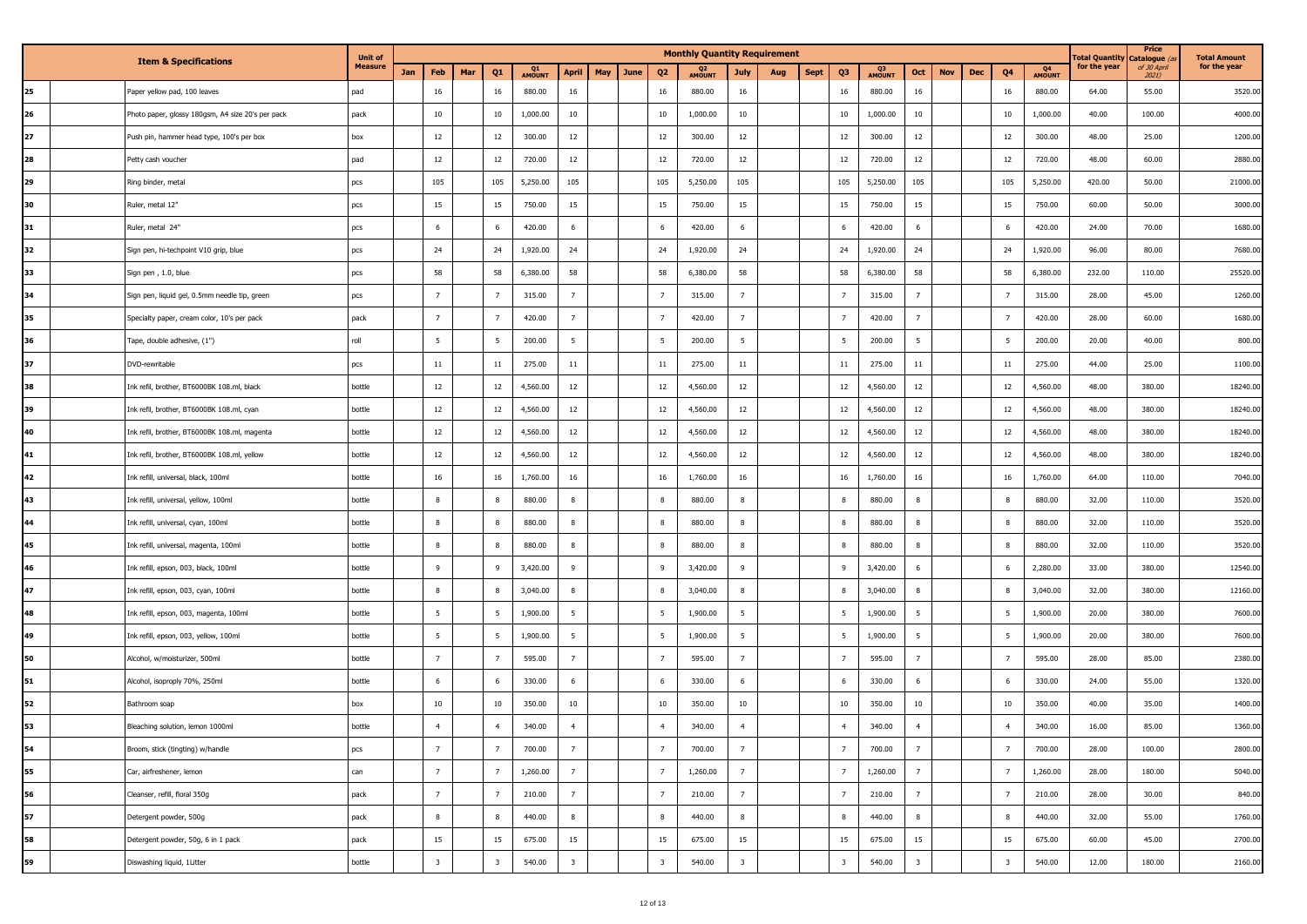| <b>Item &amp; Specifications</b> |                                                   | <b>Unit of</b> |     |                         | <b>Monthly Quantity Requirement</b> |                         |              |                         |     |      |                         |                          |                         |     |             |                         |              |                         | <b>Total Quantity</b> | Price<br>Catalogue ( | <b>Total Amount</b>     |              |              |                         |              |
|----------------------------------|---------------------------------------------------|----------------|-----|-------------------------|-------------------------------------|-------------------------|--------------|-------------------------|-----|------|-------------------------|--------------------------|-------------------------|-----|-------------|-------------------------|--------------|-------------------------|-----------------------|----------------------|-------------------------|--------------|--------------|-------------------------|--------------|
|                                  |                                                   | <b>Measure</b> | Jan | Feb                     | Mar                                 | Q <sub>1</sub>          | Q1<br>AMOUNT | <b>April</b>            | May | June | Q <sub>2</sub>          | Q <sub>2</sub><br>AMOUNT | <b>July</b>             | Aug | <b>Sept</b> | Q <sub>3</sub>          | Q3<br>AMOUNT | Oct                     | <b>Nov</b>            | <b>Dec</b>           | Q <sub>4</sub>          | Q4<br>AMOUNT | for the year | of 30 April<br>$2021$ ) | for the year |
| 25                               | Paper yellow pad, 100 leaves                      | pad            |     | 16                      |                                     | 16                      | 880.00       | 16                      |     |      | 16                      | 880.00                   | 16                      |     |             | 16                      | 880.00       | 16                      |                       |                      | 16                      | 880.00       | 64.00        | 55.00                   | 3520.00      |
| 26                               | Photo paper, glossy 180gsm, A4 size 20's per pack | pack           |     | 10                      |                                     | 10                      | 1,000.00     | 10                      |     |      | 10                      | 1,000.00                 | 10                      |     |             | 10                      | 1,000.00     | 10                      |                       |                      | 10                      | 1,000.00     | 40.00        | 100.00                  | 4000.00      |
| 27                               | Push pin, hammer head type, 100's per box         | box            |     | 12                      |                                     | 12                      | 300.00       | 12                      |     |      | 12                      | 300.00                   | 12                      |     |             | 12                      | 300.00       | 12                      |                       |                      | 12                      | 300.00       | 48.00        | 25.00                   | 1200.00      |
| 28                               | Petty cash voucher                                | pad            |     | 12                      |                                     | 12                      | 720.00       | 12                      |     |      | 12                      | 720.00                   | 12                      |     |             | 12                      | 720.00       | 12                      |                       |                      | 12                      | 720.00       | 48.00        | 60.00                   | 2880.00      |
| 29                               | Ring binder, metal                                | pcs            |     | 105                     |                                     | 105                     | 5,250.00     | 105                     |     |      | 105                     | 5,250.00                 | 105                     |     |             | 105                     | 5,250.00     | 105                     |                       |                      | 105                     | 5,250.00     | 420.00       | 50.00                   | 21000.00     |
| 30                               | Ruler, metal 12"                                  | pcs            |     | 15                      |                                     | 15                      | 750.00       | 15                      |     |      | 15                      | 750.00                   | 15                      |     |             | 15                      | 750.00       | 15                      |                       |                      | 15                      | 750.00       | 60.00        | 50.00                   | 3000.00      |
| 31                               | Ruler, metal 24"                                  | pcs            |     | 6                       |                                     | 6                       | 420.00       | 6                       |     |      | 6                       | 420.00                   | 6                       |     |             | -6                      | 420.00       | 6                       |                       |                      | 6                       | 420.00       | 24.00        | 70.00                   | 1680.00      |
| 32                               | Sign pen, hi-techpoint V10 grip, blue             | pcs            |     | 24                      |                                     | 24                      | 1,920.00     | 24                      |     |      | 24                      | 1,920.00                 | 24                      |     |             | 24                      | 1,920.00     | 24                      |                       |                      | 24                      | 1,920.00     | 96.00        | 80.00                   | 7680.00      |
| 33                               | Sign pen, 1.0, blue                               | pcs            |     | 58                      |                                     | 58                      | 6,380.00     | 58                      |     |      | 58                      | 6,380.00                 | 58                      |     |             | 58                      | 6,380.00     | 58                      |                       |                      | 58                      | 6,380.00     | 232.00       | 110.00                  | 25520.00     |
| 34                               | Sign pen, liquid gel, 0.5mm needle tip, green     | pcs            |     | $\overline{7}$          |                                     | $\overline{7}$          | 315.00       | 7                       |     |      | $\overline{7}$          | 315.00                   | $\overline{7}$          |     |             | $\overline{7}$          | 315.00       | $\overline{7}$          |                       |                      | - 7                     | 315.00       | 28.00        | 45.00                   | 1260.00      |
| 35                               | Specialty paper, cream color, 10's per pack       | pack           |     | $\overline{7}$          |                                     | $\overline{7}$          | 420.00       | $7\overline{ }$         |     |      | $\overline{7}$          | 420.00                   | $\overline{7}$          |     |             | $\overline{7}$          | 420.00       | $\overline{7}$          |                       |                      | $\overline{7}$          | 420.00       | 28.00        | 60.00                   | 1680.00      |
| 36                               | Tape, double adhesive, (1")                       | roll           |     | 5                       |                                     | - 5                     | 200.00       | $5\overline{5}$         |     |      | -5                      | 200.00                   | 5                       |     |             | - 5                     | 200.00       | 5                       |                       |                      | - 5                     | 200.00       | 20.00        | 40.00                   | 800.00       |
| 37                               | DVD-rewritable                                    | pcs            |     | 11                      |                                     | 11                      | 275.00       | 11                      |     |      | 11                      | 275.00                   | 11                      |     |             | 11                      | 275.00       | 11                      |                       |                      | 11                      | 275.00       | 44.00        | 25.00                   | 1100.00      |
| 38                               | Ink refil, brother, BT6000BK 108.ml, black        | bottle         |     | 12                      |                                     | 12                      | 4,560.00     | 12                      |     |      | $12\,$                  | 4,560.00                 | 12                      |     |             | 12                      | 4,560.00     | 12                      |                       |                      | 12                      | 4,560.00     | 48.00        | 380.00                  | 18240.00     |
| 39                               | Ink refil, brother, BT6000BK 108.ml, cyan         | bottle         |     | 12                      |                                     | 12                      | 4,560.00     | 12                      |     |      | 12                      | 4,560.00                 | 12                      |     |             | 12                      | 4,560.00     | 12                      |                       |                      | 12                      | 4,560.00     | 48.00        | 380.00                  | 18240.00     |
| 40                               | Ink refil, brother, BT6000BK 108.ml, magenta      | bottle         |     | 12                      |                                     | 12                      | 4,560.00     | 12                      |     |      | 12                      | 4,560.00                 | 12                      |     |             | 12                      | 4,560.00     | 12                      |                       |                      | 12                      | 4,560.00     | 48.00        | 380.00                  | 18240.00     |
| 41                               | Ink refil, brother, BT6000BK 108.ml, yellow       | bottle         |     | 12                      |                                     | 12                      | 4,560.00     | 12                      |     |      | 12                      | 4,560.00                 | 12                      |     |             | 12                      | 4,560.00     | 12                      |                       |                      | 12                      | 4,560.00     | 48.00        | 380.00                  | 18240.00     |
| 42                               | Ink refill, universal, black, 100ml               | bottle         |     | 16                      |                                     | 16                      | 1,760.00     | 16                      |     |      | 16                      | 1,760.00                 | 16                      |     |             | 16                      | 1,760.00     | 16                      |                       |                      | 16                      | 1,760.00     | 64.00        | 110.00                  | 7040.00      |
| 43                               | Ink refill, universal, yellow, 100ml              | bottle         |     | $\boldsymbol{8}$        |                                     | 8                       | 880.00       | 8                       |     |      | 8                       | 880.00                   | 8                       |     |             | 8                       | 880.00       | 8                       |                       |                      | 8                       | 880.00       | 32.00        | 110.00                  | 3520.00      |
| 44                               | Ink refill, universal, cyan, 100ml                | bottle         |     | 8                       |                                     | 8                       | 880.00       | 8                       |     |      | 8                       | 880.00                   | 8                       |     |             | 8                       | 880.00       | 8                       |                       |                      | 8                       | 880.00       | 32.00        | 110.00                  | 3520.00      |
| 45                               | Ink refill, universal, magenta, 100ml             | bottle         |     | 8                       |                                     | 8                       | 880.00       | 8                       |     |      | 8                       | 880.00                   | 8                       |     |             |                         | 880.00       | 8                       |                       |                      | 8                       | 880.00       | 32.00        | 110.00                  | 3520.00      |
| 46                               | Ink refill, epson, 003, black, 100ml              | bottle         |     | 9                       |                                     | 9                       | 3,420.00     | 9                       |     |      | 9                       | 3,420.00                 | 9                       |     |             | -9                      | 3,420.00     | 6                       |                       |                      | 6                       | 2,280.00     | 33.00        | 380.00                  | 12540.00     |
| 47                               | Ink refill, epson, 003, cyan, 100ml               | bottle         |     | 8                       |                                     | 8                       | 3,040.00     | $\,$ 8                  |     |      | 8                       | 3,040.00                 | 8                       |     |             | -8                      | 3,040.00     | 8                       |                       |                      | 8                       | 3,040.00     | 32.00        | 380.00                  | 12160.00     |
| 48                               | Ink refill, epson, 003, magenta, 100ml            | bottle         |     | $5\overline{5}$         |                                     | $5\overline{5}$         | 1,900.00     | $5\overline{5}$         |     |      | -5                      | 1,900.00                 | 5                       |     |             | 5                       | 1,900.00     | 5                       |                       |                      | - 5                     | 1,900.00     | 20.00        | 380.00                  | 7600.00      |
| 49                               | Ink refill, epson, 003, yellow, 100ml             | bottle         |     | 5                       |                                     | $5\overline{5}$         | 1,900.00     | 5                       |     |      | -5                      | 1,900.00                 | 5                       |     |             | 5                       | 1,900.00     | 5                       |                       |                      | -5                      | 1,900.00     | 20.00        | 380.00                  | 7600.00      |
| 50                               | Alcohol, w/moisturizer, 500ml                     | bottle         |     | $7\overline{ }$         |                                     | $\overline{7}$          | 595.00       | 7                       |     |      | $\overline{7}$          | 595.00                   | $\overline{7}$          |     |             | $\overline{7}$          | 595.00       | 7                       |                       |                      | $\overline{7}$          | 595.00       | 28.00        | 85.00                   | 2380.00      |
| 51                               | Alcohol, isoproply 70%, 250ml                     | bottle         |     | 6                       |                                     | 6                       | 330.00       | 6                       |     |      | 6                       | 330.00                   | 6                       |     |             | 6                       | 330.00       | 6                       |                       |                      | 6                       | 330.00       | 24.00        | 55.00                   | 1320.00      |
| 52                               | Bathroom soap                                     | box            |     | 10                      |                                     | 10                      | 350.00       | 10                      |     |      | 10                      | 350.00                   | 10                      |     |             | 10                      | 350.00       | $10\,$                  |                       |                      | 10                      | 350.00       | 40.00        | 35.00                   | 1400.00      |
| 53                               | Bleaching solution, lemon 1000ml                  | bottle         |     |                         |                                     | $\overline{4}$          | 340.00       | $\overline{4}$          |     |      |                         | 340.00                   | $\overline{4}$          |     |             | $\overline{4}$          | 340.00       | $\overline{4}$          |                       |                      | $\overline{4}$          | 340.00       | 16.00        | 85.00                   | 1360.00      |
| 54                               | Broom, stick (tingting) w/handle                  | pcs            |     | $\overline{7}$          |                                     | $\overline{7}$          | 700.00       | $7\overline{ }$         |     |      | $\overline{7}$          | 700.00                   | $\overline{7}$          |     |             | $\overline{7}$          | 700.00       | 7                       |                       |                      | $\overline{7}$          | 700.00       | 28.00        | 100.00                  | 2800.00      |
| 55                               | Car, airfreshener, lemon                          | can            |     | $7\overline{ }$         |                                     | 7                       | 1,260.00     | $7\overline{ }$         |     |      | $\overline{7}$          | 1,260.00                 | 7                       |     |             | $\overline{7}$          | 1,260.00     | $7^{\circ}$             |                       |                      | $\overline{7}$          | 1,260.00     | 28.00        | 180.00                  | 5040.00      |
| 56                               | Cleanser, refill, floral 350g                     | pack           |     | $\overline{7}$          |                                     | $\overline{7}$          | 210.00       | $\overline{7}$          |     |      | $\overline{7}$          | 210.00                   | 7                       |     |             | $\overline{7}$          | 210.00       | $7\overline{ }$         |                       |                      | $\overline{7}$          | 210.00       | 28.00        | 30.00                   | 840.00       |
| 57                               | Detergent powder, 500g                            | pack           |     | 8                       |                                     | 8                       | 440.00       | 8                       |     |      | 8                       | 440.00                   | $\bf 8$                 |     |             | 8                       | 440.00       | 8                       |                       |                      | 8                       | 440.00       | 32.00        | 55.00                   | 1760.00      |
| 58                               | Detergent powder, 50g, 6 in 1 pack                | pack           |     | 15                      |                                     | 15                      | 675.00       | 15                      |     |      | 15                      | 675.00                   | 15                      |     |             | 15                      | 675.00       | 15                      |                       |                      | 15                      | 675.00       | 60.00        | 45.00                   | 2700.00      |
| 59                               | Diswashing liquid, 1Litter                        | bottle         |     | $\overline{\mathbf{3}}$ |                                     | $\overline{\mathbf{3}}$ | 540.00       | $\overline{\mathbf{3}}$ |     |      | $\overline{\mathbf{3}}$ | 540.00                   | $\overline{\mathbf{3}}$ |     |             | $\overline{\mathbf{3}}$ | 540.00       | $\overline{\mathbf{3}}$ |                       |                      | $\overline{\mathbf{3}}$ | 540.00       | 12.00        | 180.00                  | 2160.00      |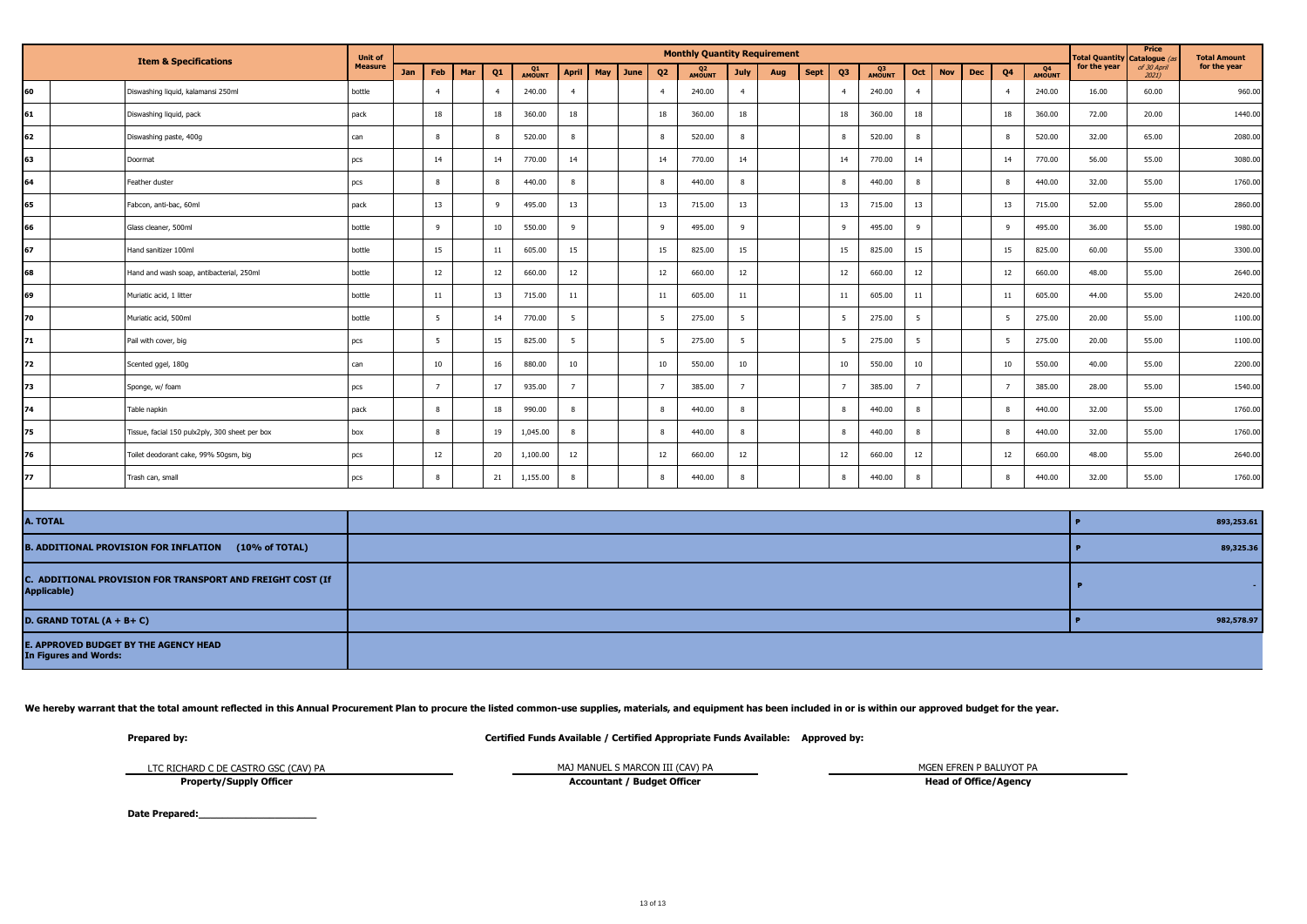| <b>Item &amp; Specifications</b>                                          |  | <b>Unit of</b>                                 |        |     |                 |                |                |          |                  |      |                | <b>Monthly Quantity Requirement</b> |        |                 |      |    |                          |        |                |     |    |                | <b>Total Quantity</b>  | Price<br>Catalogue ( | <b>Total Amount</b> |         |  |
|---------------------------------------------------------------------------|--|------------------------------------------------|--------|-----|-----------------|----------------|----------------|----------|------------------|------|----------------|-------------------------------------|--------|-----------------|------|----|--------------------------|--------|----------------|-----|----|----------------|------------------------|----------------------|---------------------|---------|--|
|                                                                           |  | <b>Measure</b>                                 | Jan    | Feb | Mar             | Q <sub>1</sub> | Q1<br>AMOUNT   | April    | May              | June | Q <sub>2</sub> | Q <sub>2</sub><br>AMOUNT            | July   | Aug             | Sept | Q3 | Q <sub>3</sub><br>AMOUNT | Oct    | <b>Nov</b>     | Dec | Q4 | Q4<br>AMOUNT   | for the year           | of 30 April<br>2021) | for the year        |         |  |
| 60                                                                        |  | Diswashing liquid, kalamansi 250ml             | bottle |     | $\overline{4}$  |                | $\overline{4}$ | 240.00   | $\overline{4}$   |      |                | $\overline{4}$                      | 240.00 | $\overline{4}$  |      |    | $\overline{4}$           | 240.00 | $\overline{4}$ |     |    | $\overline{4}$ | 240.00                 | 16.00                | 60.00               | 960.00  |  |
| 61                                                                        |  | Diswashing liquid, pack                        | pack   |     | 18              |                | 18             | 360.00   | 18               |      |                | 18                                  | 360.00 | 18              |      |    | 18                       | 360.00 | 18             |     |    | 18             | 360.00                 | 72.00                | 20.00               | 1440.00 |  |
| 62                                                                        |  | Diswashing paste, 400g                         | can    |     | $\bf 8$         |                | 8              | 520.00   | 8                |      |                | 8                                   | 520.00 | 8               |      |    | 8                        | 520.00 | 8              |     |    | 8              | 520.00                 | 32.00                | 65.00               | 2080.00 |  |
| 63                                                                        |  | Doormat                                        | pcs    |     | 14              |                | 14             | 770.00   | 14               |      |                | 14                                  | 770.00 | 14              |      |    | 14                       | 770.00 | 14             |     |    | 14             | 770.00                 | 56.00                | 55.00               | 3080.00 |  |
| 64                                                                        |  | Feather duster                                 | pcs    |     | $\bf 8$         |                | 8              | 440.00   | $\boldsymbol{8}$ |      |                | 8                                   | 440.00 | 8               |      |    | $\boldsymbol{8}$         | 440.00 | $\bf8$         |     |    | 8              | 440.00                 | 32.00                | 55.00               | 1760.00 |  |
| 65                                                                        |  | Fabcon, anti-bac, 60ml                         | pack   |     | 13              |                | 9              | 495.00   | 13               |      |                | 13                                  | 715.00 | 13              |      |    | 13                       | 715.00 | 13             |     |    | 13             | 715.00                 | 52.00                | 55.00               | 2860.00 |  |
| 66                                                                        |  | Glass cleaner, 500ml                           | bottle |     | 9               |                | 10             | 550.00   | 9                |      |                | 9                                   | 495.00 | -9              |      |    | 9                        | 495.00 | 9              |     |    | 9              | 495.00                 | 36.00                | 55.00               | 1980.00 |  |
| 67                                                                        |  | Hand sanitizer 100ml                           | bottle |     | 15              |                | 11             | 605.00   | 15               |      |                | 15                                  | 825.00 | 15              |      |    | 15                       | 825.00 | 15             |     |    | 15             | 825.00                 | 60.00                | 55.00               | 3300.00 |  |
| 68                                                                        |  | Hand and wash soap, antibacterial, 250ml       | bottle |     | 12              |                | 12             | 660.00   | 12               |      |                | 12                                  | 660.00 | 12              |      |    | 12                       | 660.00 | 12             |     |    | 12             | 660.00                 | 48.00                | 55.00               | 2640.00 |  |
| 69                                                                        |  | Muriatic acid, 1 litter                        | bottle |     | $11\,$          |                | 13             | 715.00   | $11\,$           |      |                | 11                                  | 605.00 | $11\,$          |      |    | 11                       | 605.00 | $11\,$         |     |    | 11             | 605.00                 | 44.00                | 55.00               | 2420.00 |  |
| 70                                                                        |  | Muriatic acid, 500ml                           | bottle |     | $5\overline{)}$ |                | 14             | 770.00   | $5\overline{5}$  |      |                | $5\overline{5}$                     | 275.00 | 5               |      |    | 5                        | 275.00 | 5              |     |    | 5              | 275.00                 | 20.00                | 55.00               | 1100.00 |  |
| 71                                                                        |  | Pail with cover, big                           | pcs    |     | 5               |                | 15             | 825.00   | 5                |      |                | $5\overline{5}$                     | 275.00 | $5\overline{5}$ |      |    | 5                        | 275.00 | 5              |     |    | 5              | 275.00                 | 20.00                | 55.00               | 1100.00 |  |
| 72                                                                        |  | Scented ggel, 180g                             | can    |     | 10              |                | 16             | 880.00   | 10               |      |                | 10                                  | 550.00 | 10              |      |    | 10                       | 550.00 | $10\,$         |     |    | 10             | 550.00                 | 40.00                | 55.00               | 2200.00 |  |
| 73                                                                        |  | Sponge, w/ foam                                | pcs    |     | $\overline{7}$  |                | 17             | 935.00   | $\overline{7}$   |      |                | $7^{\circ}$                         | 385.00 | $\overline{7}$  |      |    | $\overline{7}$           | 385.00 | $\overline{7}$ |     |    | $\overline{7}$ | 385.00                 | 28.00                | 55.00               | 1540.00 |  |
| 74                                                                        |  | Table napkin                                   | pack   |     | $\bf 8$         |                | 18             | 990.00   | $\,$ 8           |      |                | 8                                   | 440.00 | 8               |      |    | 8                        | 440.00 | 8              |     |    | 8              | 440.00                 | 32.00                | 55.00               | 1760.00 |  |
| 175                                                                       |  | Tissue, facial 150 pulx2ply, 300 sheet per box | box    |     | 8               |                | 19             | 1,045.00 | 8                |      |                | 8                                   | 440.00 | 8               |      |    | 8                        | 440.00 | 8              |     |    | 8              | 440.00                 | 32.00                | 55.00               | 1760.00 |  |
| 76                                                                        |  | Toilet deodorant cake, 99% 50gsm, big          | pcs    |     | 12              |                | 20             | 1,100.00 | 12               |      |                | 12                                  | 660.00 | 12              |      |    | 12                       | 660.00 | 12             |     |    | 12             | 660.00                 | 48.00                | 55.00               | 2640.00 |  |
| 177                                                                       |  | Trash can, small                               | pcs    |     | 8               |                | 21             | 1,155.00 | $\boldsymbol{8}$ |      |                | 8                                   | 440.00 | 8               |      |    | $\overline{8}$           | 440.00 | 8              |     |    | 8              | 440.00                 | 32.00                | 55.00               | 1760.00 |  |
|                                                                           |  |                                                |        |     |                 |                |                |          |                  |      |                |                                     |        |                 |      |    |                          |        |                |     |    |                |                        |                      |                     |         |  |
| A. TOTAL                                                                  |  |                                                |        |     |                 |                |                |          |                  |      |                |                                     |        |                 |      |    |                          |        |                |     |    |                | 893,253.61<br>Ð        |                      |                     |         |  |
| B. ADDITIONAL PROVISION FOR INFLATION (10% of TOTAL)                      |  |                                                |        |     |                 |                |                |          |                  |      |                |                                     |        |                 |      |    |                          |        |                |     |    |                | 89,325.36<br>$\bullet$ |                      |                     |         |  |
| C. ADDITIONAL PROVISION FOR TRANSPORT AND FREIGHT COST (If<br>Applicable) |  |                                                |        |     |                 |                |                |          |                  |      |                |                                     |        |                 |      |    |                          |        |                |     |    |                | $\mathbf{P}$           |                      |                     |         |  |
| D. GRAND TOTAL $(A + B + C)$                                              |  |                                                |        |     |                 |                |                |          |                  |      |                |                                     |        |                 |      |    |                          |        |                |     |    |                |                        | $\bullet$            | 982,578.97          |         |  |
| <b>E. APPROVED BUDGET BY THE AGENCY HEAD</b>                              |  |                                                |        |     |                 |                |                |          |                  |      |                |                                     |        |                 |      |    |                          |        |                |     |    |                |                        |                      |                     |         |  |

We hereby warrant that the total amount reflected in this Annual Procurement Plan to procure the listed common-use supplies, materials, and equipment has been included in or is within our approved budget for the year.

**In Figures and Words:**

**Prepared by: Certified Funds Available / Certified Appropriate Funds Available: Approved by:**

LTC RICHARD C DE CASTRO GSC (CAV) PA

MAJ MANUEL S MARCON III (CAV) PA MGEN EFREN P BALUYOT PA

**Property/Supply Officer**

**Accountant / Budget Officer <b>Head of Office/Agency Head of Office/Agency** 

Date Prepared: